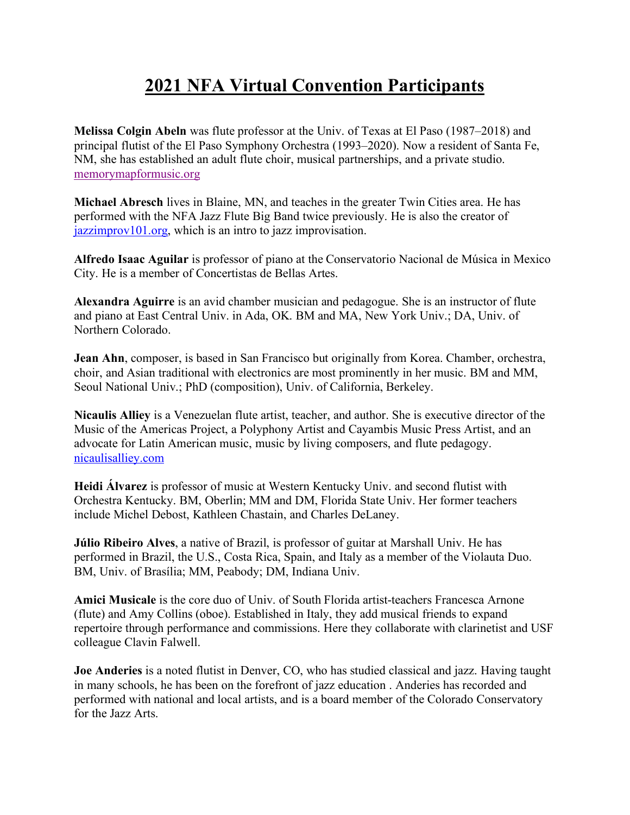## **2021 NFA Virtual Convention Participants**

**Melissa Colgin Abeln** was flute professor at the Univ. of Texas at El Paso (1987–2018) and principal flutist of the El Paso Symphony Orchestra (1993–2020). Now a resident of Santa Fe, NM, she has established an adult flute choir, musical partnerships, and a private studio. memorymapformusic.org

**Michael Abresch** lives in Blaine, MN, and teaches in the greater Twin Cities area. He has performed with the NFA Jazz Flute Big Band twice previously. He is also the creator of jazzimprov101.org, which is an intro to jazz improvisation.

**Alfredo Isaac Aguilar** is professor of piano at the Conservatorio Nacional de Música in Mexico City. He is a member of Concertistas de Bellas Artes.

**Alexandra Aguirre** is an avid chamber musician and pedagogue. She is an instructor of flute and piano at East Central Univ. in Ada, OK. BM and MA, New York Univ.; DA, Univ. of Northern Colorado.

**Jean Ahn**, composer, is based in San Francisco but originally from Korea. Chamber, orchestra, choir, and Asian traditional with electronics are most prominently in her music. BM and MM, Seoul National Univ.; PhD (composition), Univ. of California, Berkeley.

**Nicaulis Alliey** is a Venezuelan flute artist, teacher, and author. She is executive director of the Music of the Americas Project, a Polyphony Artist and Cayambis Music Press Artist, and an advocate for Latin American music, music by living composers, and flute pedagogy. nicaulisalliey.com

**Heidi Álvarez** is professor of music at Western Kentucky Univ. and second flutist with Orchestra Kentucky. BM, Oberlin; MM and DM, Florida State Univ. Her former teachers include Michel Debost, Kathleen Chastain, and Charles DeLaney.

**Júlio Ribeiro Alves**, a native of Brazil, is professor of guitar at Marshall Univ. He has performed in Brazil, the U.S., Costa Rica, Spain, and Italy as a member of the Violauta Duo. BM, Univ. of Brasília; MM, Peabody; DM, Indiana Univ.

**Amici Musicale** is the core duo of Univ. of South Florida artist-teachers Francesca Arnone (flute) and Amy Collins (oboe). Established in Italy, they add musical friends to expand repertoire through performance and commissions. Here they collaborate with clarinetist and USF colleague Clavin Falwell.

**Joe Anderies** is a noted flutist in Denver, CO, who has studied classical and jazz. Having taught in many schools, he has been on the forefront of jazz education . Anderies has recorded and performed with national and local artists, and is a board member of the Colorado Conservatory for the Jazz Arts.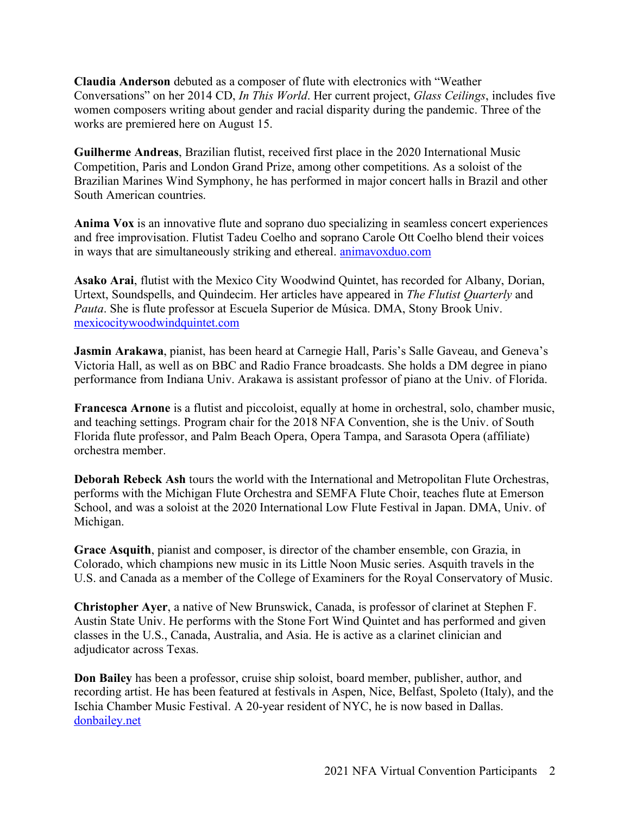**Claudia Anderson** debuted as a composer of flute with electronics with "Weather Conversations" on her 2014 CD, *In This World*. Her current project, *Glass Ceilings*, includes five women composers writing about gender and racial disparity during the pandemic. Three of the works are premiered here on August 15.

**Guilherme Andreas**, Brazilian flutist, received first place in the 2020 International Music Competition, Paris and London Grand Prize, among other competitions. As a soloist of the Brazilian Marines Wind Symphony, he has performed in major concert halls in Brazil and other South American countries.

**Anima Vox** is an innovative flute and soprano duo specializing in seamless concert experiences and free improvisation. Flutist Tadeu Coelho and soprano Carole Ott Coelho blend their voices in ways that are simultaneously striking and ethereal. animavoxduo.com

**Asako Arai**, flutist with the Mexico City Woodwind Quintet, has recorded for Albany, Dorian, Urtext, Soundspells, and Quindecim. Her articles have appeared in *The Flutist Quarterly* and *Pauta*. She is flute professor at Escuela Superior de Música. DMA, Stony Brook Univ. mexicocitywoodwindquintet.com

**Jasmin Arakawa**, pianist, has been heard at Carnegie Hall, Paris's Salle Gaveau, and Geneva's Victoria Hall, as well as on BBC and Radio France broadcasts. She holds a DM degree in piano performance from Indiana Univ. Arakawa is assistant professor of piano at the Univ. of Florida.

**Francesca Arnone** is a flutist and piccoloist, equally at home in orchestral, solo, chamber music, and teaching settings. Program chair for the 2018 NFA Convention, she is the Univ. of South Florida flute professor, and Palm Beach Opera, Opera Tampa, and Sarasota Opera (affiliate) orchestra member.

**Deborah Rebeck Ash** tours the world with the International and Metropolitan Flute Orchestras, performs with the Michigan Flute Orchestra and SEMFA Flute Choir, teaches flute at Emerson School, and was a soloist at the 2020 International Low Flute Festival in Japan. DMA, Univ. of Michigan.

**Grace Asquith**, pianist and composer, is director of the chamber ensemble, con Grazia, in Colorado, which champions new music in its Little Noon Music series. Asquith travels in the U.S. and Canada as a member of the College of Examiners for the Royal Conservatory of Music.

**Christopher Ayer**, a native of New Brunswick, Canada, is professor of clarinet at Stephen F. Austin State Univ. He performs with the Stone Fort Wind Quintet and has performed and given classes in the U.S., Canada, Australia, and Asia. He is active as a clarinet clinician and adjudicator across Texas.

**Don Bailey** has been a professor, cruise ship soloist, board member, publisher, author, and recording artist. He has been featured at festivals in Aspen, Nice, Belfast, Spoleto (Italy), and the Ischia Chamber Music Festival. A 20-year resident of NYC, he is now based in Dallas. donbailey.net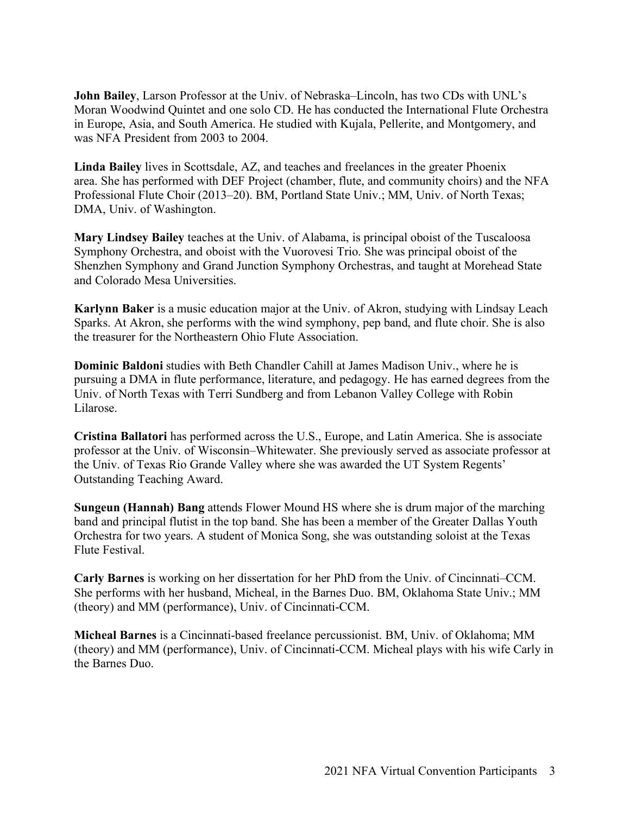**John Bailey**, Larson Professor at the Univ. of Nebraska–Lincoln, has two CDs with UNL's Moran Woodwind Quintet and one solo CD. He has conducted the International Flute Orchestra in Europe, Asia, and South America. He studied with Kujala, Pellerite, and Montgomery, and was NFA President from 2003 to 2004.

**Linda Bailey** lives in Scottsdale, AZ, and teaches and freelances in the greater Phoenix area. She has performed with DEF Project (chamber, flute, and community choirs) and the NFA Professional Flute Choir (2013–20). BM, Portland State Univ.; MM, Univ. of North Texas; DMA, Univ. of Washington.

**Mary Lindsey Bailey** teaches at the Univ. of Alabama, is principal oboist of the Tuscaloosa Symphony Orchestra, and oboist with the Vuorovesi Trio. She was principal oboist of the Shenzhen Symphony and Grand Junction Symphony Orchestras, and taught at Morehead State and Colorado Mesa Universities.

**Karlynn Baker** is a music education major at the Univ. of Akron, studying with Lindsay Leach Sparks. At Akron, she performs with the wind symphony, pep band, and flute choir. She is also the treasurer for the Northeastern Ohio Flute Association.

**Dominic Baldoni** studies with Beth Chandler Cahill at James Madison Univ., where he is pursuing a DMA in flute performance, literature, and pedagogy. He has earned degrees from the Univ. of North Texas with Terri Sundberg and from Lebanon Valley College with Robin Lilarose.

**Cristina Ballatori** has performed across the U.S., Europe, and Latin America. She is associate professor at the Univ. of Wisconsin–Whitewater. She previously served as associate professor at the Univ. of Texas Rio Grande Valley where she was awarded the UT System Regents' Outstanding Teaching Award.

**Sungeun (Hannah) Bang** attends Flower Mound HS where she is drum major of the marching band and principal flutist in the top band. She has been a member of the Greater Dallas Youth Orchestra for two years. A student of Monica Song, she was outstanding soloist at the Texas Flute Festival.

**Carly Barnes** is working on her dissertation for her PhD from the Univ. of Cincinnati–CCM. She performs with her husband, Micheal, in the Barnes Duo. BM, Oklahoma State Univ.; MM (theory) and MM (performance), Univ. of Cincinnati-CCM.

**Micheal Barnes** is a Cincinnati-based freelance percussionist. BM, Univ. of Oklahoma; MM (theory) and MM (performance), Univ. of Cincinnati-CCM. Micheal plays with his wife Carly in the Barnes Duo.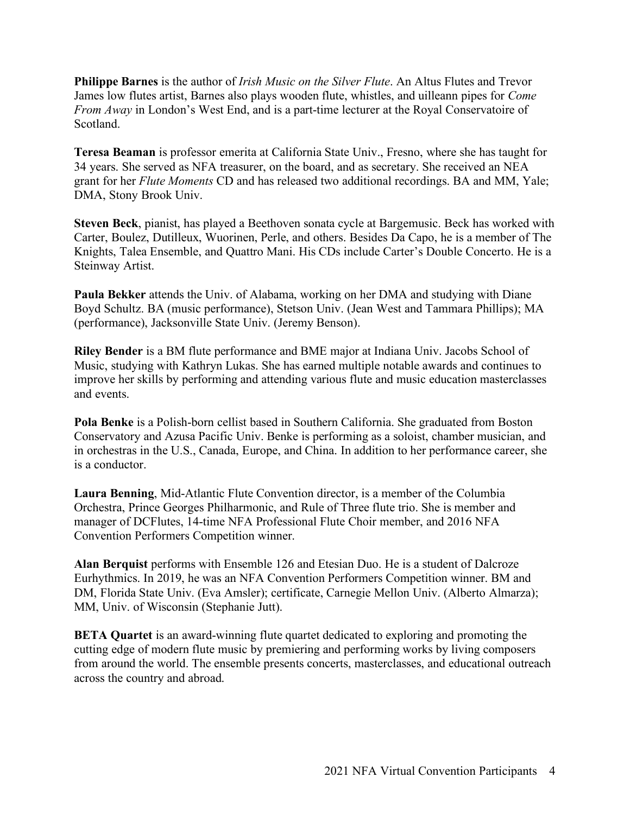**Philippe Barnes** is the author of *Irish Music on the Silver Flute*. An Altus Flutes and Trevor James low flutes artist, Barnes also plays wooden flute, whistles, and uilleann pipes for *Come From Away* in London's West End, and is a part-time lecturer at the Royal Conservatoire of Scotland.

**Teresa Beaman** is professor emerita at California State Univ., Fresno, where she has taught for 34 years. She served as NFA treasurer, on the board, and as secretary. She received an NEA grant for her *Flute Moments* CD and has released two additional recordings. BA and MM, Yale; DMA, Stony Brook Univ.

**Steven Beck**, pianist, has played a Beethoven sonata cycle at Bargemusic. Beck has worked with Carter, Boulez, Dutilleux, Wuorinen, Perle, and others. Besides Da Capo, he is a member of The Knights, Talea Ensemble, and Quattro Mani. His CDs include Carter's Double Concerto. He is a Steinway Artist.

**Paula Bekker** attends the Univ. of Alabama, working on her DMA and studying with Diane Boyd Schultz. BA (music performance), Stetson Univ. (Jean West and Tammara Phillips); MA (performance), Jacksonville State Univ. (Jeremy Benson).

**Riley Bender** is a BM flute performance and BME major at Indiana Univ. Jacobs School of Music, studying with Kathryn Lukas. She has earned multiple notable awards and continues to improve her skills by performing and attending various flute and music education masterclasses and events.

**Pola Benke** is a Polish-born cellist based in Southern California. She graduated from Boston Conservatory and Azusa Pacific Univ. Benke is performing as a soloist, chamber musician, and in orchestras in the U.S., Canada, Europe, and China. In addition to her performance career, she is a conductor.

**Laura Benning**, Mid-Atlantic Flute Convention director, is a member of the Columbia Orchestra, Prince Georges Philharmonic, and Rule of Three flute trio. She is member and manager of DCFlutes, 14-time NFA Professional Flute Choir member, and 2016 NFA Convention Performers Competition winner.

**Alan Berquist** performs with Ensemble 126 and Etesian Duo. He is a student of Dalcroze Eurhythmics. In 2019, he was an NFA Convention Performers Competition winner. BM and DM, Florida State Univ. (Eva Amsler); certificate, Carnegie Mellon Univ. (Alberto Almarza); MM, Univ. of Wisconsin (Stephanie Jutt).

**BETA Quartet** is an award-winning flute quartet dedicated to exploring and promoting the cutting edge of modern flute music by premiering and performing works by living composers from around the world. The ensemble presents concerts, masterclasses, and educational outreach across the country and abroad.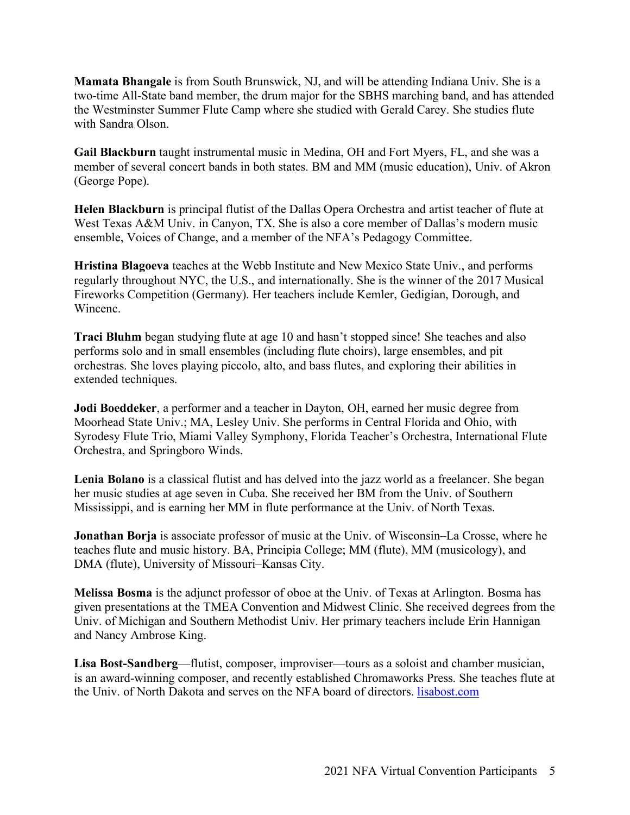**Mamata Bhangale** is from South Brunswick, NJ, and will be attending Indiana Univ. She is a two-time All-State band member, the drum major for the SBHS marching band, and has attended the Westminster Summer Flute Camp where she studied with Gerald Carey. She studies flute with Sandra Olson.

**Gail Blackburn** taught instrumental music in Medina, OH and Fort Myers, FL, and she was a member of several concert bands in both states. BM and MM (music education), Univ. of Akron (George Pope).

**Helen Blackburn** is principal flutist of the Dallas Opera Orchestra and artist teacher of flute at West Texas A&M Univ. in Canyon, TX. She is also a core member of Dallas's modern music ensemble, Voices of Change, and a member of the NFA's Pedagogy Committee.

**Hristina Blagoeva** teaches at the Webb Institute and New Mexico State Univ., and performs regularly throughout NYC, the U.S., and internationally. She is the winner of the 2017 Musical Fireworks Competition (Germany). Her teachers include Kemler, Gedigian, Dorough, and Wincenc.

**Traci Bluhm** began studying flute at age 10 and hasn't stopped since! She teaches and also performs solo and in small ensembles (including flute choirs), large ensembles, and pit orchestras. She loves playing piccolo, alto, and bass flutes, and exploring their abilities in extended techniques.

**Jodi Boeddeker**, a performer and a teacher in Dayton, OH, earned her music degree from Moorhead State Univ.; MA, Lesley Univ. She performs in Central Florida and Ohio, with Syrodesy Flute Trio, Miami Valley Symphony, Florida Teacher's Orchestra, International Flute Orchestra, and Springboro Winds.

**Lenia Bolano** is a classical flutist and has delved into the jazz world as a freelancer. She began her music studies at age seven in Cuba. She received her BM from the Univ. of Southern Mississippi, and is earning her MM in flute performance at the Univ. of North Texas.

**Jonathan Borja** is associate professor of music at the Univ. of Wisconsin–La Crosse, where he teaches flute and music history. BA, Principia College; MM (flute), MM (musicology), and DMA (flute), University of Missouri–Kansas City.

**Melissa Bosma** is the adjunct professor of oboe at the Univ. of Texas at Arlington. Bosma has given presentations at the TMEA Convention and Midwest Clinic. She received degrees from the Univ. of Michigan and Southern Methodist Univ. Her primary teachers include Erin Hannigan and Nancy Ambrose King.

**Lisa Bost-Sandberg**—flutist, composer, improviser—tours as a soloist and chamber musician, is an award-winning composer, and recently established Chromaworks Press. She teaches flute at the Univ. of North Dakota and serves on the NFA board of directors. lisabost.com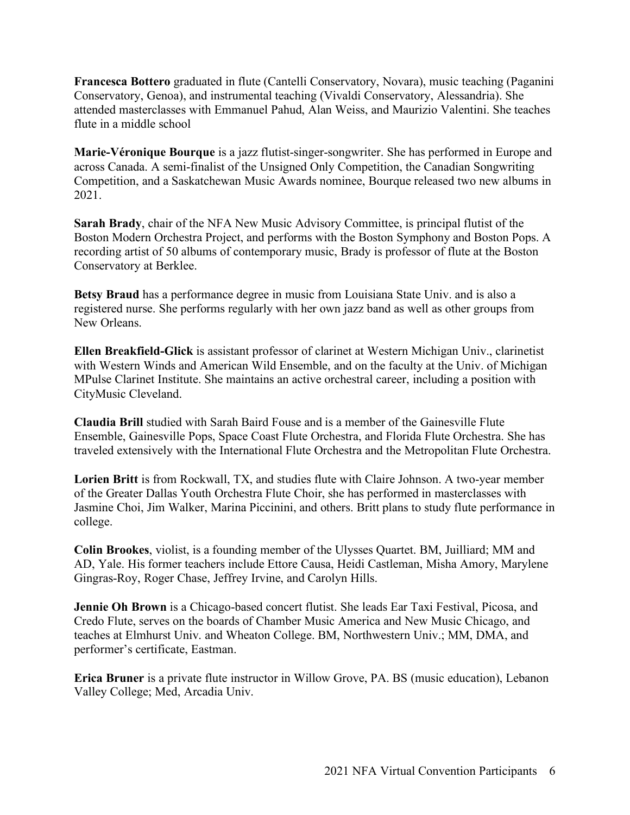**Francesca Bottero** graduated in flute (Cantelli Conservatory, Novara), music teaching (Paganini Conservatory, Genoa), and instrumental teaching (Vivaldi Conservatory, Alessandria). She attended masterclasses with Emmanuel Pahud, Alan Weiss, and Maurizio Valentini. She teaches flute in a middle school

**Marie-Véronique Bourque** is a jazz flutist-singer-songwriter. She has performed in Europe and across Canada. A semi-finalist of the Unsigned Only Competition, the Canadian Songwriting Competition, and a Saskatchewan Music Awards nominee, Bourque released two new albums in 2021.

**Sarah Brady**, chair of the NFA New Music Advisory Committee, is principal flutist of the Boston Modern Orchestra Project, and performs with the Boston Symphony and Boston Pops. A recording artist of 50 albums of contemporary music, Brady is professor of flute at the Boston Conservatory at Berklee.

**Betsy Braud** has a performance degree in music from Louisiana State Univ. and is also a registered nurse. She performs regularly with her own jazz band as well as other groups from New Orleans.

**Ellen Breakfield-Glick** is assistant professor of clarinet at Western Michigan Univ., clarinetist with Western Winds and American Wild Ensemble, and on the faculty at the Univ. of Michigan MPulse Clarinet Institute. She maintains an active orchestral career, including a position with CityMusic Cleveland.

**Claudia Brill** studied with Sarah Baird Fouse and is a member of the Gainesville Flute Ensemble, Gainesville Pops, Space Coast Flute Orchestra, and Florida Flute Orchestra. She has traveled extensively with the International Flute Orchestra and the Metropolitan Flute Orchestra.

**Lorien Britt** is from Rockwall, TX, and studies flute with Claire Johnson. A two-year member of the Greater Dallas Youth Orchestra Flute Choir, she has performed in masterclasses with Jasmine Choi, Jim Walker, Marina Piccinini, and others. Britt plans to study flute performance in college.

**Colin Brookes**, violist, is a founding member of the Ulysses Quartet. BM, Juilliard; MM and AD, Yale. His former teachers include Ettore Causa, Heidi Castleman, Misha Amory, Marylene Gingras-Roy, Roger Chase, Jeffrey Irvine, and Carolyn Hills.

**Jennie Oh Brown** is a Chicago-based concert flutist. She leads Ear Taxi Festival, Picosa, and Credo Flute, serves on the boards of Chamber Music America and New Music Chicago, and teaches at Elmhurst Univ. and Wheaton College. BM, Northwestern Univ.; MM, DMA, and performer's certificate, Eastman.

**Erica Bruner** is a private flute instructor in Willow Grove, PA. BS (music education), Lebanon Valley College; Med, Arcadia Univ.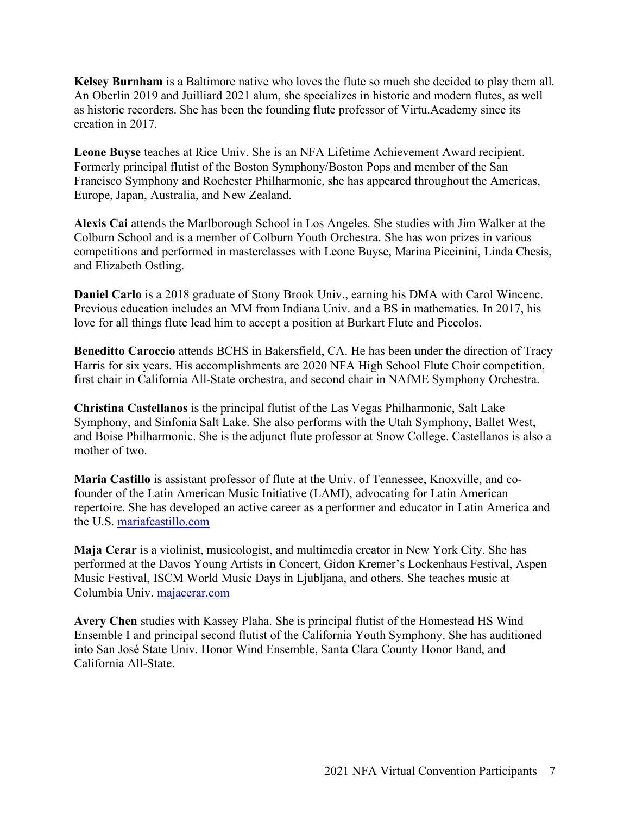**Kelsey Burnham** is a Baltimore native who loves the flute so much she decided to play them all. An Oberlin 2019 and Juilliard 2021 alum, she specializes in historic and modern flutes, as well as historic recorders. She has been the founding flute professor of Virtu.Academy since its creation in 2017.

**Leone Buyse** teaches at Rice Univ. She is an NFA Lifetime Achievement Award recipient. Formerly principal flutist of the Boston Symphony/Boston Pops and member of the San Francisco Symphony and Rochester Philharmonic, she has appeared throughout the Americas, Europe, Japan, Australia, and New Zealand.

**Alexis Cai** attends the Marlborough School in Los Angeles. She studies with Jim Walker at the Colburn School and is a member of Colburn Youth Orchestra. She has won prizes in various competitions and performed in masterclasses with Leone Buyse, Marina Piccinini, Linda Chesis, and Elizabeth Ostling.

**Daniel Carlo** is a 2018 graduate of Stony Brook Univ., earning his DMA with Carol Wincenc. Previous education includes an MM from Indiana Univ. and a BS in mathematics. In 2017, his love for all things flute lead him to accept a position at Burkart Flute and Piccolos.

**Beneditto Caroccio** attends BCHS in Bakersfield, CA. He has been under the direction of Tracy Harris for six years. His accomplishments are 2020 NFA High School Flute Choir competition, first chair in California All-State orchestra, and second chair in NAfME Symphony Orchestra.

**Christina Castellanos** is the principal flutist of the Las Vegas Philharmonic, Salt Lake Symphony, and Sinfonia Salt Lake. She also performs with the Utah Symphony, Ballet West, and Boise Philharmonic. She is the adjunct flute professor at Snow College. Castellanos is also a mother of two.

**Maria Castillo** is assistant professor of flute at the Univ. of Tennessee, Knoxville, and cofounder of the Latin American Music Initiative (LAMI), advocating for Latin American repertoire. She has developed an active career as a performer and educator in Latin America and the U.S. mariafcastillo.com

**Maja Cerar** is a violinist, musicologist, and multimedia creator in New York City. She has performed at the Davos Young Artists in Concert, Gidon Kremer's Lockenhaus Festival, Aspen Music Festival, ISCM World Music Days in Ljubljana, and others. She teaches music at Columbia Univ. majacerar.com

**Avery Chen** studies with Kassey Plaha. She is principal flutist of the Homestead HS Wind Ensemble I and principal second flutist of the California Youth Symphony. She has auditioned into San José State Univ. Honor Wind Ensemble, Santa Clara County Honor Band, and California All-State.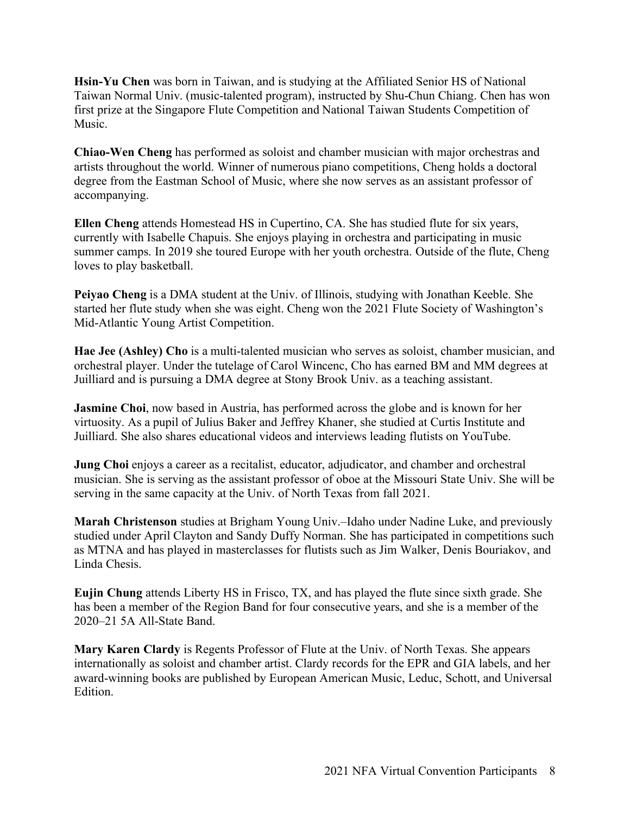**Hsin-Yu Chen** was born in Taiwan, and is studying at the Affiliated Senior HS of National Taiwan Normal Univ. (music-talented program), instructed by Shu-Chun Chiang. Chen has won first prize at the Singapore Flute Competition and National Taiwan Students Competition of Music.

**Chiao-Wen Cheng** has performed as soloist and chamber musician with major orchestras and artists throughout the world. Winner of numerous piano competitions, Cheng holds a doctoral degree from the Eastman School of Music, where she now serves as an assistant professor of accompanying.

**Ellen Cheng** attends Homestead HS in Cupertino, CA. She has studied flute for six years, currently with Isabelle Chapuis. She enjoys playing in orchestra and participating in music summer camps. In 2019 she toured Europe with her youth orchestra. Outside of the flute, Cheng loves to play basketball.

**Peiyao Cheng** is a DMA student at the Univ. of Illinois, studying with Jonathan Keeble. She started her flute study when she was eight. Cheng won the 2021 Flute Society of Washington's Mid-Atlantic Young Artist Competition.

**Hae Jee (Ashley) Cho** is a multi-talented musician who serves as soloist, chamber musician, and orchestral player. Under the tutelage of Carol Wincenc, Cho has earned BM and MM degrees at Juilliard and is pursuing a DMA degree at Stony Brook Univ. as a teaching assistant.

**Jasmine Choi**, now based in Austria, has performed across the globe and is known for her virtuosity. As a pupil of Julius Baker and Jeffrey Khaner, she studied at Curtis Institute and Juilliard. She also shares educational videos and interviews leading flutists on YouTube.

**Jung Choi** enjoys a career as a recitalist, educator, adjudicator, and chamber and orchestral musician. She is serving as the assistant professor of oboe at the Missouri State Univ. She will be serving in the same capacity at the Univ. of North Texas from fall 2021.

**Marah Christenson** studies at Brigham Young Univ.–Idaho under Nadine Luke, and previously studied under April Clayton and Sandy Duffy Norman. She has participated in competitions such as MTNA and has played in masterclasses for flutists such as Jim Walker, Denis Bouriakov, and Linda Chesis.

**Eujin Chung** attends Liberty HS in Frisco, TX, and has played the flute since sixth grade. She has been a member of the Region Band for four consecutive years, and she is a member of the 2020–21 5A All-State Band.

**Mary Karen Clardy** is Regents Professor of Flute at the Univ. of North Texas. She appears internationally as soloist and chamber artist. Clardy records for the EPR and GIA labels, and her award-winning books are published by European American Music, Leduc, Schott, and Universal Edition.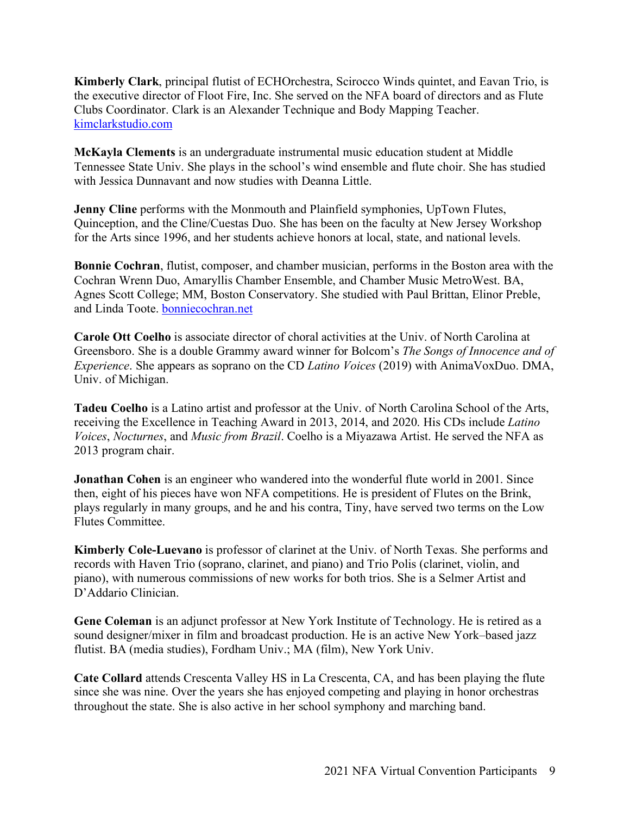**Kimberly Clark**, principal flutist of ECHOrchestra, Scirocco Winds quintet, and Eavan Trio, is the executive director of Floot Fire, Inc. She served on the NFA board of directors and as Flute Clubs Coordinator. Clark is an Alexander Technique and Body Mapping Teacher. kimclarkstudio.com

**McKayla Clements** is an undergraduate instrumental music education student at Middle Tennessee State Univ. She plays in the school's wind ensemble and flute choir. She has studied with Jessica Dunnavant and now studies with Deanna Little.

**Jenny Cline** performs with the Monmouth and Plainfield symphonies, UpTown Flutes, Quinception, and the Cline/Cuestas Duo. She has been on the faculty at New Jersey Workshop for the Arts since 1996, and her students achieve honors at local, state, and national levels.

**Bonnie Cochran**, flutist, composer, and chamber musician, performs in the Boston area with the Cochran Wrenn Duo, Amaryllis Chamber Ensemble, and Chamber Music MetroWest. BA, Agnes Scott College; MM, Boston Conservatory. She studied with Paul Brittan, Elinor Preble, and Linda Toote. bonniecochran.net

**Carole Ott Coelho** is associate director of choral activities at the Univ. of North Carolina at Greensboro. She is a double Grammy award winner for Bolcom's *The Songs of Innocence and of Experience*. She appears as soprano on the CD *Latino Voices* (2019) with AnimaVoxDuo. DMA, Univ. of Michigan.

**Tadeu Coelho** is a Latino artist and professor at the Univ. of North Carolina School of the Arts, receiving the Excellence in Teaching Award in 2013, 2014, and 2020. His CDs include *Latino Voices*, *Nocturnes*, and *Music from Brazil*. Coelho is a Miyazawa Artist. He served the NFA as 2013 program chair.

**Jonathan Cohen** is an engineer who wandered into the wonderful flute world in 2001. Since then, eight of his pieces have won NFA competitions. He is president of Flutes on the Brink, plays regularly in many groups, and he and his contra, Tiny, have served two terms on the Low Flutes Committee.

**Kimberly Cole-Luevano** is professor of clarinet at the Univ. of North Texas. She performs and records with Haven Trio (soprano, clarinet, and piano) and Trio Polis (clarinet, violin, and piano), with numerous commissions of new works for both trios. She is a Selmer Artist and D'Addario Clinician.

**Gene Coleman** is an adjunct professor at New York Institute of Technology. He is retired as a sound designer/mixer in film and broadcast production. He is an active New York–based jazz flutist. BA (media studies), Fordham Univ.; MA (film), New York Univ.

**Cate Collard** attends Crescenta Valley HS in La Crescenta, CA, and has been playing the flute since she was nine. Over the years she has enjoyed competing and playing in honor orchestras throughout the state. She is also active in her school symphony and marching band.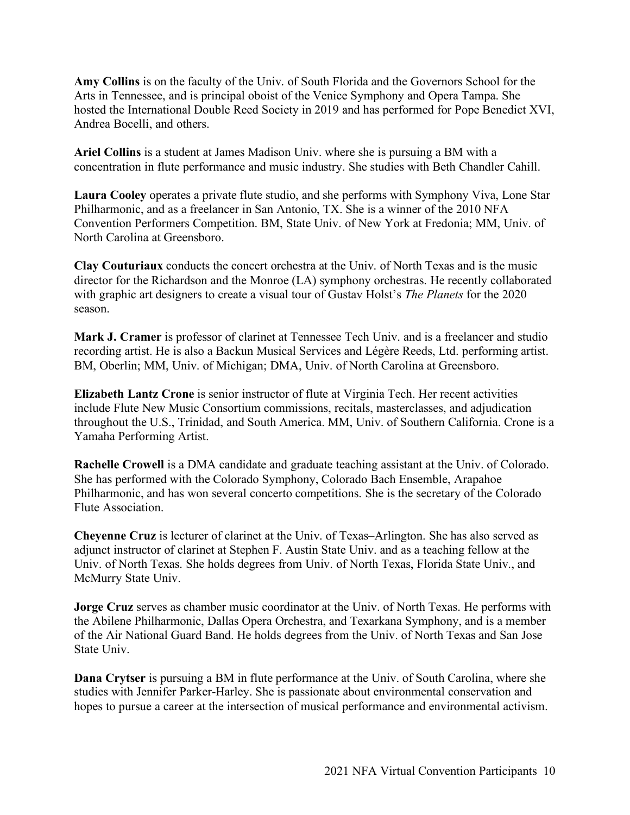**Amy Collins** is on the faculty of the Univ. of South Florida and the Governors School for the Arts in Tennessee, and is principal oboist of the Venice Symphony and Opera Tampa. She hosted the International Double Reed Society in 2019 and has performed for Pope Benedict XVI, Andrea Bocelli, and others.

**Ariel Collins** is a student at James Madison Univ. where she is pursuing a BM with a concentration in flute performance and music industry. She studies with Beth Chandler Cahill.

**Laura Cooley** operates a private flute studio, and she performs with Symphony Viva, Lone Star Philharmonic, and as a freelancer in San Antonio, TX. She is a winner of the 2010 NFA Convention Performers Competition. BM, State Univ. of New York at Fredonia; MM, Univ. of North Carolina at Greensboro.

**Clay Couturiaux** conducts the concert orchestra at the Univ. of North Texas and is the music director for the Richardson and the Monroe (LA) symphony orchestras. He recently collaborated with graphic art designers to create a visual tour of Gustav Holst's *The Planets* for the 2020 season.

**Mark J. Cramer** is professor of clarinet at Tennessee Tech Univ. and is a freelancer and studio recording artist. He is also a Backun Musical Services and Légère Reeds, Ltd. performing artist. BM, Oberlin; MM, Univ. of Michigan; DMA, Univ. of North Carolina at Greensboro.

**Elizabeth Lantz Crone** is senior instructor of flute at Virginia Tech. Her recent activities include Flute New Music Consortium commissions, recitals, masterclasses, and adjudication throughout the U.S., Trinidad, and South America. MM, Univ. of Southern California. Crone is a Yamaha Performing Artist.

**Rachelle Crowell** is a DMA candidate and graduate teaching assistant at the Univ. of Colorado. She has performed with the Colorado Symphony, Colorado Bach Ensemble, Arapahoe Philharmonic, and has won several concerto competitions. She is the secretary of the Colorado Flute Association.

**Cheyenne Cruz** is lecturer of clarinet at the Univ. of Texas–Arlington. She has also served as adjunct instructor of clarinet at Stephen F. Austin State Univ. and as a teaching fellow at the Univ. of North Texas. She holds degrees from Univ. of North Texas, Florida State Univ., and McMurry State Univ.

**Jorge Cruz** serves as chamber music coordinator at the Univ. of North Texas. He performs with the Abilene Philharmonic, Dallas Opera Orchestra, and Texarkana Symphony, and is a member of the Air National Guard Band. He holds degrees from the Univ. of North Texas and San Jose State Univ.

**Dana Crytser** is pursuing a BM in flute performance at the Univ. of South Carolina, where she studies with Jennifer Parker-Harley. She is passionate about environmental conservation and hopes to pursue a career at the intersection of musical performance and environmental activism.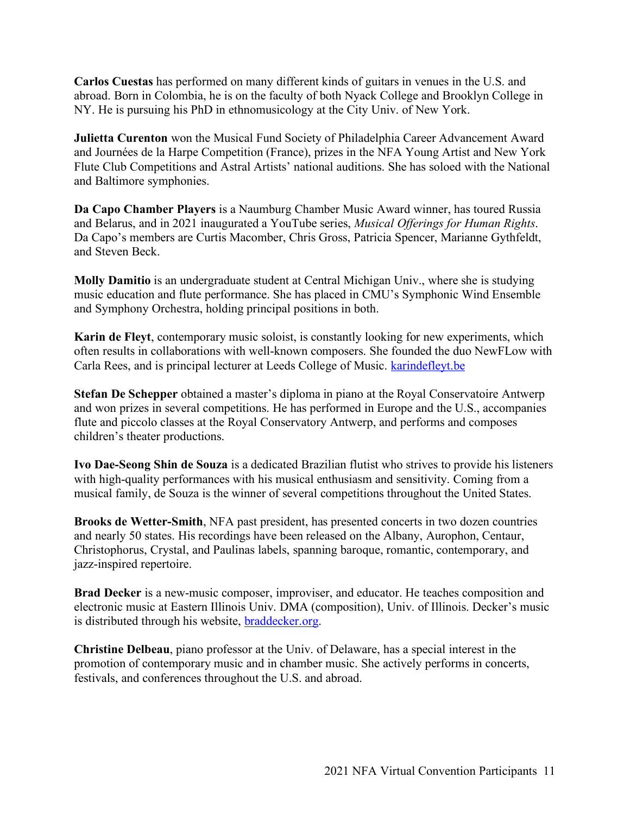**Carlos Cuestas** has performed on many different kinds of guitars in venues in the U.S. and abroad. Born in Colombia, he is on the faculty of both Nyack College and Brooklyn College in NY. He is pursuing his PhD in ethnomusicology at the City Univ. of New York.

**Julietta Curenton** won the Musical Fund Society of Philadelphia Career Advancement Award and Journées de la Harpe Competition (France), prizes in the NFA Young Artist and New York Flute Club Competitions and Astral Artists' national auditions. She has soloed with the National and Baltimore symphonies.

**Da Capo Chamber Players** is a Naumburg Chamber Music Award winner, has toured Russia and Belarus, and in 2021 inaugurated a YouTube series, *Musical Offerings for Human Rights*. Da Capo's members are Curtis Macomber, Chris Gross, Patricia Spencer, Marianne Gythfeldt, and Steven Beck.

**Molly Damitio** is an undergraduate student at Central Michigan Univ., where she is studying music education and flute performance. She has placed in CMU's Symphonic Wind Ensemble and Symphony Orchestra, holding principal positions in both.

**Karin de Fleyt**, contemporary music soloist, is constantly looking for new experiments, which often results in collaborations with well-known composers. She founded the duo NewFLow with Carla Rees, and is principal lecturer at Leeds College of Music. karindefleyt.be

**Stefan De Schepper** obtained a master's diploma in piano at the Royal Conservatoire Antwerp and won prizes in several competitions. He has performed in Europe and the U.S., accompanies flute and piccolo classes at the Royal Conservatory Antwerp, and performs and composes children's theater productions.

**Ivo Dae-Seong Shin de Souza** is a dedicated Brazilian flutist who strives to provide his listeners with high-quality performances with his musical enthusiasm and sensitivity. Coming from a musical family, de Souza is the winner of several competitions throughout the United States.

**Brooks de Wetter-Smith**, NFA past president, has presented concerts in two dozen countries and nearly 50 states. His recordings have been released on the Albany, Aurophon, Centaur, Christophorus, Crystal, and Paulinas labels, spanning baroque, romantic, contemporary, and jazz-inspired repertoire.

**Brad Decker** is a new-music composer, improviser, and educator. He teaches composition and electronic music at Eastern Illinois Univ. DMA (composition), Univ. of Illinois. Decker's music is distributed through his website, braddecker.org.

**Christine Delbeau**, piano professor at the Univ. of Delaware, has a special interest in the promotion of contemporary music and in chamber music. She actively performs in concerts, festivals, and conferences throughout the U.S. and abroad.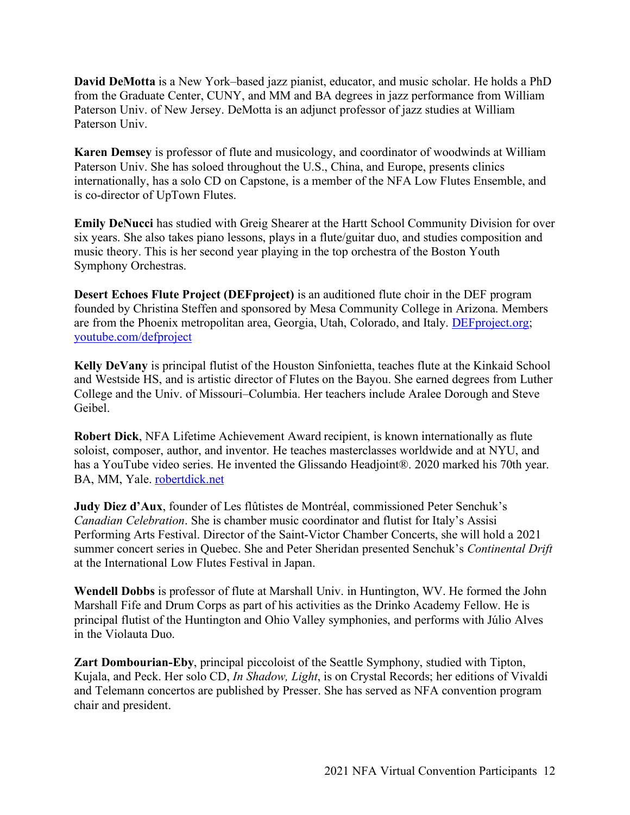**David DeMotta** is a New York–based jazz pianist, educator, and music scholar. He holds a PhD from the Graduate Center, CUNY, and MM and BA degrees in jazz performance from William Paterson Univ. of New Jersey. DeMotta is an adjunct professor of jazz studies at William Paterson Univ.

**Karen Demsey** is professor of flute and musicology, and coordinator of woodwinds at William Paterson Univ. She has soloed throughout the U.S., China, and Europe, presents clinics internationally, has a solo CD on Capstone, is a member of the NFA Low Flutes Ensemble, and is co-director of UpTown Flutes.

**Emily DeNucci** has studied with Greig Shearer at the Hartt School Community Division for over six years. She also takes piano lessons, plays in a flute/guitar duo, and studies composition and music theory. This is her second year playing in the top orchestra of the Boston Youth Symphony Orchestras.

**Desert Echoes Flute Project (DEFproject)** is an auditioned flute choir in the DEF program founded by Christina Steffen and sponsored by Mesa Community College in Arizona. Members are from the Phoenix metropolitan area, Georgia, Utah, Colorado, and Italy. DEFproject.org; youtube.com/defproject

**Kelly DeVany** is principal flutist of the Houston Sinfonietta, teaches flute at the Kinkaid School and Westside HS, and is artistic director of Flutes on the Bayou. She earned degrees from Luther College and the Univ. of Missouri–Columbia. Her teachers include Aralee Dorough and Steve Geibel.

**Robert Dick**, NFA Lifetime Achievement Award recipient, is known internationally as flute soloist, composer, author, and inventor. He teaches masterclasses worldwide and at NYU, and has a YouTube video series. He invented the Glissando Headjoint®. 2020 marked his 70th year. BA, MM, Yale. robertdick.net

**Judy Diez d'Aux**, founder of Les flûtistes de Montréal, commissioned Peter Senchuk's *Canadian Celebration*. She is chamber music coordinator and flutist for Italy's Assisi Performing Arts Festival. Director of the Saint-Victor Chamber Concerts, she will hold a 2021 summer concert series in Quebec. She and Peter Sheridan presented Senchuk's *Continental Drift* at the International Low Flutes Festival in Japan.

**Wendell Dobbs** is professor of flute at Marshall Univ. in Huntington, WV. He formed the John Marshall Fife and Drum Corps as part of his activities as the Drinko Academy Fellow. He is principal flutist of the Huntington and Ohio Valley symphonies, and performs with Júlio Alves in the Violauta Duo.

**Zart Dombourian-Eby**, principal piccoloist of the Seattle Symphony, studied with Tipton, Kujala, and Peck. Her solo CD, *In Shadow, Light*, is on Crystal Records; her editions of Vivaldi and Telemann concertos are published by Presser. She has served as NFA convention program chair and president.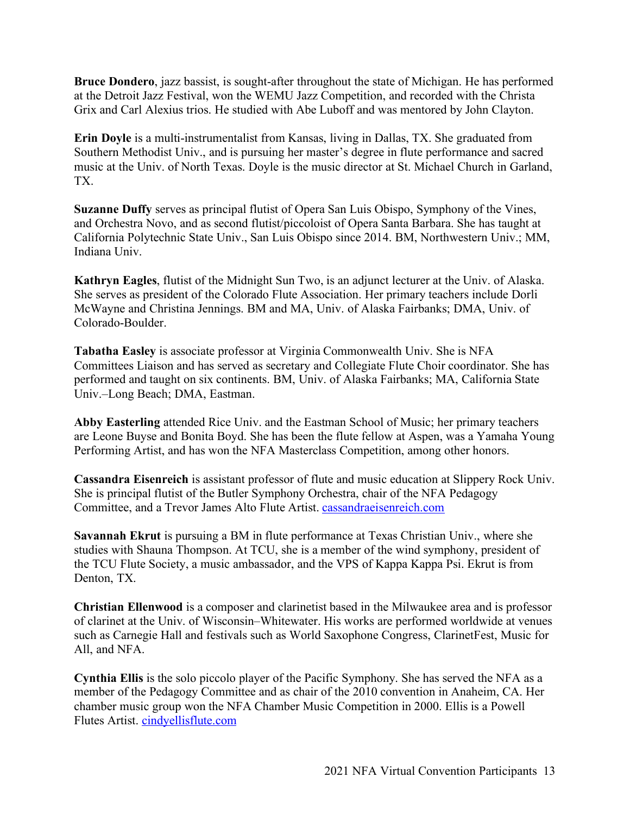**Bruce Dondero**, jazz bassist, is sought-after throughout the state of Michigan. He has performed at the Detroit Jazz Festival, won the WEMU Jazz Competition, and recorded with the Christa Grix and Carl Alexius trios. He studied with Abe Luboff and was mentored by John Clayton.

**Erin Doyle** is a multi-instrumentalist from Kansas, living in Dallas, TX. She graduated from Southern Methodist Univ., and is pursuing her master's degree in flute performance and sacred music at the Univ. of North Texas. Doyle is the music director at St. Michael Church in Garland, TX.

**Suzanne Duffy** serves as principal flutist of Opera San Luis Obispo, Symphony of the Vines, and Orchestra Novo, and as second flutist/piccoloist of Opera Santa Barbara. She has taught at California Polytechnic State Univ., San Luis Obispo since 2014. BM, Northwestern Univ.; MM, Indiana Univ.

**Kathryn Eagles**, flutist of the Midnight Sun Two, is an adjunct lecturer at the Univ. of Alaska. She serves as president of the Colorado Flute Association. Her primary teachers include Dorli McWayne and Christina Jennings. BM and MA, Univ. of Alaska Fairbanks; DMA, Univ. of Colorado-Boulder.

**Tabatha Easley** is associate professor at Virginia Commonwealth Univ. She is NFA Committees Liaison and has served as secretary and Collegiate Flute Choir coordinator. She has performed and taught on six continents. BM, Univ. of Alaska Fairbanks; MA, California State Univ.–Long Beach; DMA, Eastman.

**Abby Easterling** attended Rice Univ. and the Eastman School of Music; her primary teachers are Leone Buyse and Bonita Boyd. She has been the flute fellow at Aspen, was a Yamaha Young Performing Artist, and has won the NFA Masterclass Competition, among other honors.

**Cassandra Eisenreich** is assistant professor of flute and music education at Slippery Rock Univ. She is principal flutist of the Butler Symphony Orchestra, chair of the NFA Pedagogy Committee, and a Trevor James Alto Flute Artist. cassandraeisenreich.com

**Savannah Ekrut** is pursuing a BM in flute performance at Texas Christian Univ., where she studies with Shauna Thompson. At TCU, she is a member of the wind symphony, president of the TCU Flute Society, a music ambassador, and the VPS of Kappa Kappa Psi. Ekrut is from Denton, TX.

**Christian Ellenwood** is a composer and clarinetist based in the Milwaukee area and is professor of clarinet at the Univ. of Wisconsin–Whitewater. His works are performed worldwide at venues such as Carnegie Hall and festivals such as World Saxophone Congress, ClarinetFest, Music for All, and NFA.

**Cynthia Ellis** is the solo piccolo player of the Pacific Symphony. She has served the NFA as a member of the Pedagogy Committee and as chair of the 2010 convention in Anaheim, CA. Her chamber music group won the NFA Chamber Music Competition in 2000. Ellis is a Powell Flutes Artist. cindyellisflute.com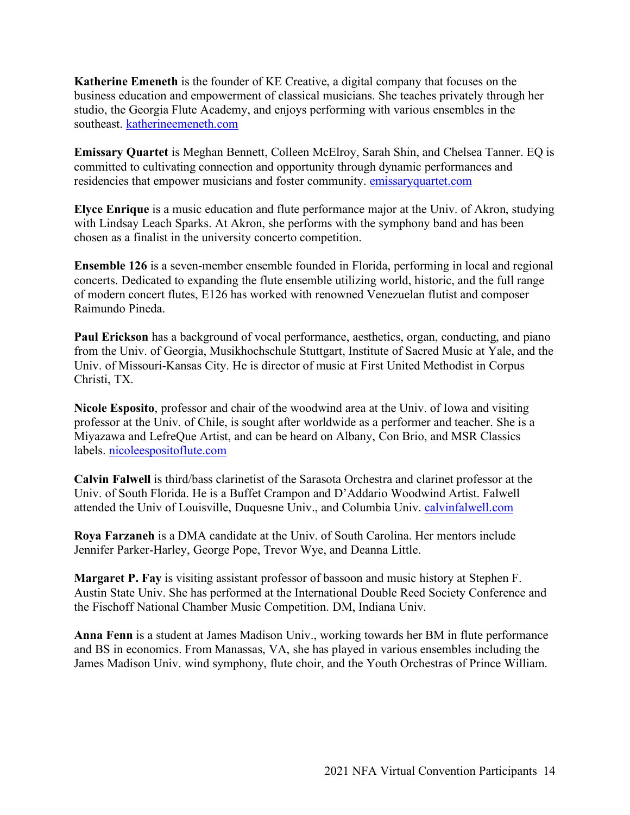**Katherine Emeneth** is the founder of KE Creative, a digital company that focuses on the business education and empowerment of classical musicians. She teaches privately through her studio, the Georgia Flute Academy, and enjoys performing with various ensembles in the southeast. katherineemeneth.com

**Emissary Quartet** is Meghan Bennett, Colleen McElroy, Sarah Shin, and Chelsea Tanner. EQ is committed to cultivating connection and opportunity through dynamic performances and residencies that empower musicians and foster community. emissaryquartet.com

**Elyce Enrique** is a music education and flute performance major at the Univ. of Akron, studying with Lindsay Leach Sparks. At Akron, she performs with the symphony band and has been chosen as a finalist in the university concerto competition.

**Ensemble 126** is a seven-member ensemble founded in Florida, performing in local and regional concerts. Dedicated to expanding the flute ensemble utilizing world, historic, and the full range of modern concert flutes, E126 has worked with renowned Venezuelan flutist and composer Raimundo Pineda.

**Paul Erickson** has a background of vocal performance, aesthetics, organ, conducting, and piano from the Univ. of Georgia, Musikhochschule Stuttgart, Institute of Sacred Music at Yale, and the Univ. of Missouri-Kansas City. He is director of music at First United Methodist in Corpus Christi, TX.

**Nicole Esposito**, professor and chair of the woodwind area at the Univ. of Iowa and visiting professor at the Univ. of Chile, is sought after worldwide as a performer and teacher. She is a Miyazawa and LefreQue Artist, and can be heard on Albany, Con Brio, and MSR Classics labels. nicoleespositoflute.com

**Calvin Falwell** is third/bass clarinetist of the Sarasota Orchestra and clarinet professor at the Univ. of South Florida. He is a Buffet Crampon and D'Addario Woodwind Artist. Falwell attended the Univ of Louisville, Duquesne Univ., and Columbia Univ. calvinfalwell.com

**Roya Farzaneh** is a DMA candidate at the Univ. of South Carolina. Her mentors include Jennifer Parker-Harley, George Pope, Trevor Wye, and Deanna Little.

**Margaret P. Fay** is visiting assistant professor of bassoon and music history at Stephen F. Austin State Univ. She has performed at the International Double Reed Society Conference and the Fischoff National Chamber Music Competition. DM, Indiana Univ.

**Anna Fenn** is a student at James Madison Univ., working towards her BM in flute performance and BS in economics. From Manassas, VA, she has played in various ensembles including the James Madison Univ. wind symphony, flute choir, and the Youth Orchestras of Prince William.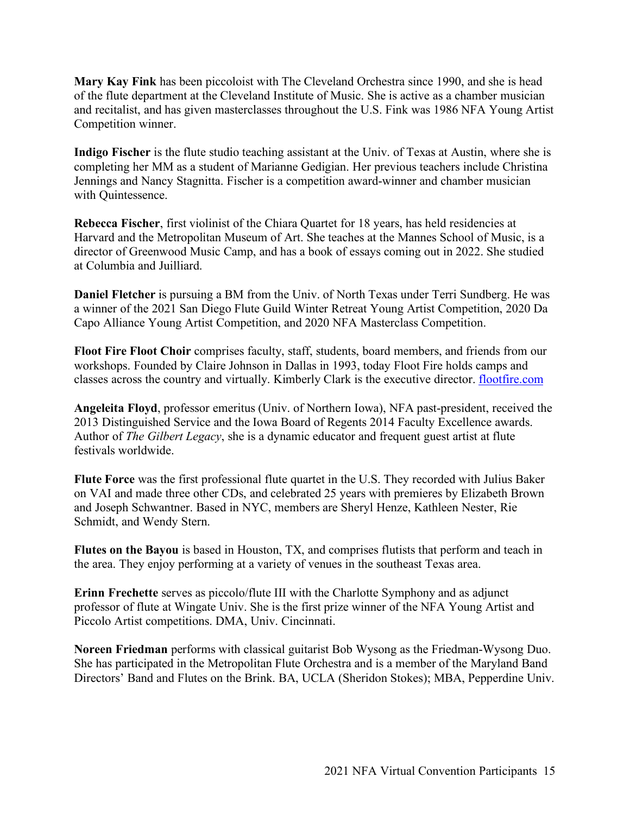**Mary Kay Fink** has been piccoloist with The Cleveland Orchestra since 1990, and she is head of the flute department at the Cleveland Institute of Music. She is active as a chamber musician and recitalist, and has given masterclasses throughout the U.S. Fink was 1986 NFA Young Artist Competition winner.

**Indigo Fischer** is the flute studio teaching assistant at the Univ. of Texas at Austin, where she is completing her MM as a student of Marianne Gedigian. Her previous teachers include Christina Jennings and Nancy Stagnitta. Fischer is a competition award-winner and chamber musician with Quintessence.

**Rebecca Fischer**, first violinist of the Chiara Quartet for 18 years, has held residencies at Harvard and the Metropolitan Museum of Art. She teaches at the Mannes School of Music, is a director of Greenwood Music Camp, and has a book of essays coming out in 2022. She studied at Columbia and Juilliard.

**Daniel Fletcher** is pursuing a BM from the Univ. of North Texas under Terri Sundberg. He was a winner of the 2021 San Diego Flute Guild Winter Retreat Young Artist Competition, 2020 Da Capo Alliance Young Artist Competition, and 2020 NFA Masterclass Competition.

**Floot Fire Floot Choir** comprises faculty, staff, students, board members, and friends from our workshops. Founded by Claire Johnson in Dallas in 1993, today Floot Fire holds camps and classes across the country and virtually. Kimberly Clark is the executive director. flootfire.com

**Angeleita Floyd**, professor emeritus (Univ. of Northern Iowa), NFA past-president, received the 2013 Distinguished Service and the Iowa Board of Regents 2014 Faculty Excellence awards. Author of *The Gilbert Legacy*, she is a dynamic educator and frequent guest artist at flute festivals worldwide.

**Flute Force** was the first professional flute quartet in the U.S. They recorded with Julius Baker on VAI and made three other CDs, and celebrated 25 years with premieres by Elizabeth Brown and Joseph Schwantner. Based in NYC, members are Sheryl Henze, Kathleen Nester, Rie Schmidt, and Wendy Stern.

**Flutes on the Bayou** is based in Houston, TX, and comprises flutists that perform and teach in the area. They enjoy performing at a variety of venues in the southeast Texas area.

**Erinn Frechette** serves as piccolo/flute III with the Charlotte Symphony and as adjunct professor of flute at Wingate Univ. She is the first prize winner of the NFA Young Artist and Piccolo Artist competitions. DMA, Univ. Cincinnati.

**Noreen Friedman** performs with classical guitarist Bob Wysong as the Friedman-Wysong Duo. She has participated in the Metropolitan Flute Orchestra and is a member of the Maryland Band Directors' Band and Flutes on the Brink. BA, UCLA (Sheridon Stokes); MBA, Pepperdine Univ.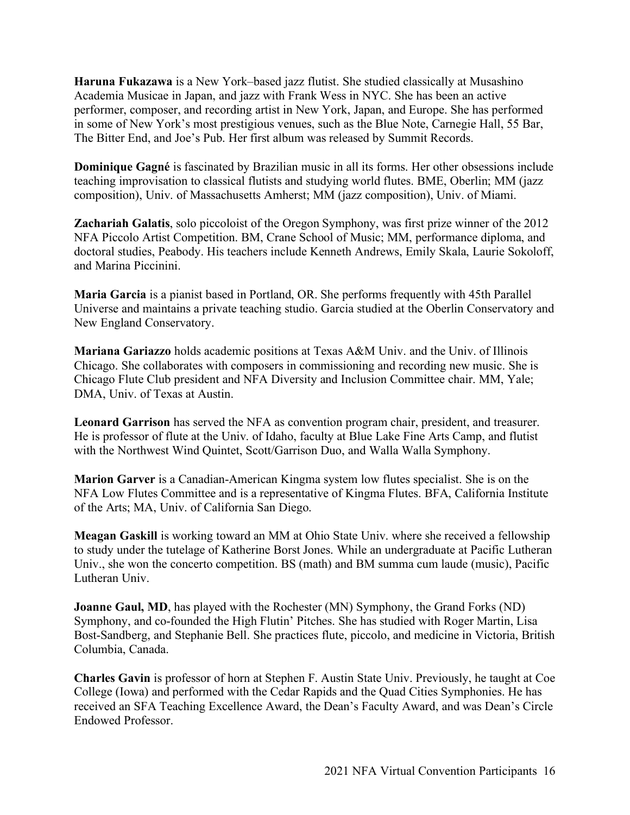**Haruna Fukazawa** is a New York–based jazz flutist. She studied classically at Musashino Academia Musicae in Japan, and jazz with Frank Wess in NYC. She has been an active performer, composer, and recording artist in New York, Japan, and Europe. She has performed in some of New York's most prestigious venues, such as the Blue Note, Carnegie Hall, 55 Bar, The Bitter End, and Joe's Pub. Her first album was released by Summit Records.

**Dominique Gagné** is fascinated by Brazilian music in all its forms. Her other obsessions include teaching improvisation to classical flutists and studying world flutes. BME, Oberlin; MM (jazz composition), Univ. of Massachusetts Amherst; MM (jazz composition), Univ. of Miami.

**Zachariah Galatis**, solo piccoloist of the Oregon Symphony, was first prize winner of the 2012 NFA Piccolo Artist Competition. BM, Crane School of Music; MM, performance diploma, and doctoral studies, Peabody. His teachers include Kenneth Andrews, Emily Skala, Laurie Sokoloff, and Marina Piccinini.

**Maria Garcia** is a pianist based in Portland, OR. She performs frequently with 45th Parallel Universe and maintains a private teaching studio. Garcia studied at the Oberlin Conservatory and New England Conservatory.

**Mariana Gariazzo** holds academic positions at Texas A&M Univ. and the Univ. of Illinois Chicago. She collaborates with composers in commissioning and recording new music. She is Chicago Flute Club president and NFA Diversity and Inclusion Committee chair. MM, Yale; DMA, Univ. of Texas at Austin.

**Leonard Garrison** has served the NFA as convention program chair, president, and treasurer. He is professor of flute at the Univ. of Idaho, faculty at Blue Lake Fine Arts Camp, and flutist with the Northwest Wind Quintet, Scott/Garrison Duo, and Walla Walla Symphony.

**Marion Garver** is a Canadian-American Kingma system low flutes specialist. She is on the NFA Low Flutes Committee and is a representative of Kingma Flutes. BFA, California Institute of the Arts; MA, Univ. of California San Diego.

**Meagan Gaskill** is working toward an MM at Ohio State Univ. where she received a fellowship to study under the tutelage of Katherine Borst Jones. While an undergraduate at Pacific Lutheran Univ., she won the concerto competition. BS (math) and BM summa cum laude (music), Pacific Lutheran Univ.

**Joanne Gaul, MD**, has played with the Rochester (MN) Symphony, the Grand Forks (ND) Symphony, and co-founded the High Flutin' Pitches. She has studied with Roger Martin, Lisa Bost-Sandberg, and Stephanie Bell. She practices flute, piccolo, and medicine in Victoria, British Columbia, Canada.

**Charles Gavin** is professor of horn at Stephen F. Austin State Univ. Previously, he taught at Coe College (Iowa) and performed with the Cedar Rapids and the Quad Cities Symphonies. He has received an SFA Teaching Excellence Award, the Dean's Faculty Award, and was Dean's Circle Endowed Professor.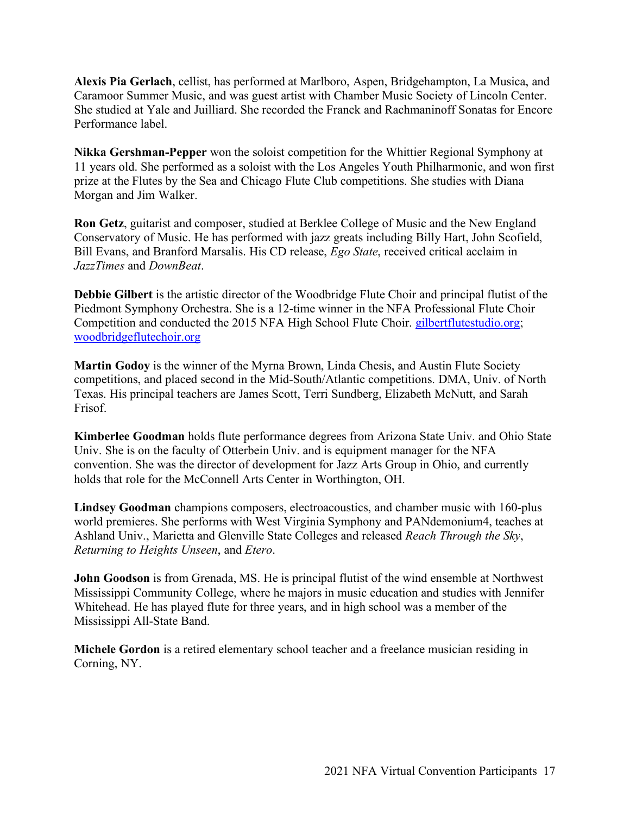**Alexis Pia Gerlach**, cellist, has performed at Marlboro, Aspen, Bridgehampton, La Musica, and Caramoor Summer Music, and was guest artist with Chamber Music Society of Lincoln Center. She studied at Yale and Juilliard. She recorded the Franck and Rachmaninoff Sonatas for Encore Performance label.

**Nikka Gershman-Pepper** won the soloist competition for the Whittier Regional Symphony at 11 years old. She performed as a soloist with the Los Angeles Youth Philharmonic, and won first prize at the Flutes by the Sea and Chicago Flute Club competitions. She studies with Diana Morgan and Jim Walker.

**Ron Getz**, guitarist and composer, studied at Berklee College of Music and the New England Conservatory of Music. He has performed with jazz greats including Billy Hart, John Scofield, Bill Evans, and Branford Marsalis. His CD release, *Ego State*, received critical acclaim in *JazzTimes* and *DownBeat*.

**Debbie Gilbert** is the artistic director of the Woodbridge Flute Choir and principal flutist of the Piedmont Symphony Orchestra. She is a 12-time winner in the NFA Professional Flute Choir Competition and conducted the 2015 NFA High School Flute Choir. gilbertflutestudio.org; woodbridgeflutechoir.org

**Martin Godoy** is the winner of the Myrna Brown, Linda Chesis, and Austin Flute Society competitions, and placed second in the Mid-South/Atlantic competitions. DMA, Univ. of North Texas. His principal teachers are James Scott, Terri Sundberg, Elizabeth McNutt, and Sarah Frisof.

**Kimberlee Goodman** holds flute performance degrees from Arizona State Univ. and Ohio State Univ. She is on the faculty of Otterbein Univ. and is equipment manager for the NFA convention. She was the director of development for Jazz Arts Group in Ohio, and currently holds that role for the McConnell Arts Center in Worthington, OH.

**Lindsey Goodman** champions composers, electroacoustics, and chamber music with 160-plus world premieres. She performs with West Virginia Symphony and PANdemonium4, teaches at Ashland Univ., Marietta and Glenville State Colleges and released *Reach Through the Sky*, *Returning to Heights Unseen*, and *Etero*.

**John Goodson** is from Grenada, MS. He is principal flutist of the wind ensemble at Northwest Mississippi Community College, where he majors in music education and studies with Jennifer Whitehead. He has played flute for three years, and in high school was a member of the Mississippi All-State Band.

**Michele Gordon** is a retired elementary school teacher and a freelance musician residing in Corning, NY.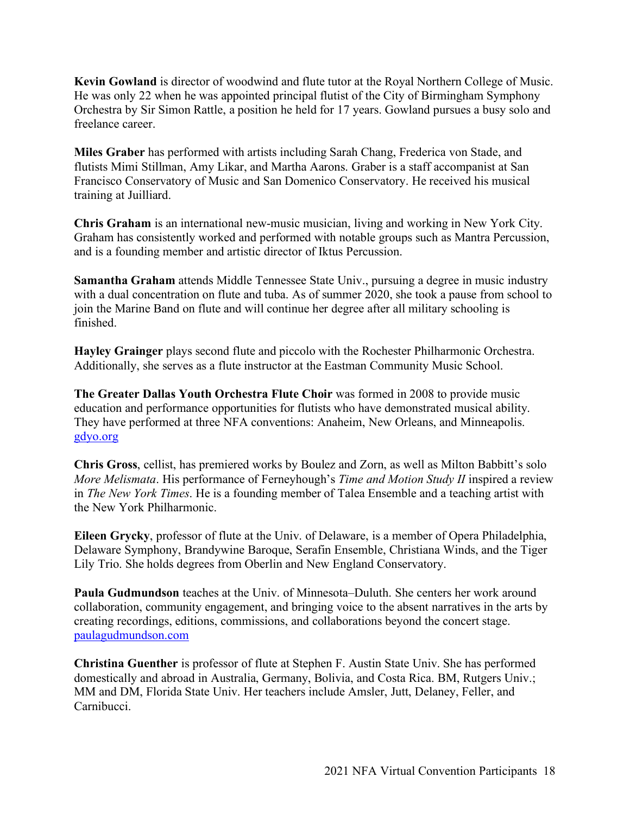**Kevin Gowland** is director of woodwind and flute tutor at the Royal Northern College of Music. He was only 22 when he was appointed principal flutist of the City of Birmingham Symphony Orchestra by Sir Simon Rattle, a position he held for 17 years. Gowland pursues a busy solo and freelance career.

**Miles Graber** has performed with artists including Sarah Chang, Frederica von Stade, and flutists Mimi Stillman, Amy Likar, and Martha Aarons. Graber is a staff accompanist at San Francisco Conservatory of Music and San Domenico Conservatory. He received his musical training at Juilliard.

**Chris Graham** is an international new-music musician, living and working in New York City. Graham has consistently worked and performed with notable groups such as Mantra Percussion, and is a founding member and artistic director of Iktus Percussion.

**Samantha Graham** attends Middle Tennessee State Univ., pursuing a degree in music industry with a dual concentration on flute and tuba. As of summer 2020, she took a pause from school to join the Marine Band on flute and will continue her degree after all military schooling is finished.

**Hayley Grainger** plays second flute and piccolo with the Rochester Philharmonic Orchestra. Additionally, she serves as a flute instructor at the Eastman Community Music School.

**The Greater Dallas Youth Orchestra Flute Choir** was formed in 2008 to provide music education and performance opportunities for flutists who have demonstrated musical ability. They have performed at three NFA conventions: Anaheim, New Orleans, and Minneapolis. gdyo.org

**Chris Gross**, cellist, has premiered works by Boulez and Zorn, as well as Milton Babbitt's solo *More Melismata*. His performance of Ferneyhough's *Time and Motion Study II* inspired a review in *The New York Times*. He is a founding member of Talea Ensemble and a teaching artist with the New York Philharmonic.

**Eileen Grycky**, professor of flute at the Univ. of Delaware, is a member of Opera Philadelphia, Delaware Symphony, Brandywine Baroque, Serafin Ensemble, Christiana Winds, and the Tiger Lily Trio. She holds degrees from Oberlin and New England Conservatory.

**Paula Gudmundson** teaches at the Univ. of Minnesota–Duluth. She centers her work around collaboration, community engagement, and bringing voice to the absent narratives in the arts by creating recordings, editions, commissions, and collaborations beyond the concert stage. paulagudmundson.com

**Christina Guenther** is professor of flute at Stephen F. Austin State Univ. She has performed domestically and abroad in Australia, Germany, Bolivia, and Costa Rica. BM, Rutgers Univ.; MM and DM, Florida State Univ. Her teachers include Amsler, Jutt, Delaney, Feller, and Carnibucci.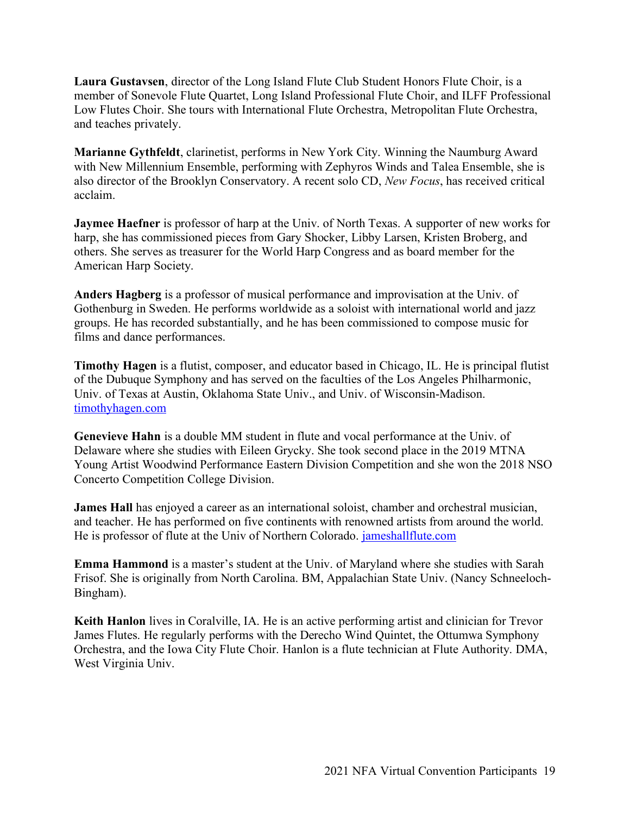**Laura Gustavsen**, director of the Long Island Flute Club Student Honors Flute Choir, is a member of Sonevole Flute Quartet, Long Island Professional Flute Choir, and ILFF Professional Low Flutes Choir. She tours with International Flute Orchestra, Metropolitan Flute Orchestra, and teaches privately.

**Marianne Gythfeldt**, clarinetist, performs in New York City. Winning the Naumburg Award with New Millennium Ensemble, performing with Zephyros Winds and Talea Ensemble, she is also director of the Brooklyn Conservatory. A recent solo CD, *New Focus*, has received critical acclaim.

**Jaymee Haefner** is professor of harp at the Univ. of North Texas. A supporter of new works for harp, she has commissioned pieces from Gary Shocker, Libby Larsen, Kristen Broberg, and others. She serves as treasurer for the World Harp Congress and as board member for the American Harp Society.

**Anders Hagberg** is a professor of musical performance and improvisation at the Univ. of Gothenburg in Sweden. He performs worldwide as a soloist with international world and jazz groups. He has recorded substantially, and he has been commissioned to compose music for films and dance performances.

**Timothy Hagen** is a flutist, composer, and educator based in Chicago, IL. He is principal flutist of the Dubuque Symphony and has served on the faculties of the Los Angeles Philharmonic, Univ. of Texas at Austin, Oklahoma State Univ., and Univ. of Wisconsin-Madison. timothyhagen.com

**Genevieve Hahn** is a double MM student in flute and vocal performance at the Univ. of Delaware where she studies with Eileen Grycky. She took second place in the 2019 MTNA Young Artist Woodwind Performance Eastern Division Competition and she won the 2018 NSO Concerto Competition College Division.

**James Hall** has enjoyed a career as an international soloist, chamber and orchestral musician, and teacher. He has performed on five continents with renowned artists from around the world. He is professor of flute at the Univ of Northern Colorado. jameshallflute.com

**Emma Hammond** is a master's student at the Univ. of Maryland where she studies with Sarah Frisof. She is originally from North Carolina. BM, Appalachian State Univ. (Nancy Schneeloch-Bingham).

**Keith Hanlon** lives in Coralville, IA. He is an active performing artist and clinician for Trevor James Flutes. He regularly performs with the Derecho Wind Quintet, the Ottumwa Symphony Orchestra, and the Iowa City Flute Choir. Hanlon is a flute technician at Flute Authority. DMA, West Virginia Univ.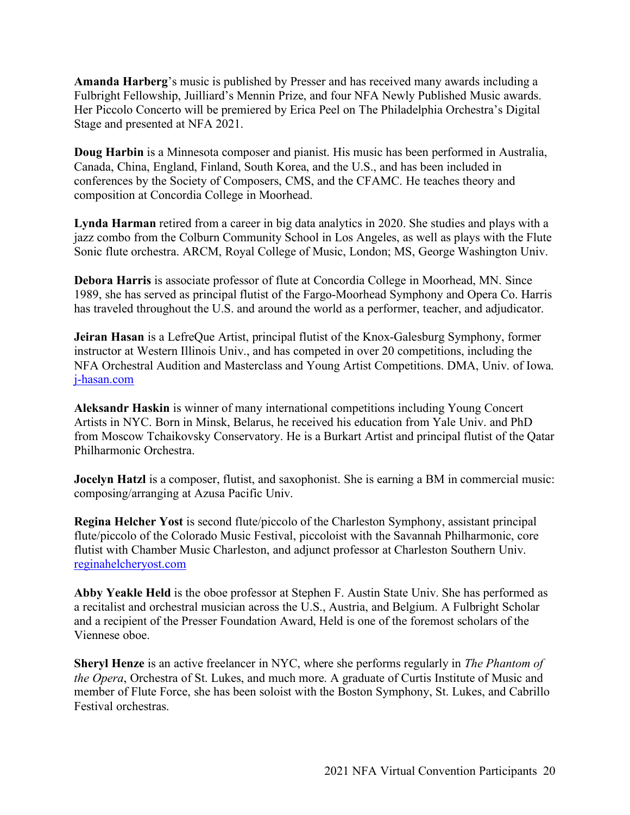**Amanda Harberg**'s music is published by Presser and has received many awards including a Fulbright Fellowship, Juilliard's Mennin Prize, and four NFA Newly Published Music awards. Her Piccolo Concerto will be premiered by Erica Peel on The Philadelphia Orchestra's Digital Stage and presented at NFA 2021.

**Doug Harbin** is a Minnesota composer and pianist. His music has been performed in Australia, Canada, China, England, Finland, South Korea, and the U.S., and has been included in conferences by the Society of Composers, CMS, and the CFAMC. He teaches theory and composition at Concordia College in Moorhead.

**Lynda Harman** retired from a career in big data analytics in 2020. She studies and plays with a jazz combo from the Colburn Community School in Los Angeles, as well as plays with the Flute Sonic flute orchestra. ARCM, Royal College of Music, London; MS, George Washington Univ.

**Debora Harris** is associate professor of flute at Concordia College in Moorhead, MN. Since 1989, she has served as principal flutist of the Fargo-Moorhead Symphony and Opera Co. Harris has traveled throughout the U.S. and around the world as a performer, teacher, and adjudicator.

**Jeiran Hasan** is a LefreQue Artist, principal flutist of the Knox-Galesburg Symphony, former instructor at Western Illinois Univ., and has competed in over 20 competitions, including the NFA Orchestral Audition and Masterclass and Young Artist Competitions. DMA, Univ. of Iowa. j-hasan.com

**Aleksandr Haskin** is winner of many international competitions including Young Concert Artists in NYC. Born in Minsk, Belarus, he received his education from Yale Univ. and PhD from Moscow Tchaikovsky Conservatory. He is a Burkart Artist and principal flutist of the Qatar Philharmonic Orchestra.

**Jocelyn Hatzl** is a composer, flutist, and saxophonist. She is earning a BM in commercial music: composing/arranging at Azusa Pacific Univ.

**Regina Helcher Yost** is second flute/piccolo of the Charleston Symphony, assistant principal flute/piccolo of the Colorado Music Festival, piccoloist with the Savannah Philharmonic, core flutist with Chamber Music Charleston, and adjunct professor at Charleston Southern Univ. reginahelcheryost.com

**Abby Yeakle Held** is the oboe professor at Stephen F. Austin State Univ. She has performed as a recitalist and orchestral musician across the U.S., Austria, and Belgium. A Fulbright Scholar and a recipient of the Presser Foundation Award, Held is one of the foremost scholars of the Viennese oboe.

**Sheryl Henze** is an active freelancer in NYC, where she performs regularly in *The Phantom of the Opera*, Orchestra of St. Lukes, and much more. A graduate of Curtis Institute of Music and member of Flute Force, she has been soloist with the Boston Symphony, St. Lukes, and Cabrillo Festival orchestras.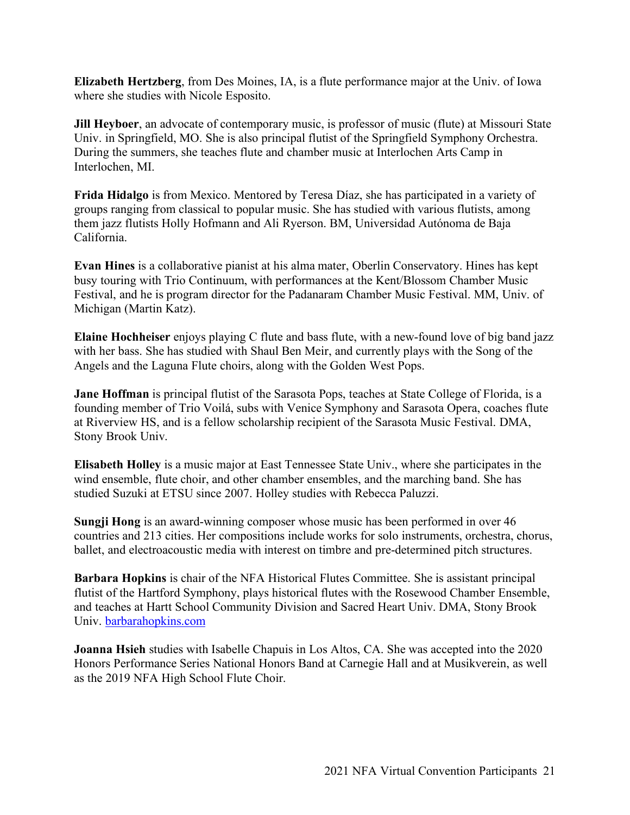**Elizabeth Hertzberg**, from Des Moines, IA, is a flute performance major at the Univ. of Iowa where she studies with Nicole Esposito.

**Jill Heyboer**, an advocate of contemporary music, is professor of music (flute) at Missouri State Univ. in Springfield, MO. She is also principal flutist of the Springfield Symphony Orchestra. During the summers, she teaches flute and chamber music at Interlochen Arts Camp in Interlochen, MI.

**Frida Hidalgo** is from Mexico. Mentored by Teresa Díaz, she has participated in a variety of groups ranging from classical to popular music. She has studied with various flutists, among them jazz flutists Holly Hofmann and Ali Ryerson. BM, Universidad Autónoma de Baja California.

**Evan Hines** is a collaborative pianist at his alma mater, Oberlin Conservatory. Hines has kept busy touring with Trio Continuum, with performances at the Kent/Blossom Chamber Music Festival, and he is program director for the Padanaram Chamber Music Festival. MM, Univ. of Michigan (Martin Katz).

**Elaine Hochheiser** enjoys playing C flute and bass flute, with a new-found love of big band jazz with her bass. She has studied with Shaul Ben Meir, and currently plays with the Song of the Angels and the Laguna Flute choirs, along with the Golden West Pops.

**Jane Hoffman** is principal flutist of the Sarasota Pops, teaches at State College of Florida, is a founding member of Trio Voilá, subs with Venice Symphony and Sarasota Opera, coaches flute at Riverview HS, and is a fellow scholarship recipient of the Sarasota Music Festival. DMA, Stony Brook Univ.

**Elisabeth Holley** is a music major at East Tennessee State Univ., where she participates in the wind ensemble, flute choir, and other chamber ensembles, and the marching band. She has studied Suzuki at ETSU since 2007. Holley studies with Rebecca Paluzzi.

**Sungji Hong** is an award-winning composer whose music has been performed in over 46 countries and 213 cities. Her compositions include works for solo instruments, orchestra, chorus, ballet, and electroacoustic media with interest on timbre and pre-determined pitch structures.

**Barbara Hopkins** is chair of the NFA Historical Flutes Committee. She is assistant principal flutist of the Hartford Symphony, plays historical flutes with the Rosewood Chamber Ensemble, and teaches at Hartt School Community Division and Sacred Heart Univ. DMA, Stony Brook Univ. barbarahopkins.com

**Joanna Hsieh** studies with Isabelle Chapuis in Los Altos, CA. She was accepted into the 2020 Honors Performance Series National Honors Band at Carnegie Hall and at Musikverein, as well as the 2019 NFA High School Flute Choir.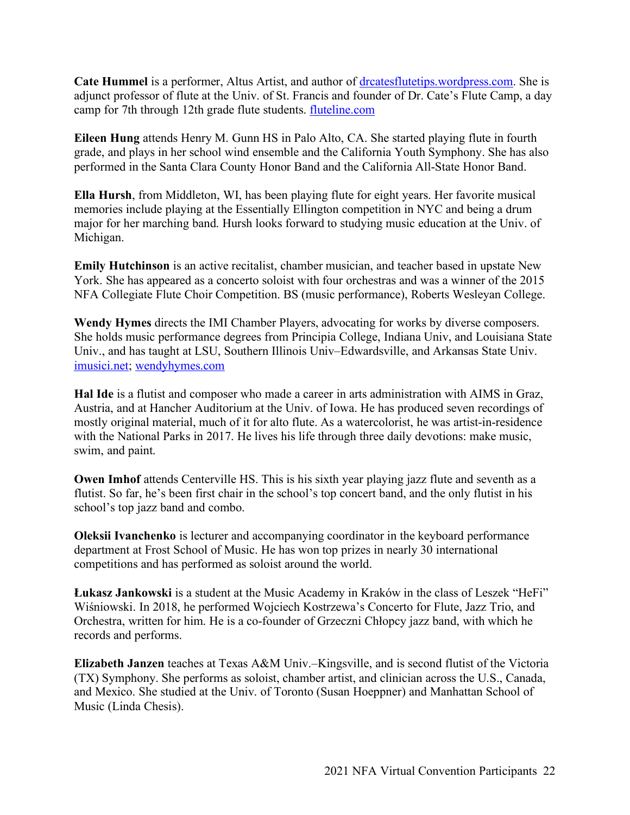**Cate Hummel** is a performer, Altus Artist, and author of drcatesflutetips.wordpress.com. She is adjunct professor of flute at the Univ. of St. Francis and founder of Dr. Cate's Flute Camp, a day camp for 7th through 12th grade flute students. fluteline.com

**Eileen Hung** attends Henry M. Gunn HS in Palo Alto, CA. She started playing flute in fourth grade, and plays in her school wind ensemble and the California Youth Symphony. She has also performed in the Santa Clara County Honor Band and the California All-State Honor Band.

**Ella Hursh**, from Middleton, WI, has been playing flute for eight years. Her favorite musical memories include playing at the Essentially Ellington competition in NYC and being a drum major for her marching band. Hursh looks forward to studying music education at the Univ. of Michigan.

**Emily Hutchinson** is an active recitalist, chamber musician, and teacher based in upstate New York. She has appeared as a concerto soloist with four orchestras and was a winner of the 2015 NFA Collegiate Flute Choir Competition. BS (music performance), Roberts Wesleyan College.

**Wendy Hymes** directs the IMI Chamber Players, advocating for works by diverse composers. She holds music performance degrees from Principia College, Indiana Univ, and Louisiana State Univ., and has taught at LSU, Southern Illinois Univ–Edwardsville, and Arkansas State Univ. imusici.net; wendyhymes.com

**Hal Ide** is a flutist and composer who made a career in arts administration with AIMS in Graz, Austria, and at Hancher Auditorium at the Univ. of Iowa. He has produced seven recordings of mostly original material, much of it for alto flute. As a watercolorist, he was artist-in-residence with the National Parks in 2017. He lives his life through three daily devotions: make music, swim, and paint.

**Owen Imhof** attends Centerville HS. This is his sixth year playing jazz flute and seventh as a flutist. So far, he's been first chair in the school's top concert band, and the only flutist in his school's top jazz band and combo.

**Oleksii Ivanchenko** is lecturer and accompanying coordinator in the keyboard performance department at Frost School of Music. He has won top prizes in nearly 30 international competitions and has performed as soloist around the world.

**Łukasz Jankowski** is a student at the Music Academy in Kraków in the class of Leszek "HeFi" Wiśniowski. In 2018, he performed Wojciech Kostrzewa's Concerto for Flute, Jazz Trio, and Orchestra, written for him. He is a co-founder of Grzeczni Chłopcy jazz band, with which he records and performs.

**Elizabeth Janzen** teaches at Texas A&M Univ.–Kingsville, and is second flutist of the Victoria (TX) Symphony. She performs as soloist, chamber artist, and clinician across the U.S., Canada, and Mexico. She studied at the Univ. of Toronto (Susan Hoeppner) and Manhattan School of Music (Linda Chesis).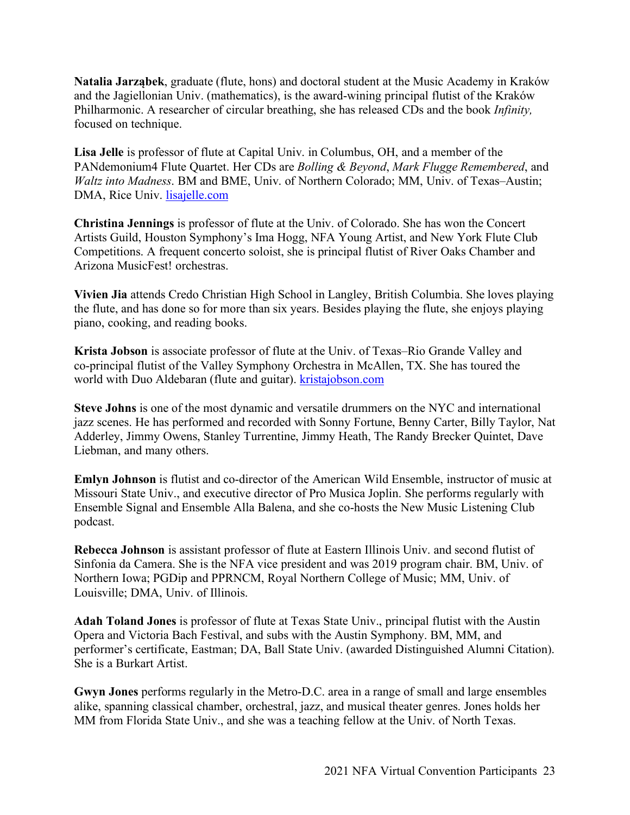**Natalia Jarząbek**, graduate (flute, hons) and doctoral student at the Music Academy in Kraków and the Jagiellonian Univ. (mathematics), is the award-wining principal flutist of the Kraków Philharmonic. A researcher of circular breathing, she has released CDs and the book *Infinity,* focused on technique.

**Lisa Jelle** is professor of flute at Capital Univ. in Columbus, OH, and a member of the PANdemonium4 Flute Quartet. Her CDs are *Bolling & Beyond*, *Mark Flugge Remembered*, and *Waltz into Madness*. BM and BME, Univ. of Northern Colorado; MM, Univ. of Texas–Austin; DMA, Rice Univ. lisajelle.com

**Christina Jennings** is professor of flute at the Univ. of Colorado. She has won the Concert Artists Guild, Houston Symphony's Ima Hogg, NFA Young Artist, and New York Flute Club Competitions. A frequent concerto soloist, she is principal flutist of River Oaks Chamber and Arizona MusicFest! orchestras.

**Vivien Jia** attends Credo Christian High School in Langley, British Columbia. She loves playing the flute, and has done so for more than six years. Besides playing the flute, she enjoys playing piano, cooking, and reading books.

**Krista Jobson** is associate professor of flute at the Univ. of Texas–Rio Grande Valley and co-principal flutist of the Valley Symphony Orchestra in McAllen, TX. She has toured the world with Duo Aldebaran (flute and guitar). kristajobson.com

**Steve Johns** is one of the most dynamic and versatile drummers on the NYC and international jazz scenes. He has performed and recorded with Sonny Fortune, Benny Carter, Billy Taylor, Nat Adderley, Jimmy Owens, Stanley Turrentine, Jimmy Heath, The Randy Brecker Quintet, Dave Liebman, and many others.

**Emlyn Johnson** is flutist and co-director of the American Wild Ensemble, instructor of music at Missouri State Univ., and executive director of Pro Musica Joplin. She performs regularly with Ensemble Signal and Ensemble Alla Balena, and she co-hosts the New Music Listening Club podcast.

**Rebecca Johnson** is assistant professor of flute at Eastern Illinois Univ. and second flutist of Sinfonia da Camera. She is the NFA vice president and was 2019 program chair. BM, Univ. of Northern Iowa; PGDip and PPRNCM, Royal Northern College of Music; MM, Univ. of Louisville; DMA, Univ. of Illinois.

**Adah Toland Jones** is professor of flute at Texas State Univ., principal flutist with the Austin Opera and Victoria Bach Festival, and subs with the Austin Symphony. BM, MM, and performer's certificate, Eastman; DA, Ball State Univ. (awarded Distinguished Alumni Citation). She is a Burkart Artist.

**Gwyn Jones** performs regularly in the Metro-D.C. area in a range of small and large ensembles alike, spanning classical chamber, orchestral, jazz, and musical theater genres. Jones holds her MM from Florida State Univ., and she was a teaching fellow at the Univ. of North Texas.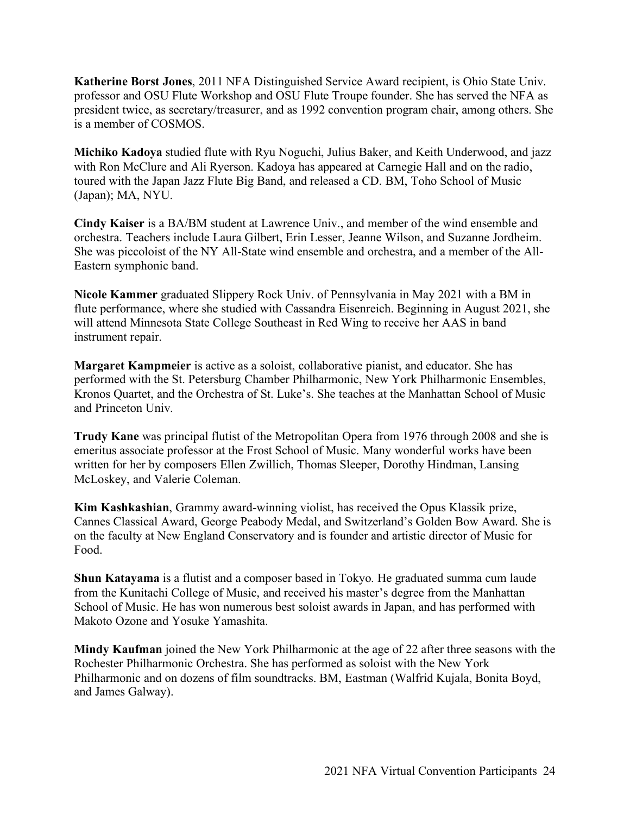**Katherine Borst Jones**, 2011 NFA Distinguished Service Award recipient, is Ohio State Univ. professor and OSU Flute Workshop and OSU Flute Troupe founder. She has served the NFA as president twice, as secretary/treasurer, and as 1992 convention program chair, among others. She is a member of COSMOS.

**Michiko Kadoya** studied flute with Ryu Noguchi, Julius Baker, and Keith Underwood, and jazz with Ron McClure and Ali Ryerson. Kadoya has appeared at Carnegie Hall and on the radio, toured with the Japan Jazz Flute Big Band, and released a CD. BM, Toho School of Music (Japan); MA, NYU.

**Cindy Kaiser** is a BA/BM student at Lawrence Univ., and member of the wind ensemble and orchestra. Teachers include Laura Gilbert, Erin Lesser, Jeanne Wilson, and Suzanne Jordheim. She was piccoloist of the NY All-State wind ensemble and orchestra, and a member of the All-Eastern symphonic band.

**Nicole Kammer** graduated Slippery Rock Univ. of Pennsylvania in May 2021 with a BM in flute performance, where she studied with Cassandra Eisenreich. Beginning in August 2021, she will attend Minnesota State College Southeast in Red Wing to receive her AAS in band instrument repair.

**Margaret Kampmeier** is active as a soloist, collaborative pianist, and educator. She has performed with the St. Petersburg Chamber Philharmonic, New York Philharmonic Ensembles, Kronos Quartet, and the Orchestra of St. Luke's. She teaches at the Manhattan School of Music and Princeton Univ.

**Trudy Kane** was principal flutist of the Metropolitan Opera from 1976 through 2008 and she is emeritus associate professor at the Frost School of Music. Many wonderful works have been written for her by composers Ellen Zwillich, Thomas Sleeper, Dorothy Hindman, Lansing McLoskey, and Valerie Coleman.

**Kim Kashkashian**, Grammy award-winning violist, has received the Opus Klassik prize, Cannes Classical Award, George Peabody Medal, and Switzerland's Golden Bow Award. She is on the faculty at New England Conservatory and is founder and artistic director of Music for Food.

**Shun Katayama** is a flutist and a composer based in Tokyo. He graduated summa cum laude from the Kunitachi College of Music, and received his master's degree from the Manhattan School of Music. He has won numerous best soloist awards in Japan, and has performed with Makoto Ozone and Yosuke Yamashita.

**Mindy Kaufman** joined the New York Philharmonic at the age of 22 after three seasons with the Rochester Philharmonic Orchestra. She has performed as soloist with the New York Philharmonic and on dozens of film soundtracks. BM, Eastman (Walfrid Kujala, Bonita Boyd, and James Galway).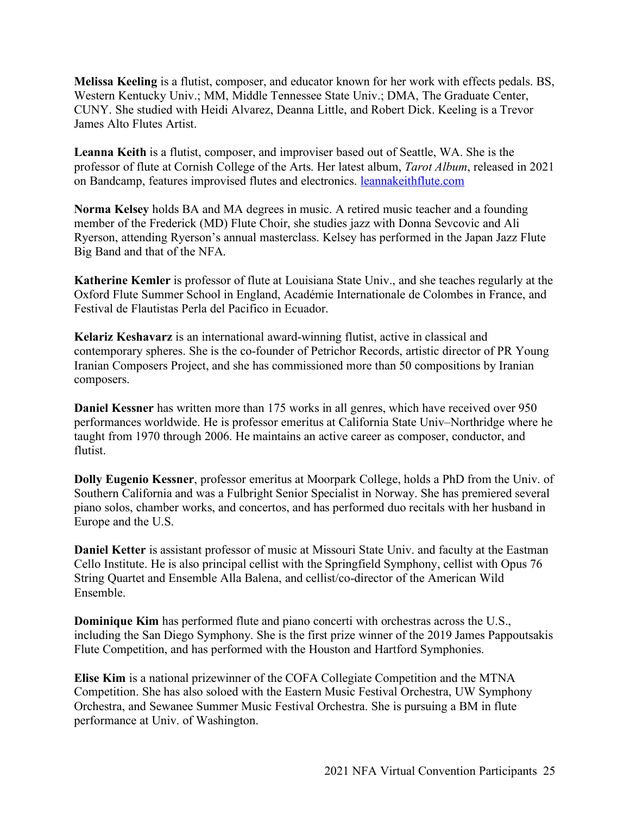**Melissa Keeling** is a flutist, composer, and educator known for her work with effects pedals. BS, Western Kentucky Univ.; MM, Middle Tennessee State Univ.; DMA, The Graduate Center, CUNY. She studied with Heidi Alvarez, Deanna Little, and Robert Dick. Keeling is a Trevor James Alto Flutes Artist.

**Leanna Keith** is a flutist, composer, and improviser based out of Seattle, WA. She is the professor of flute at Cornish College of the Arts. Her latest album, *Tarot Album*, released in 2021 on Bandcamp, features improvised flutes and electronics. leannakeithflute.com

**Norma Kelsey** holds BA and MA degrees in music. A retired music teacher and a founding member of the Frederick (MD) Flute Choir, she studies jazz with Donna Sevcovic and Ali Ryerson, attending Ryerson's annual masterclass. Kelsey has performed in the Japan Jazz Flute Big Band and that of the NFA.

**Katherine Kemler** is professor of flute at Louisiana State Univ., and she teaches regularly at the Oxford Flute Summer School in England, Académie Internationale de Colombes in France, and Festival de Flautistas Perla del Pacifico in Ecuador.

**Kelariz Keshavarz** is an international award-winning flutist, active in classical and contemporary spheres. She is the co-founder of Petrichor Records, artistic director of PR Young Iranian Composers Project, and she has commissioned more than 50 compositions by Iranian composers.

**Daniel Kessner** has written more than 175 works in all genres, which have received over 950 performances worldwide. He is professor emeritus at California State Univ–Northridge where he taught from 1970 through 2006. He maintains an active career as composer, conductor, and flutist.

**Dolly Eugenio Kessner**, professor emeritus at Moorpark College, holds a PhD from the Univ. of Southern California and was a Fulbright Senior Specialist in Norway. She has premiered several piano solos, chamber works, and concertos, and has performed duo recitals with her husband in Europe and the U.S.

**Daniel Ketter** is assistant professor of music at Missouri State Univ. and faculty at the Eastman Cello Institute. He is also principal cellist with the Springfield Symphony, cellist with Opus 76 String Quartet and Ensemble Alla Balena, and cellist/co-director of the American Wild Ensemble.

**Dominique Kim** has performed flute and piano concerti with orchestras across the U.S., including the San Diego Symphony. She is the first prize winner of the 2019 James Pappoutsakis Flute Competition, and has performed with the Houston and Hartford Symphonies.

**Elise Kim** is a national prizewinner of the COFA Collegiate Competition and the MTNA Competition. She has also soloed with the Eastern Music Festival Orchestra, UW Symphony Orchestra, and Sewanee Summer Music Festival Orchestra. She is pursuing a BM in flute performance at Univ. of Washington.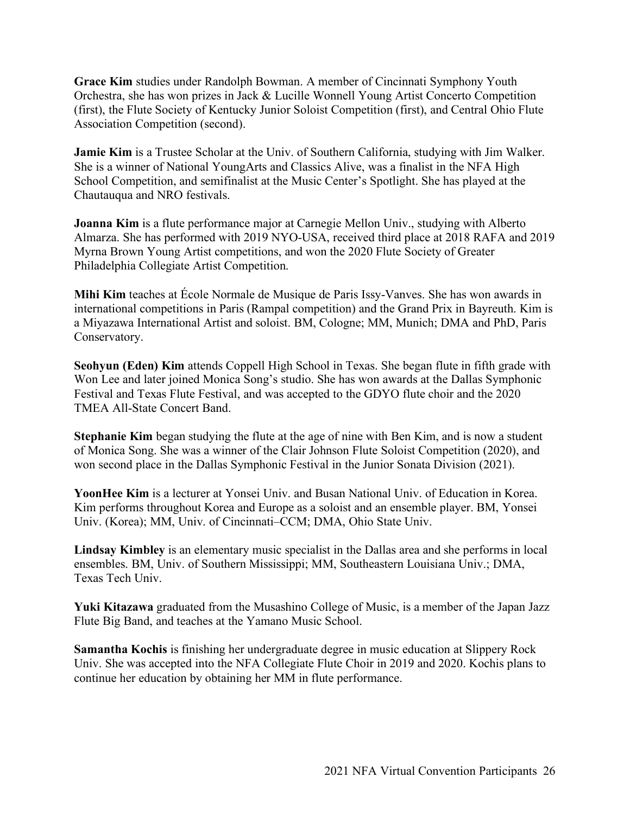**Grace Kim** studies under Randolph Bowman. A member of Cincinnati Symphony Youth Orchestra, she has won prizes in Jack & Lucille Wonnell Young Artist Concerto Competition (first), the Flute Society of Kentucky Junior Soloist Competition (first), and Central Ohio Flute Association Competition (second).

**Jamie Kim** is a Trustee Scholar at the Univ. of Southern California, studying with Jim Walker. She is a winner of National YoungArts and Classics Alive, was a finalist in the NFA High School Competition, and semifinalist at the Music Center's Spotlight. She has played at the Chautauqua and NRO festivals.

**Joanna Kim** is a flute performance major at Carnegie Mellon Univ., studying with Alberto Almarza. She has performed with 2019 NYO-USA, received third place at 2018 RAFA and 2019 Myrna Brown Young Artist competitions, and won the 2020 Flute Society of Greater Philadelphia Collegiate Artist Competition.

**Mihi Kim** teaches at École Normale de Musique de Paris Issy-Vanves. She has won awards in international competitions in Paris (Rampal competition) and the Grand Prix in Bayreuth. Kim is a Miyazawa International Artist and soloist. BM, Cologne; MM, Munich; DMA and PhD, Paris Conservatory.

**Seohyun (Eden) Kim** attends Coppell High School in Texas. She began flute in fifth grade with Won Lee and later joined Monica Song's studio. She has won awards at the Dallas Symphonic Festival and Texas Flute Festival, and was accepted to the GDYO flute choir and the 2020 TMEA All-State Concert Band.

**Stephanie Kim** began studying the flute at the age of nine with Ben Kim, and is now a student of Monica Song. She was a winner of the Clair Johnson Flute Soloist Competition (2020), and won second place in the Dallas Symphonic Festival in the Junior Sonata Division (2021).

**YoonHee Kim** is a lecturer at Yonsei Univ. and Busan National Univ. of Education in Korea. Kim performs throughout Korea and Europe as a soloist and an ensemble player. BM, Yonsei Univ. (Korea); MM, Univ. of Cincinnati–CCM; DMA, Ohio State Univ.

**Lindsay Kimbley** is an elementary music specialist in the Dallas area and she performs in local ensembles. BM, Univ. of Southern Mississippi; MM, Southeastern Louisiana Univ.; DMA, Texas Tech Univ.

**Yuki Kitazawa** graduated from the Musashino College of Music, is a member of the Japan Jazz Flute Big Band, and teaches at the Yamano Music School.

**Samantha Kochis** is finishing her undergraduate degree in music education at Slippery Rock Univ. She was accepted into the NFA Collegiate Flute Choir in 2019 and 2020. Kochis plans to continue her education by obtaining her MM in flute performance.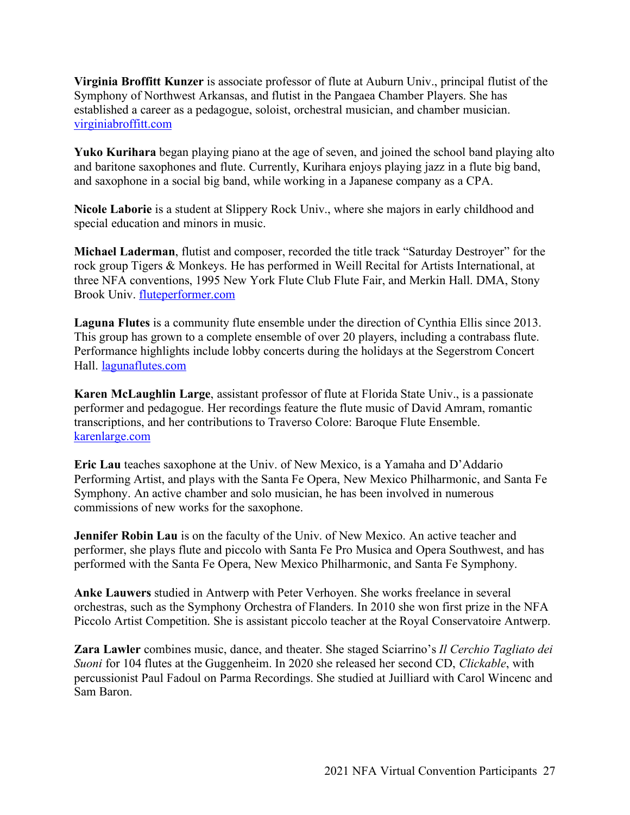**Virginia Broffitt Kunzer** is associate professor of flute at Auburn Univ., principal flutist of the Symphony of Northwest Arkansas, and flutist in the Pangaea Chamber Players. She has established a career as a pedagogue, soloist, orchestral musician, and chamber musician. virginiabroffitt.com

**Yuko Kurihara** began playing piano at the age of seven, and joined the school band playing alto and baritone saxophones and flute. Currently, Kurihara enjoys playing jazz in a flute big band, and saxophone in a social big band, while working in a Japanese company as a CPA.

**Nicole Laborie** is a student at Slippery Rock Univ., where she majors in early childhood and special education and minors in music.

**Michael Laderman**, flutist and composer, recorded the title track "Saturday Destroyer" for the rock group Tigers & Monkeys. He has performed in Weill Recital for Artists International, at three NFA conventions, 1995 New York Flute Club Flute Fair, and Merkin Hall. DMA, Stony Brook Univ. fluteperformer.com

**Laguna Flutes** is a community flute ensemble under the direction of Cynthia Ellis since 2013. This group has grown to a complete ensemble of over 20 players, including a contrabass flute. Performance highlights include lobby concerts during the holidays at the Segerstrom Concert Hall. lagunaflutes.com

**Karen McLaughlin Large**, assistant professor of flute at Florida State Univ., is a passionate performer and pedagogue. Her recordings feature the flute music of David Amram, romantic transcriptions, and her contributions to Traverso Colore: Baroque Flute Ensemble. karenlarge.com

**Eric Lau** teaches saxophone at the Univ. of New Mexico, is a Yamaha and D'Addario Performing Artist, and plays with the Santa Fe Opera, New Mexico Philharmonic, and Santa Fe Symphony. An active chamber and solo musician, he has been involved in numerous commissions of new works for the saxophone.

**Jennifer Robin Lau** is on the faculty of the Univ. of New Mexico. An active teacher and performer, she plays flute and piccolo with Santa Fe Pro Musica and Opera Southwest, and has performed with the Santa Fe Opera, New Mexico Philharmonic, and Santa Fe Symphony.

**Anke Lauwers** studied in Antwerp with Peter Verhoyen. She works freelance in several orchestras, such as the Symphony Orchestra of Flanders. In 2010 she won first prize in the NFA Piccolo Artist Competition. She is assistant piccolo teacher at the Royal Conservatoire Antwerp.

**Zara Lawler** combines music, dance, and theater. She staged Sciarrino's *Il Cerchio Tagliato dei Suoni* for 104 flutes at the Guggenheim. In 2020 she released her second CD, *Clickable*, with percussionist Paul Fadoul on Parma Recordings. She studied at Juilliard with Carol Wincenc and Sam Baron.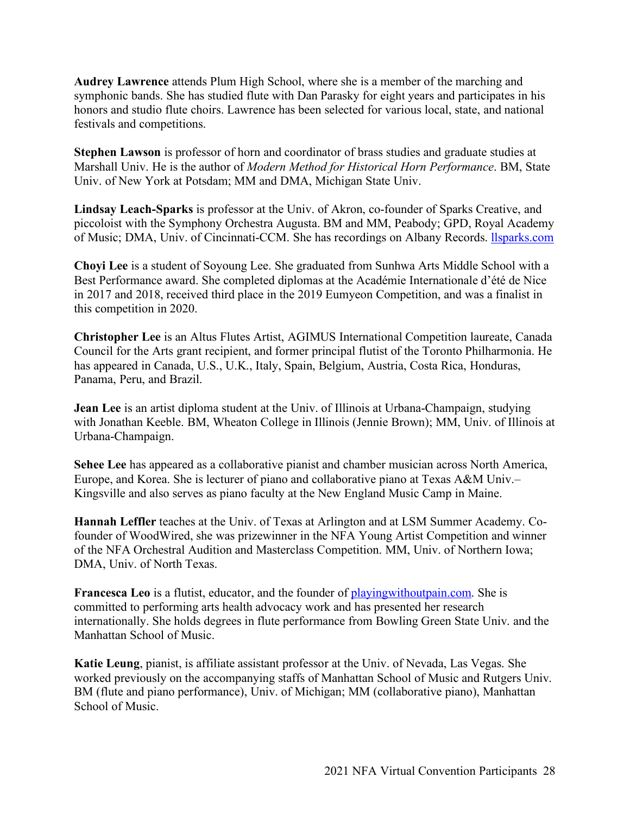**Audrey Lawrence** attends Plum High School, where she is a member of the marching and symphonic bands. She has studied flute with Dan Parasky for eight years and participates in his honors and studio flute choirs. Lawrence has been selected for various local, state, and national festivals and competitions.

**Stephen Lawson** is professor of horn and coordinator of brass studies and graduate studies at Marshall Univ. He is the author of *Modern Method for Historical Horn Performance*. BM, State Univ. of New York at Potsdam; MM and DMA, Michigan State Univ.

**Lindsay Leach-Sparks** is professor at the Univ. of Akron, co-founder of Sparks Creative, and piccoloist with the Symphony Orchestra Augusta. BM and MM, Peabody; GPD, Royal Academy of Music; DMA, Univ. of Cincinnati-CCM. She has recordings on Albany Records. *Ilsparks.com* 

**Choyi Lee** is a student of Soyoung Lee. She graduated from Sunhwa Arts Middle School with a Best Performance award. She completed diplomas at the Académie Internationale d'été de Nice in 2017 and 2018, received third place in the 2019 Eumyeon Competition, and was a finalist in this competition in 2020.

**Christopher Lee** is an Altus Flutes Artist, AGIMUS International Competition laureate, Canada Council for the Arts grant recipient, and former principal flutist of the Toronto Philharmonia. He has appeared in Canada, U.S., U.K., Italy, Spain, Belgium, Austria, Costa Rica, Honduras, Panama, Peru, and Brazil.

**Jean Lee** is an artist diploma student at the Univ. of Illinois at Urbana-Champaign, studying with Jonathan Keeble. BM, Wheaton College in Illinois (Jennie Brown); MM, Univ. of Illinois at Urbana-Champaign.

**Sehee Lee** has appeared as a collaborative pianist and chamber musician across North America, Europe, and Korea. She is lecturer of piano and collaborative piano at Texas A&M Univ.– Kingsville and also serves as piano faculty at the New England Music Camp in Maine.

**Hannah Leffler** teaches at the Univ. of Texas at Arlington and at LSM Summer Academy. Cofounder of WoodWired, she was prizewinner in the NFA Young Artist Competition and winner of the NFA Orchestral Audition and Masterclass Competition. MM, Univ. of Northern Iowa; DMA, Univ. of North Texas.

**Francesca Leo** is a flutist, educator, and the founder of **playingwithoutpain.com.** She is committed to performing arts health advocacy work and has presented her research internationally. She holds degrees in flute performance from Bowling Green State Univ. and the Manhattan School of Music.

**Katie Leung**, pianist, is affiliate assistant professor at the Univ. of Nevada, Las Vegas. She worked previously on the accompanying staffs of Manhattan School of Music and Rutgers Univ. BM (flute and piano performance), Univ. of Michigan; MM (collaborative piano), Manhattan School of Music.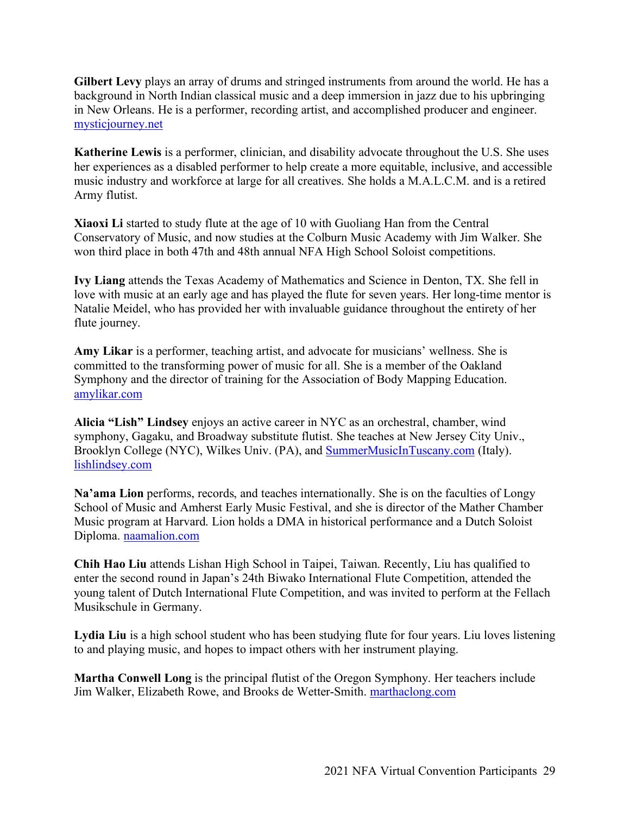**Gilbert Levy** plays an array of drums and stringed instruments from around the world. He has a background in North Indian classical music and a deep immersion in jazz due to his upbringing in New Orleans. He is a performer, recording artist, and accomplished producer and engineer. mysticjourney.net

**Katherine Lewis** is a performer, clinician, and disability advocate throughout the U.S. She uses her experiences as a disabled performer to help create a more equitable, inclusive, and accessible music industry and workforce at large for all creatives. She holds a M.A.L.C.M. and is a retired Army flutist.

**Xiaoxi Li** started to study flute at the age of 10 with Guoliang Han from the Central Conservatory of Music, and now studies at the Colburn Music Academy with Jim Walker. She won third place in both 47th and 48th annual NFA High School Soloist competitions.

**Ivy Liang** attends the Texas Academy of Mathematics and Science in Denton, TX. She fell in love with music at an early age and has played the flute for seven years. Her long-time mentor is Natalie Meidel, who has provided her with invaluable guidance throughout the entirety of her flute journey.

**Amy Likar** is a performer, teaching artist, and advocate for musicians' wellness. She is committed to the transforming power of music for all. She is a member of the Oakland Symphony and the director of training for the Association of Body Mapping Education. amylikar.com

**Alicia "Lish" Lindsey** enjoys an active career in NYC as an orchestral, chamber, wind symphony, Gagaku, and Broadway substitute flutist. She teaches at New Jersey City Univ., Brooklyn College (NYC), Wilkes Univ. (PA), and SummerMusicInTuscany.com (Italy). lishlindsey.com

**Na'ama Lion** performs, records, and teaches internationally. She is on the faculties of Longy School of Music and Amherst Early Music Festival, and she is director of the Mather Chamber Music program at Harvard. Lion holds a DMA in historical performance and a Dutch Soloist Diploma. naamalion.com

**Chih Hao Liu** attends Lishan High School in Taipei, Taiwan. Recently, Liu has qualified to enter the second round in Japan's 24th Biwako International Flute Competition, attended the young talent of Dutch International Flute Competition, and was invited to perform at the Fellach Musikschule in Germany.

Lydia Liu is a high school student who has been studying flute for four years. Liu loves listening to and playing music, and hopes to impact others with her instrument playing.

**Martha Conwell Long** is the principal flutist of the Oregon Symphony. Her teachers include Jim Walker, Elizabeth Rowe, and Brooks de Wetter-Smith. marthaclong.com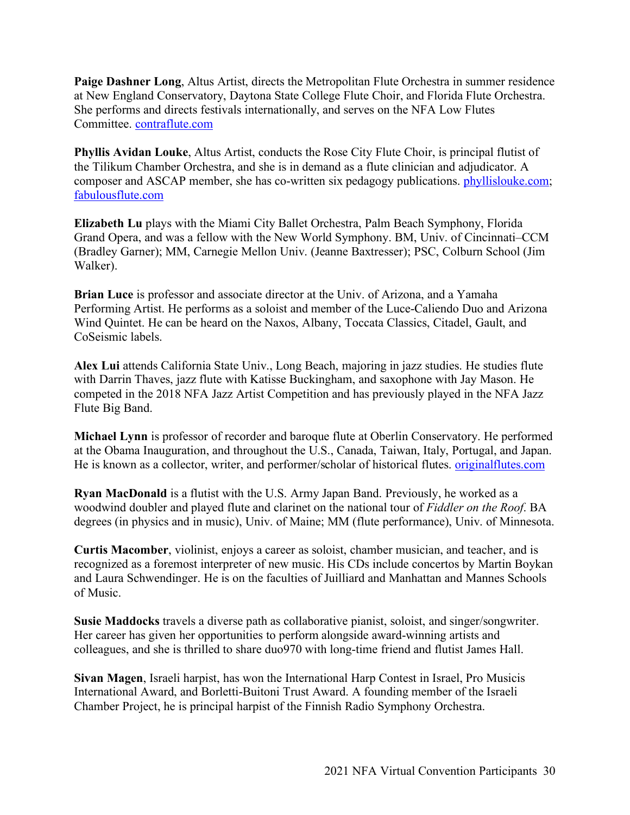**Paige Dashner Long**, Altus Artist, directs the Metropolitan Flute Orchestra in summer residence at New England Conservatory, Daytona State College Flute Choir, and Florida Flute Orchestra. She performs and directs festivals internationally, and serves on the NFA Low Flutes Committee. contraflute.com

**Phyllis Avidan Louke**, Altus Artist, conducts the Rose City Flute Choir, is principal flutist of the Tilikum Chamber Orchestra, and she is in demand as a flute clinician and adjudicator. A composer and ASCAP member, she has co-written six pedagogy publications. phyllislouke.com; fabulousflute.com

**Elizabeth Lu** plays with the Miami City Ballet Orchestra, Palm Beach Symphony, Florida Grand Opera, and was a fellow with the New World Symphony. BM, Univ. of Cincinnati–CCM (Bradley Garner); MM, Carnegie Mellon Univ. (Jeanne Baxtresser); PSC, Colburn School (Jim Walker).

**Brian Luce** is professor and associate director at the Univ. of Arizona, and a Yamaha Performing Artist. He performs as a soloist and member of the Luce-Caliendo Duo and Arizona Wind Quintet. He can be heard on the Naxos, Albany, Toccata Classics, Citadel, Gault, and CoSeismic labels.

**Alex Lui** attends California State Univ., Long Beach, majoring in jazz studies. He studies flute with Darrin Thaves, jazz flute with Katisse Buckingham, and saxophone with Jay Mason. He competed in the 2018 NFA Jazz Artist Competition and has previously played in the NFA Jazz Flute Big Band.

**Michael Lynn** is professor of recorder and baroque flute at Oberlin Conservatory. He performed at the Obama Inauguration, and throughout the U.S., Canada, Taiwan, Italy, Portugal, and Japan. He is known as a collector, writer, and performer/scholar of historical flutes. originalflutes.com

**Ryan MacDonald** is a flutist with the U.S. Army Japan Band. Previously, he worked as a woodwind doubler and played flute and clarinet on the national tour of *Fiddler on the Roof*. BA degrees (in physics and in music), Univ. of Maine; MM (flute performance), Univ. of Minnesota.

**Curtis Macomber**, violinist, enjoys a career as soloist, chamber musician, and teacher, and is recognized as a foremost interpreter of new music. His CDs include concertos by Martin Boykan and Laura Schwendinger. He is on the faculties of Juilliard and Manhattan and Mannes Schools of Music.

**Susie Maddocks** travels a diverse path as collaborative pianist, soloist, and singer/songwriter. Her career has given her opportunities to perform alongside award-winning artists and colleagues, and she is thrilled to share duo970 with long-time friend and flutist James Hall.

**Sivan Magen**, Israeli harpist, has won the International Harp Contest in Israel, Pro Musicis International Award, and Borletti-Buitoni Trust Award. A founding member of the Israeli Chamber Project, he is principal harpist of the Finnish Radio Symphony Orchestra.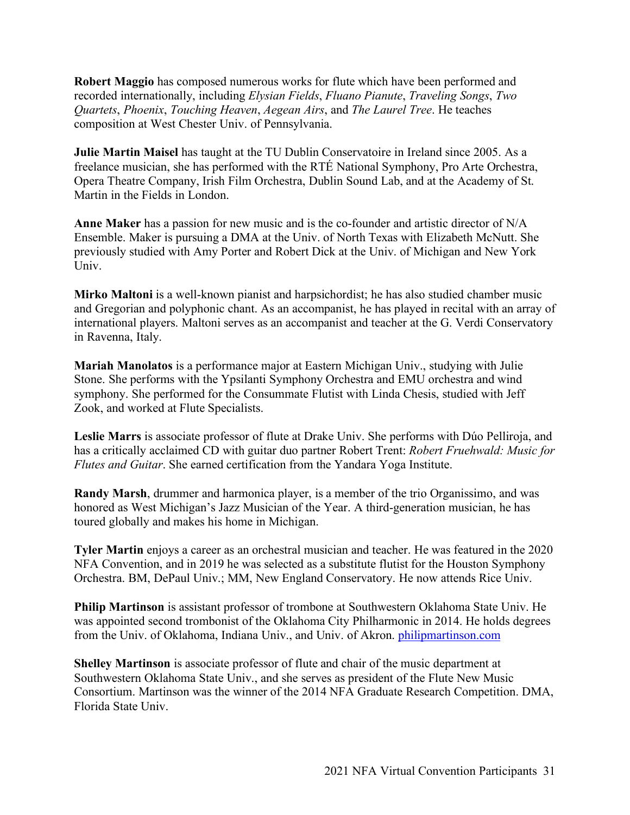**Robert Maggio** has composed numerous works for flute which have been performed and recorded internationally, including *Elysian Fields*, *Fluano Pianute*, *Traveling Songs*, *Two Quartets*, *Phoenix*, *Touching Heaven*, *Aegean Airs*, and *The Laurel Tree*. He teaches composition at West Chester Univ. of Pennsylvania.

**Julie Martin Maisel** has taught at the TU Dublin Conservatoire in Ireland since 2005. As a freelance musician, she has performed with the RTÉ National Symphony, Pro Arte Orchestra, Opera Theatre Company, Irish Film Orchestra, Dublin Sound Lab, and at the Academy of St. Martin in the Fields in London.

**Anne Maker** has a passion for new music and is the co-founder and artistic director of N/A Ensemble. Maker is pursuing a DMA at the Univ. of North Texas with Elizabeth McNutt. She previously studied with Amy Porter and Robert Dick at the Univ. of Michigan and New York Univ.

**Mirko Maltoni** is a well-known pianist and harpsichordist; he has also studied chamber music and Gregorian and polyphonic chant. As an accompanist, he has played in recital with an array of international players. Maltoni serves as an accompanist and teacher at the G. Verdi Conservatory in Ravenna, Italy.

**Mariah Manolatos** is a performance major at Eastern Michigan Univ., studying with Julie Stone. She performs with the Ypsilanti Symphony Orchestra and EMU orchestra and wind symphony. She performed for the Consummate Flutist with Linda Chesis, studied with Jeff Zook, and worked at Flute Specialists.

**Leslie Marrs** is associate professor of flute at Drake Univ. She performs with Dúo Pelliroja, and has a critically acclaimed CD with guitar duo partner Robert Trent: *Robert Fruehwald: Music for Flutes and Guitar*. She earned certification from the Yandara Yoga Institute.

**Randy Marsh**, drummer and harmonica player, is a member of the trio Organissimo, and was honored as West Michigan's Jazz Musician of the Year. A third-generation musician, he has toured globally and makes his home in Michigan.

**Tyler Martin** enjoys a career as an orchestral musician and teacher. He was featured in the 2020 NFA Convention, and in 2019 he was selected as a substitute flutist for the Houston Symphony Orchestra. BM, DePaul Univ.; MM, New England Conservatory. He now attends Rice Univ.

**Philip Martinson** is assistant professor of trombone at Southwestern Oklahoma State Univ. He was appointed second trombonist of the Oklahoma City Philharmonic in 2014. He holds degrees from the Univ. of Oklahoma, Indiana Univ., and Univ. of Akron. philipmartinson.com

**Shelley Martinson** is associate professor of flute and chair of the music department at Southwestern Oklahoma State Univ., and she serves as president of the Flute New Music Consortium. Martinson was the winner of the 2014 NFA Graduate Research Competition. DMA, Florida State Univ.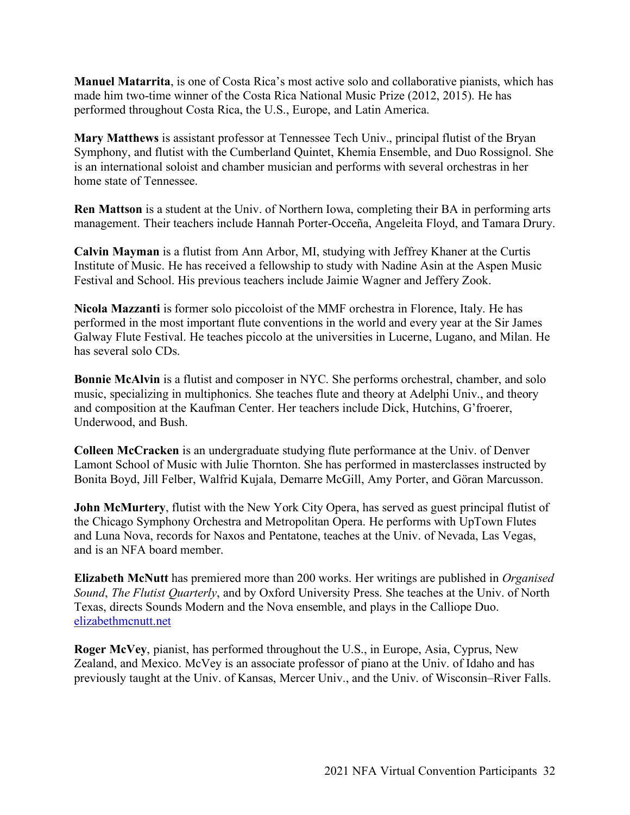**Manuel Matarrita**, is one of Costa Rica's most active solo and collaborative pianists, which has made him two-time winner of the Costa Rica National Music Prize (2012, 2015). He has performed throughout Costa Rica, the U.S., Europe, and Latin America.

**Mary Matthews** is assistant professor at Tennessee Tech Univ., principal flutist of the Bryan Symphony, and flutist with the Cumberland Quintet, Khemia Ensemble, and Duo Rossignol. She is an international soloist and chamber musician and performs with several orchestras in her home state of Tennessee.

**Ren Mattson** is a student at the Univ. of Northern Iowa, completing their BA in performing arts management. Their teachers include Hannah Porter-Occeña, Angeleita Floyd, and Tamara Drury.

**Calvin Mayman** is a flutist from Ann Arbor, MI, studying with Jeffrey Khaner at the Curtis Institute of Music. He has received a fellowship to study with Nadine Asin at the Aspen Music Festival and School. His previous teachers include Jaimie Wagner and Jeffery Zook.

**Nicola Mazzanti** is former solo piccoloist of the MMF orchestra in Florence, Italy. He has performed in the most important flute conventions in the world and every year at the Sir James Galway Flute Festival. He teaches piccolo at the universities in Lucerne, Lugano, and Milan. He has several solo CDs.

**Bonnie McAlvin** is a flutist and composer in NYC. She performs orchestral, chamber, and solo music, specializing in multiphonics. She teaches flute and theory at Adelphi Univ., and theory and composition at the Kaufman Center. Her teachers include Dick, Hutchins, G'froerer, Underwood, and Bush.

**Colleen McCracken** is an undergraduate studying flute performance at the Univ. of Denver Lamont School of Music with Julie Thornton. She has performed in masterclasses instructed by Bonita Boyd, Jill Felber, Walfrid Kujala, Demarre McGill, Amy Porter, and Göran Marcusson.

**John McMurtery**, flutist with the New York City Opera, has served as guest principal flutist of the Chicago Symphony Orchestra and Metropolitan Opera. He performs with UpTown Flutes and Luna Nova, records for Naxos and Pentatone, teaches at the Univ. of Nevada, Las Vegas, and is an NFA board member.

**Elizabeth McNutt** has premiered more than 200 works. Her writings are published in *Organised Sound*, *The Flutist Quarterly*, and by Oxford University Press. She teaches at the Univ. of North Texas, directs Sounds Modern and the Nova ensemble, and plays in the Calliope Duo. elizabethmcnutt.net

**Roger McVey**, pianist, has performed throughout the U.S., in Europe, Asia, Cyprus, New Zealand, and Mexico. McVey is an associate professor of piano at the Univ. of Idaho and has previously taught at the Univ. of Kansas, Mercer Univ., and the Univ. of Wisconsin–River Falls.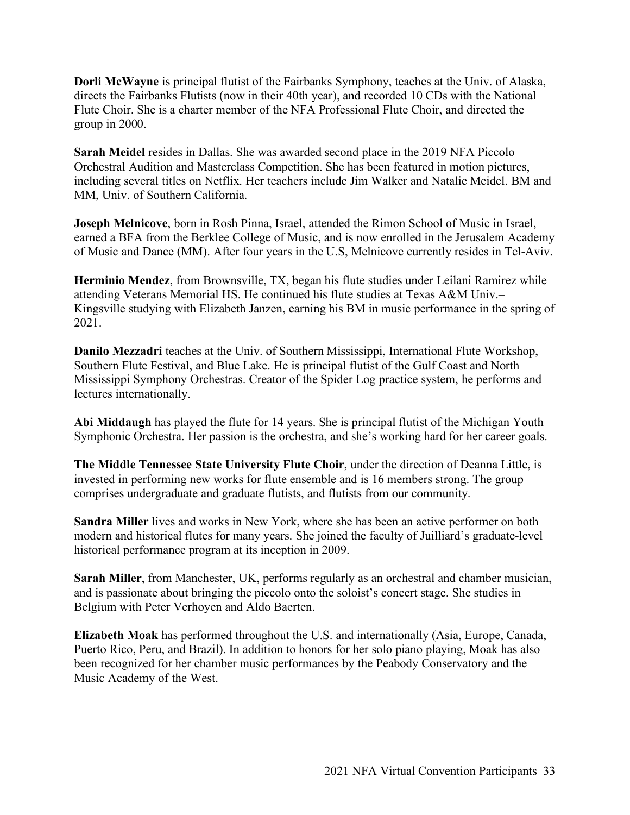**Dorli McWayne** is principal flutist of the Fairbanks Symphony, teaches at the Univ. of Alaska, directs the Fairbanks Flutists (now in their 40th year), and recorded 10 CDs with the National Flute Choir. She is a charter member of the NFA Professional Flute Choir, and directed the group in 2000.

**Sarah Meidel** resides in Dallas. She was awarded second place in the 2019 NFA Piccolo Orchestral Audition and Masterclass Competition. She has been featured in motion pictures, including several titles on Netflix. Her teachers include Jim Walker and Natalie Meidel. BM and MM, Univ. of Southern California.

**Joseph Melnicove**, born in Rosh Pinna, Israel, attended the Rimon School of Music in Israel, earned a BFA from the Berklee College of Music, and is now enrolled in the Jerusalem Academy of Music and Dance (MM). After four years in the U.S, Melnicove currently resides in Tel-Aviv.

**Herminio Mendez**, from Brownsville, TX, began his flute studies under Leilani Ramirez while attending Veterans Memorial HS. He continued his flute studies at Texas A&M Univ.– Kingsville studying with Elizabeth Janzen, earning his BM in music performance in the spring of 2021.

**Danilo Mezzadri** teaches at the Univ. of Southern Mississippi, International Flute Workshop, Southern Flute Festival, and Blue Lake. He is principal flutist of the Gulf Coast and North Mississippi Symphony Orchestras. Creator of the Spider Log practice system, he performs and lectures internationally.

**Abi Middaugh** has played the flute for 14 years. She is principal flutist of the Michigan Youth Symphonic Orchestra. Her passion is the orchestra, and she's working hard for her career goals.

**The Middle Tennessee State University Flute Choir**, under the direction of Deanna Little, is invested in performing new works for flute ensemble and is 16 members strong. The group comprises undergraduate and graduate flutists, and flutists from our community.

**Sandra Miller** lives and works in New York, where she has been an active performer on both modern and historical flutes for many years. She joined the faculty of Juilliard's graduate-level historical performance program at its inception in 2009.

**Sarah Miller**, from Manchester, UK, performs regularly as an orchestral and chamber musician, and is passionate about bringing the piccolo onto the soloist's concert stage. She studies in Belgium with Peter Verhoyen and Aldo Baerten.

**Elizabeth Moak** has performed throughout the U.S. and internationally (Asia, Europe, Canada, Puerto Rico, Peru, and Brazil). In addition to honors for her solo piano playing, Moak has also been recognized for her chamber music performances by the Peabody Conservatory and the Music Academy of the West.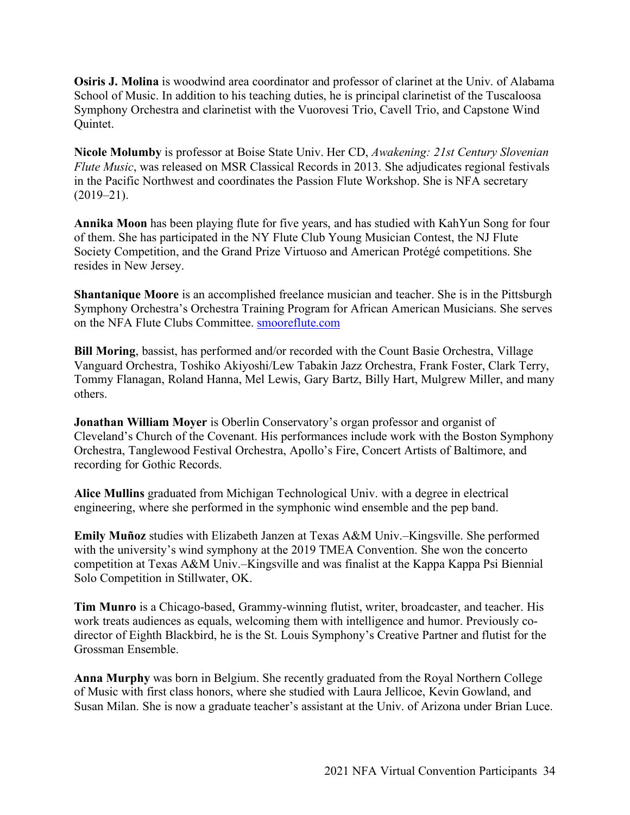**Osiris J. Molina** is woodwind area coordinator and professor of clarinet at the Univ. of Alabama School of Music. In addition to his teaching duties, he is principal clarinetist of the Tuscaloosa Symphony Orchestra and clarinetist with the Vuorovesi Trio, Cavell Trio, and Capstone Wind Quintet.

**Nicole Molumby** is professor at Boise State Univ. Her CD, *Awakening: 21st Century Slovenian Flute Music*, was released on MSR Classical Records in 2013. She adjudicates regional festivals in the Pacific Northwest and coordinates the Passion Flute Workshop. She is NFA secretary  $(2019-21)$ .

**Annika Moon** has been playing flute for five years, and has studied with KahYun Song for four of them. She has participated in the NY Flute Club Young Musician Contest, the NJ Flute Society Competition, and the Grand Prize Virtuoso and American Protégé competitions. She resides in New Jersey.

**Shantanique Moore** is an accomplished freelance musician and teacher. She is in the Pittsburgh Symphony Orchestra's Orchestra Training Program for African American Musicians. She serves on the NFA Flute Clubs Committee. smooreflute.com

**Bill Moring**, bassist, has performed and/or recorded with the Count Basie Orchestra, Village Vanguard Orchestra, Toshiko Akiyoshi/Lew Tabakin Jazz Orchestra, Frank Foster, Clark Terry, Tommy Flanagan, Roland Hanna, Mel Lewis, Gary Bartz, Billy Hart, Mulgrew Miller, and many others.

**Jonathan William Moyer** is Oberlin Conservatory's organ professor and organist of Cleveland's Church of the Covenant. His performances include work with the Boston Symphony Orchestra, Tanglewood Festival Orchestra, Apollo's Fire, Concert Artists of Baltimore, and recording for Gothic Records.

**Alice Mullins** graduated from Michigan Technological Univ. with a degree in electrical engineering, where she performed in the symphonic wind ensemble and the pep band.

**Emily Muñoz** studies with Elizabeth Janzen at Texas A&M Univ.–Kingsville. She performed with the university's wind symphony at the 2019 TMEA Convention. She won the concerto competition at Texas A&M Univ.–Kingsville and was finalist at the Kappa Kappa Psi Biennial Solo Competition in Stillwater, OK.

**Tim Munro** is a Chicago-based, Grammy-winning flutist, writer, broadcaster, and teacher. His work treats audiences as equals, welcoming them with intelligence and humor. Previously codirector of Eighth Blackbird, he is the St. Louis Symphony's Creative Partner and flutist for the Grossman Ensemble.

**Anna Murphy** was born in Belgium. She recently graduated from the Royal Northern College of Music with first class honors, where she studied with Laura Jellicoe, Kevin Gowland, and Susan Milan. She is now a graduate teacher's assistant at the Univ. of Arizona under Brian Luce.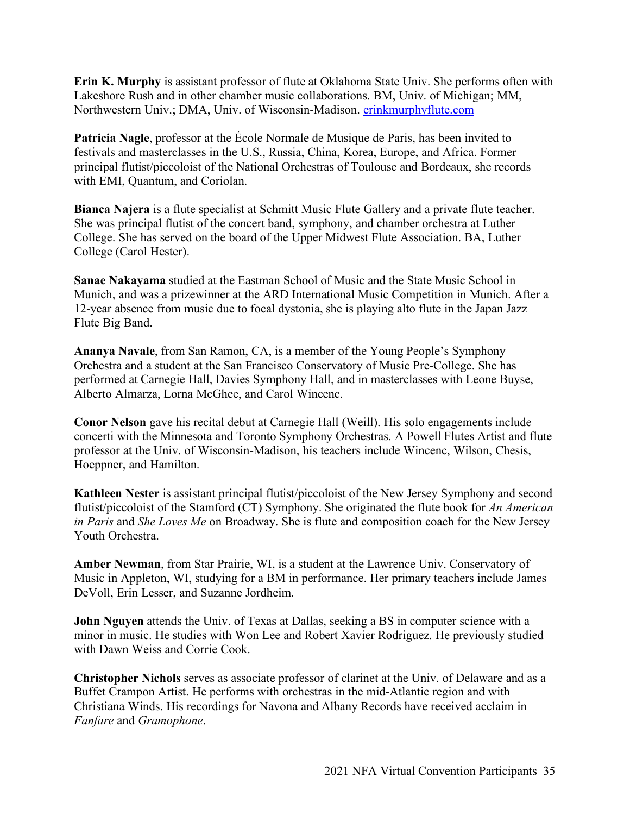**Erin K. Murphy** is assistant professor of flute at Oklahoma State Univ. She performs often with Lakeshore Rush and in other chamber music collaborations. BM, Univ. of Michigan; MM, Northwestern Univ.; DMA, Univ. of Wisconsin-Madison. erinkmurphyflute.com

**Patricia Nagle**, professor at the École Normale de Musique de Paris, has been invited to festivals and masterclasses in the U.S., Russia, China, Korea, Europe, and Africa. Former principal flutist/piccoloist of the National Orchestras of Toulouse and Bordeaux, she records with EMI, Quantum, and Coriolan.

**Bianca Najera** is a flute specialist at Schmitt Music Flute Gallery and a private flute teacher. She was principal flutist of the concert band, symphony, and chamber orchestra at Luther College. She has served on the board of the Upper Midwest Flute Association. BA, Luther College (Carol Hester).

**Sanae Nakayama** studied at the Eastman School of Music and the State Music School in Munich, and was a prizewinner at the ARD International Music Competition in Munich. After a 12-year absence from music due to focal dystonia, she is playing alto flute in the Japan Jazz Flute Big Band.

**Ananya Navale**, from San Ramon, CA, is a member of the Young People's Symphony Orchestra and a student at the San Francisco Conservatory of Music Pre-College. She has performed at Carnegie Hall, Davies Symphony Hall, and in masterclasses with Leone Buyse, Alberto Almarza, Lorna McGhee, and Carol Wincenc.

**Conor Nelson** gave his recital debut at Carnegie Hall (Weill). His solo engagements include concerti with the Minnesota and Toronto Symphony Orchestras. A Powell Flutes Artist and flute professor at the Univ. of Wisconsin-Madison, his teachers include Wincenc, Wilson, Chesis, Hoeppner, and Hamilton.

**Kathleen Nester** is assistant principal flutist/piccoloist of the New Jersey Symphony and second flutist/piccoloist of the Stamford (CT) Symphony. She originated the flute book for *An American in Paris* and *She Loves Me* on Broadway. She is flute and composition coach for the New Jersey Youth Orchestra.

**Amber Newman**, from Star Prairie, WI, is a student at the Lawrence Univ. Conservatory of Music in Appleton, WI, studying for a BM in performance. Her primary teachers include James DeVoll, Erin Lesser, and Suzanne Jordheim.

**John Nguyen** attends the Univ. of Texas at Dallas, seeking a BS in computer science with a minor in music. He studies with Won Lee and Robert Xavier Rodriguez. He previously studied with Dawn Weiss and Corrie Cook.

**Christopher Nichols** serves as associate professor of clarinet at the Univ. of Delaware and as a Buffet Crampon Artist. He performs with orchestras in the mid-Atlantic region and with Christiana Winds. His recordings for Navona and Albany Records have received acclaim in *Fanfare* and *Gramophone*.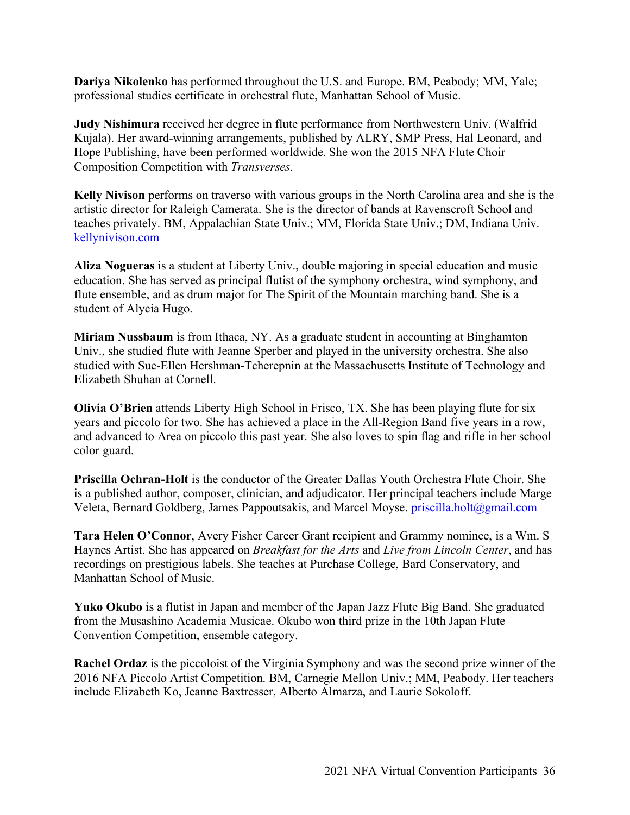**Dariya Nikolenko** has performed throughout the U.S. and Europe. BM, Peabody; MM, Yale; professional studies certificate in orchestral flute, Manhattan School of Music.

**Judy Nishimura** received her degree in flute performance from Northwestern Univ. (Walfrid Kujala). Her award-winning arrangements, published by ALRY, SMP Press, Hal Leonard, and Hope Publishing, have been performed worldwide. She won the 2015 NFA Flute Choir Composition Competition with *Transverses*.

**Kelly Nivison** performs on traverso with various groups in the North Carolina area and she is the artistic director for Raleigh Camerata. She is the director of bands at Ravenscroft School and teaches privately. BM, Appalachian State Univ.; MM, Florida State Univ.; DM, Indiana Univ. kellynivison.com

**Aliza Nogueras** is a student at Liberty Univ., double majoring in special education and music education. She has served as principal flutist of the symphony orchestra, wind symphony, and flute ensemble, and as drum major for The Spirit of the Mountain marching band. She is a student of Alycia Hugo.

**Miriam Nussbaum** is from Ithaca, NY. As a graduate student in accounting at Binghamton Univ., she studied flute with Jeanne Sperber and played in the university orchestra. She also studied with Sue-Ellen Hershman-Tcherepnin at the Massachusetts Institute of Technology and Elizabeth Shuhan at Cornell.

**Olivia O'Brien** attends Liberty High School in Frisco, TX. She has been playing flute for six years and piccolo for two. She has achieved a place in the All-Region Band five years in a row, and advanced to Area on piccolo this past year. She also loves to spin flag and rifle in her school color guard.

**Priscilla Ochran-Holt** is the conductor of the Greater Dallas Youth Orchestra Flute Choir. She is a published author, composer, clinician, and adjudicator. Her principal teachers include Marge Veleta, Bernard Goldberg, James Pappoutsakis, and Marcel Moyse. priscilla.holt@gmail.com

**Tara Helen O'Connor**, Avery Fisher Career Grant recipient and Grammy nominee, is a Wm. S Haynes Artist. She has appeared on *Breakfast for the Arts* and *Live from Lincoln Center*, and has recordings on prestigious labels. She teaches at Purchase College, Bard Conservatory, and Manhattan School of Music.

**Yuko Okubo** is a flutist in Japan and member of the Japan Jazz Flute Big Band. She graduated from the Musashino Academia Musicae. Okubo won third prize in the 10th Japan Flute Convention Competition, ensemble category.

**Rachel Ordaz** is the piccoloist of the Virginia Symphony and was the second prize winner of the 2016 NFA Piccolo Artist Competition. BM, Carnegie Mellon Univ.; MM, Peabody. Her teachers include Elizabeth Ko, Jeanne Baxtresser, Alberto Almarza, and Laurie Sokoloff.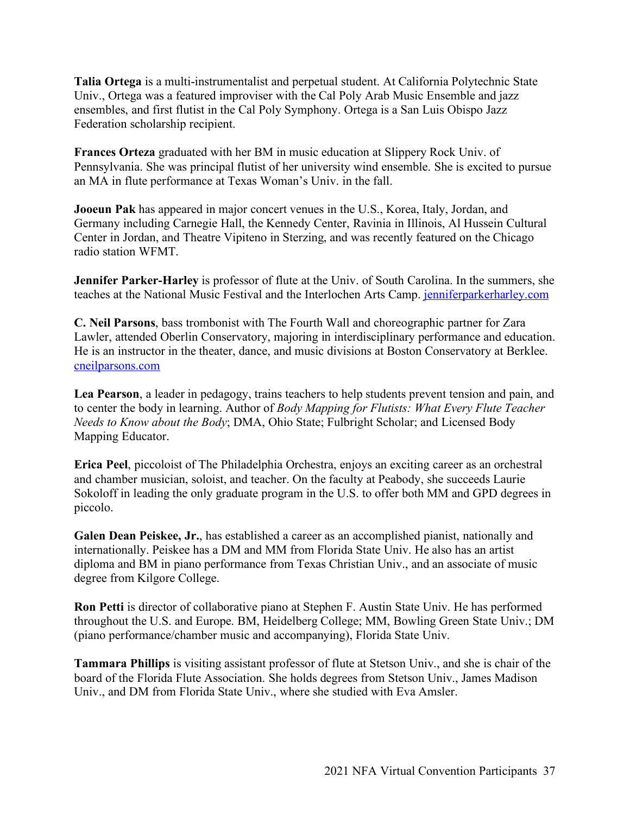**Talia Ortega** is a multi-instrumentalist and perpetual student. At California Polytechnic State Univ., Ortega was a featured improviser with the Cal Poly Arab Music Ensemble and jazz ensembles, and first flutist in the Cal Poly Symphony. Ortega is a San Luis Obispo Jazz Federation scholarship recipient.

**Frances Orteza** graduated with her BM in music education at Slippery Rock Univ. of Pennsylvania. She was principal flutist of her university wind ensemble. She is excited to pursue an MA in flute performance at Texas Woman's Univ. in the fall.

**Jooeun Pak** has appeared in major concert venues in the U.S., Korea, Italy, Jordan, and Germany including Carnegie Hall, the Kennedy Center, Ravinia in Illinois, Al Hussein Cultural Center in Jordan, and Theatre Vipiteno in Sterzing, and was recently featured on the Chicago radio station WFMT.

**Jennifer Parker-Harley** is professor of flute at the Univ. of South Carolina. In the summers, she teaches at the National Music Festival and the Interlochen Arts Camp. jenniferparkerharley.com

**C. Neil Parsons**, bass trombonist with The Fourth Wall and choreographic partner for Zara Lawler, attended Oberlin Conservatory, majoring in interdisciplinary performance and education. He is an instructor in the theater, dance, and music divisions at Boston Conservatory at Berklee. cneilparsons.com

**Lea Pearson**, a leader in pedagogy, trains teachers to help students prevent tension and pain, and to center the body in learning. Author of *Body Mapping for Flutists: What Every Flute Teacher Needs to Know about the Body*; DMA, Ohio State; Fulbright Scholar; and Licensed Body Mapping Educator.

**Erica Peel**, piccoloist of The Philadelphia Orchestra, enjoys an exciting career as an orchestral and chamber musician, soloist, and teacher. On the faculty at Peabody, she succeeds Laurie Sokoloff in leading the only graduate program in the U.S. to offer both MM and GPD degrees in piccolo.

**Galen Dean Peiskee, Jr.**, has established a career as an accomplished pianist, nationally and internationally. Peiskee has a DM and MM from Florida State Univ. He also has an artist diploma and BM in piano performance from Texas Christian Univ., and an associate of music degree from Kilgore College.

**Ron Petti** is director of collaborative piano at Stephen F. Austin State Univ. He has performed throughout the U.S. and Europe. BM, Heidelberg College; MM, Bowling Green State Univ.; DM (piano performance/chamber music and accompanying), Florida State Univ.

**Tammara Phillips** is visiting assistant professor of flute at Stetson Univ., and she is chair of the board of the Florida Flute Association. She holds degrees from Stetson Univ., James Madison Univ., and DM from Florida State Univ., where she studied with Eva Amsler.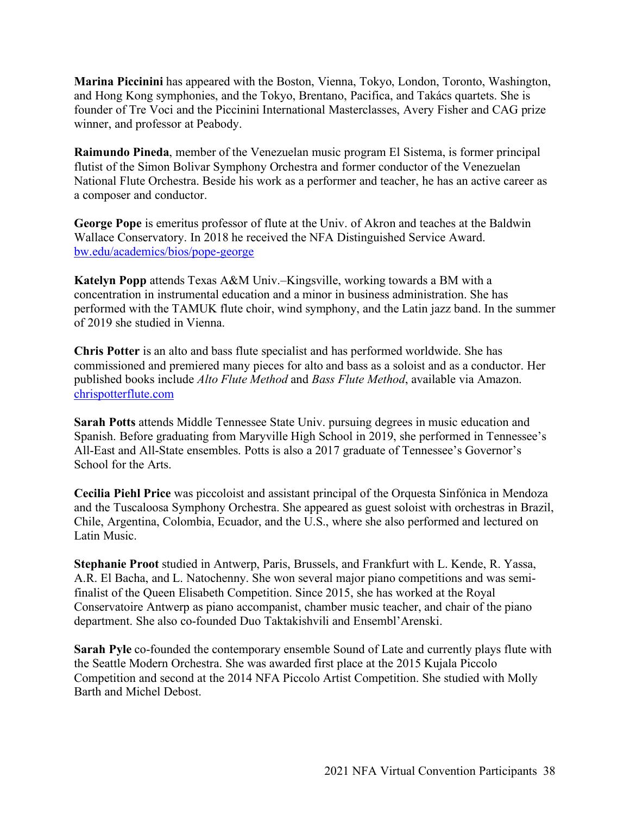**Marina Piccinini** has appeared with the Boston, Vienna, Tokyo, London, Toronto, Washington, and Hong Kong symphonies, and the Tokyo, Brentano, Pacifica, and Takács quartets. She is founder of Tre Voci and the Piccinini International Masterclasses, Avery Fisher and CAG prize winner, and professor at Peabody.

**Raimundo Pineda**, member of the Venezuelan music program El Sistema, is former principal flutist of the Simon Bolivar Symphony Orchestra and former conductor of the Venezuelan National Flute Orchestra. Beside his work as a performer and teacher, he has an active career as a composer and conductor.

**George Pope** is emeritus professor of flute at the Univ. of Akron and teaches at the Baldwin Wallace Conservatory. In 2018 he received the NFA Distinguished Service Award. bw.edu/academics/bios/pope-george

**Katelyn Popp** attends Texas A&M Univ.–Kingsville, working towards a BM with a concentration in instrumental education and a minor in business administration. She has performed with the TAMUK flute choir, wind symphony, and the Latin jazz band. In the summer of 2019 she studied in Vienna.

**Chris Potter** is an alto and bass flute specialist and has performed worldwide. She has commissioned and premiered many pieces for alto and bass as a soloist and as a conductor. Her published books include *Alto Flute Method* and *Bass Flute Method*, available via Amazon. chrispotterflute.com

**Sarah Potts** attends Middle Tennessee State Univ. pursuing degrees in music education and Spanish. Before graduating from Maryville High School in 2019, she performed in Tennessee's All-East and All-State ensembles. Potts is also a 2017 graduate of Tennessee's Governor's School for the Arts.

**Cecilia Piehl Price** was piccoloist and assistant principal of the Orquesta Sinfónica in Mendoza and the Tuscaloosa Symphony Orchestra. She appeared as guest soloist with orchestras in Brazil, Chile, Argentina, Colombia, Ecuador, and the U.S., where she also performed and lectured on Latin Music.

**Stephanie Proot** studied in Antwerp, Paris, Brussels, and Frankfurt with L. Kende, R. Yassa, A.R. El Bacha, and L. Natochenny. She won several major piano competitions and was semifinalist of the Queen Elisabeth Competition. Since 2015, she has worked at the Royal Conservatoire Antwerp as piano accompanist, chamber music teacher, and chair of the piano department. She also co-founded Duo Taktakishvili and Ensembl'Arenski.

**Sarah Pyle** co-founded the contemporary ensemble Sound of Late and currently plays flute with the Seattle Modern Orchestra. She was awarded first place at the 2015 Kujala Piccolo Competition and second at the 2014 NFA Piccolo Artist Competition. She studied with Molly Barth and Michel Debost.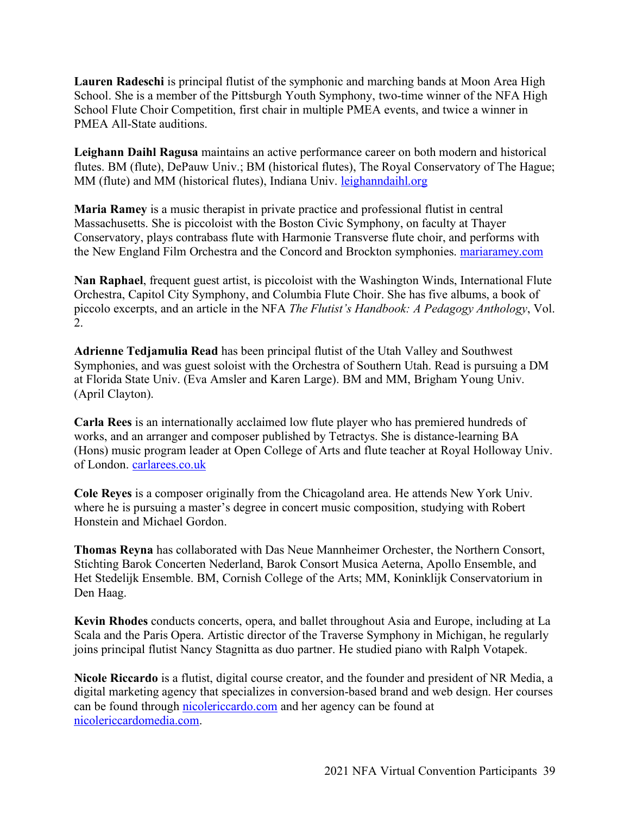**Lauren Radeschi** is principal flutist of the symphonic and marching bands at Moon Area High School. She is a member of the Pittsburgh Youth Symphony, two-time winner of the NFA High School Flute Choir Competition, first chair in multiple PMEA events, and twice a winner in PMEA All-State auditions.

**Leighann Daihl Ragusa** maintains an active performance career on both modern and historical flutes. BM (flute), DePauw Univ.; BM (historical flutes), The Royal Conservatory of The Hague; MM (flute) and MM (historical flutes), Indiana Univ. leighanndaihl.org

**Maria Ramey** is a music therapist in private practice and professional flutist in central Massachusetts. She is piccoloist with the Boston Civic Symphony, on faculty at Thayer Conservatory, plays contrabass flute with Harmonie Transverse flute choir, and performs with the New England Film Orchestra and the Concord and Brockton symphonies. mariaramey.com

**Nan Raphael**, frequent guest artist, is piccoloist with the Washington Winds, International Flute Orchestra, Capitol City Symphony, and Columbia Flute Choir. She has five albums, a book of piccolo excerpts, and an article in the NFA *The Flutist's Handbook: A Pedagogy Anthology*, Vol. 2.

**Adrienne Tedjamulia Read** has been principal flutist of the Utah Valley and Southwest Symphonies, and was guest soloist with the Orchestra of Southern Utah. Read is pursuing a DM at Florida State Univ. (Eva Amsler and Karen Large). BM and MM, Brigham Young Univ. (April Clayton).

**Carla Rees** is an internationally acclaimed low flute player who has premiered hundreds of works, and an arranger and composer published by Tetractys. She is distance-learning BA (Hons) music program leader at Open College of Arts and flute teacher at Royal Holloway Univ. of London. carlarees.co.uk

**Cole Reyes** is a composer originally from the Chicagoland area. He attends New York Univ. where he is pursuing a master's degree in concert music composition, studying with Robert Honstein and Michael Gordon.

**Thomas Reyna** has collaborated with Das Neue Mannheimer Orchester, the Northern Consort, Stichting Barok Concerten Nederland, Barok Consort Musica Aeterna, Apollo Ensemble, and Het Stedelijk Ensemble. BM, Cornish College of the Arts; MM, Koninklijk Conservatorium in Den Haag.

**Kevin Rhodes** conducts concerts, opera, and ballet throughout Asia and Europe, including at La Scala and the Paris Opera. Artistic director of the Traverse Symphony in Michigan, he regularly joins principal flutist Nancy Stagnitta as duo partner. He studied piano with Ralph Votapek.

**Nicole Riccardo** is a flutist, digital course creator, and the founder and president of NR Media, a digital marketing agency that specializes in conversion-based brand and web design. Her courses can be found through nicolericcardo.com and her agency can be found at nicolericcardomedia.com.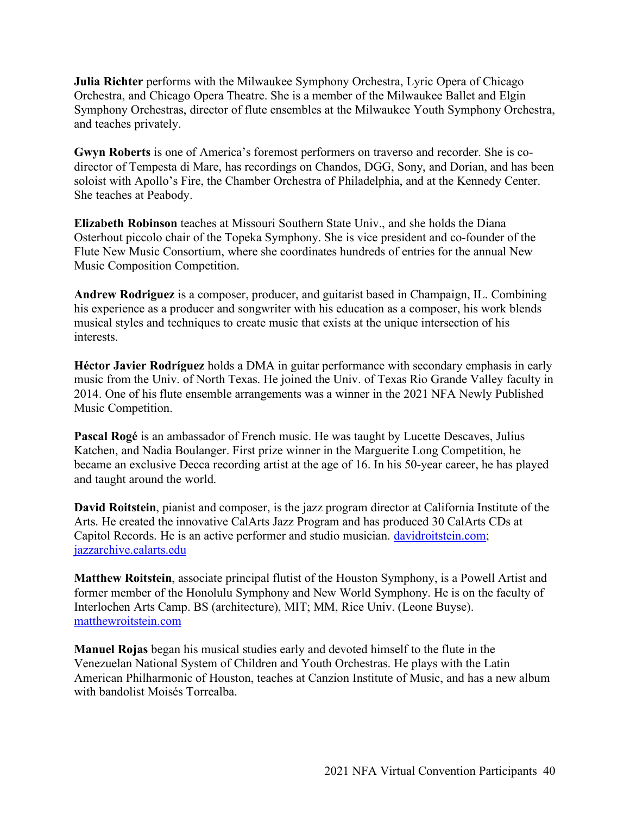**Julia Richter** performs with the Milwaukee Symphony Orchestra, Lyric Opera of Chicago Orchestra, and Chicago Opera Theatre. She is a member of the Milwaukee Ballet and Elgin Symphony Orchestras, director of flute ensembles at the Milwaukee Youth Symphony Orchestra, and teaches privately.

**Gwyn Roberts** is one of America's foremost performers on traverso and recorder. She is codirector of Tempesta di Mare, has recordings on Chandos, DGG, Sony, and Dorian, and has been soloist with Apollo's Fire, the Chamber Orchestra of Philadelphia, and at the Kennedy Center. She teaches at Peabody.

**Elizabeth Robinson** teaches at Missouri Southern State Univ., and she holds the Diana Osterhout piccolo chair of the Topeka Symphony. She is vice president and co-founder of the Flute New Music Consortium, where she coordinates hundreds of entries for the annual New Music Composition Competition.

**Andrew Rodriguez** is a composer, producer, and guitarist based in Champaign, IL. Combining his experience as a producer and songwriter with his education as a composer, his work blends musical styles and techniques to create music that exists at the unique intersection of his interests.

**Héctor Javier Rodríguez** holds a DMA in guitar performance with secondary emphasis in early music from the Univ. of North Texas. He joined the Univ. of Texas Rio Grande Valley faculty in 2014. One of his flute ensemble arrangements was a winner in the 2021 NFA Newly Published Music Competition.

**Pascal Rogé** is an ambassador of French music. He was taught by Lucette Descaves, Julius Katchen, and Nadia Boulanger. First prize winner in the Marguerite Long Competition, he became an exclusive Decca recording artist at the age of 16. In his 50-year career, he has played and taught around the world.

**David Roitstein**, pianist and composer, is the jazz program director at California Institute of the Arts. He created the innovative CalArts Jazz Program and has produced 30 CalArts CDs at Capitol Records. He is an active performer and studio musician. davidroitstein.com; jazzarchive.calarts.edu

**Matthew Roitstein**, associate principal flutist of the Houston Symphony, is a Powell Artist and former member of the Honolulu Symphony and New World Symphony. He is on the faculty of Interlochen Arts Camp. BS (architecture), MIT; MM, Rice Univ. (Leone Buyse). matthewroitstein.com

**Manuel Rojas** began his musical studies early and devoted himself to the flute in the Venezuelan National System of Children and Youth Orchestras. He plays with the Latin American Philharmonic of Houston, teaches at Canzion Institute of Music, and has a new album with bandolist Moisés Torrealba.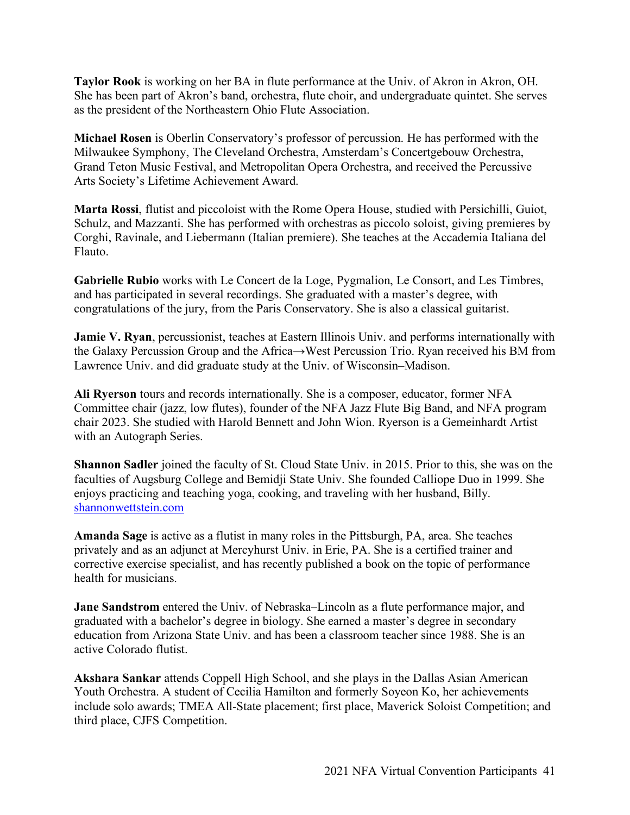**Taylor Rook** is working on her BA in flute performance at the Univ. of Akron in Akron, OH. She has been part of Akron's band, orchestra, flute choir, and undergraduate quintet. She serves as the president of the Northeastern Ohio Flute Association.

**Michael Rosen** is Oberlin Conservatory's professor of percussion. He has performed with the Milwaukee Symphony, The Cleveland Orchestra, Amsterdam's Concertgebouw Orchestra, Grand Teton Music Festival, and Metropolitan Opera Orchestra, and received the Percussive Arts Society's Lifetime Achievement Award.

**Marta Rossi**, flutist and piccoloist with the Rome Opera House, studied with Persichilli, Guiot, Schulz, and Mazzanti. She has performed with orchestras as piccolo soloist, giving premieres by Corghi, Ravinale, and Liebermann (Italian premiere). She teaches at the Accademia Italiana del Flauto.

**Gabrielle Rubio** works with Le Concert de la Loge, Pygmalion, Le Consort, and Les Timbres, and has participated in several recordings. She graduated with a master's degree, with congratulations of the jury, from the Paris Conservatory. She is also a classical guitarist.

**Jamie V. Ryan**, percussionist, teaches at Eastern Illinois Univ. and performs internationally with the Galaxy Percussion Group and the Africa→West Percussion Trio. Ryan received his BM from Lawrence Univ. and did graduate study at the Univ. of Wisconsin–Madison.

**Ali Ryerson** tours and records internationally. She is a composer, educator, former NFA Committee chair (jazz, low flutes), founder of the NFA Jazz Flute Big Band, and NFA program chair 2023. She studied with Harold Bennett and John Wion. Ryerson is a Gemeinhardt Artist with an Autograph Series.

**Shannon Sadler** joined the faculty of St. Cloud State Univ. in 2015. Prior to this, she was on the faculties of Augsburg College and Bemidji State Univ. She founded Calliope Duo in 1999. She enjoys practicing and teaching yoga, cooking, and traveling with her husband, Billy. shannonwettstein.com

**Amanda Sage** is active as a flutist in many roles in the Pittsburgh, PA, area. She teaches privately and as an adjunct at Mercyhurst Univ. in Erie, PA. She is a certified trainer and corrective exercise specialist, and has recently published a book on the topic of performance health for musicians.

**Jane Sandstrom** entered the Univ. of Nebraska–Lincoln as a flute performance major, and graduated with a bachelor's degree in biology. She earned a master's degree in secondary education from Arizona State Univ. and has been a classroom teacher since 1988. She is an active Colorado flutist.

**Akshara Sankar** attends Coppell High School, and she plays in the Dallas Asian American Youth Orchestra. A student of Cecilia Hamilton and formerly Soyeon Ko, her achievements include solo awards; TMEA All-State placement; first place, Maverick Soloist Competition; and third place, CJFS Competition.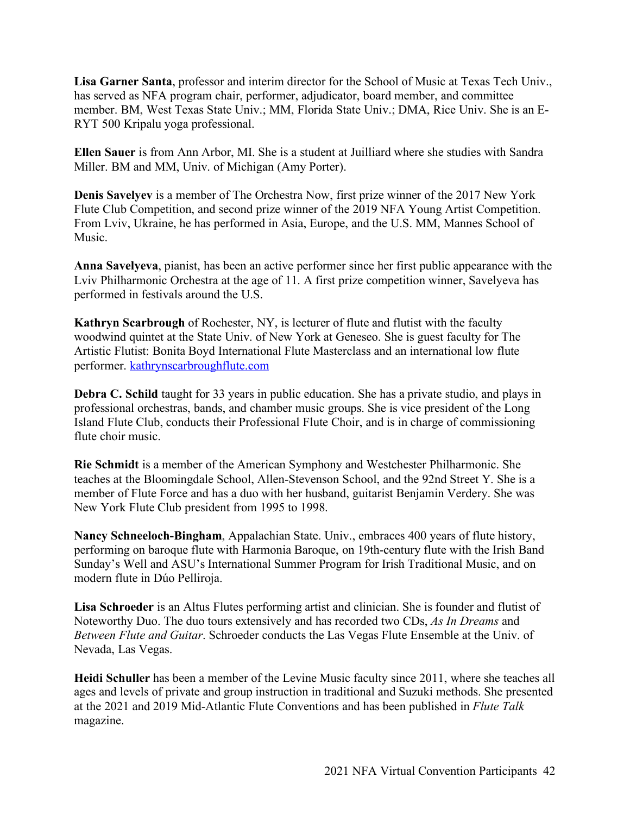**Lisa Garner Santa**, professor and interim director for the School of Music at Texas Tech Univ., has served as NFA program chair, performer, adjudicator, board member, and committee member. BM, West Texas State Univ.; MM, Florida State Univ.; DMA, Rice Univ. She is an E-RYT 500 Kripalu yoga professional.

**Ellen Sauer** is from Ann Arbor, MI. She is a student at Juilliard where she studies with Sandra Miller. BM and MM, Univ. of Michigan (Amy Porter).

**Denis Savelyev** is a member of The Orchestra Now, first prize winner of the 2017 New York Flute Club Competition, and second prize winner of the 2019 NFA Young Artist Competition. From Lviv, Ukraine, he has performed in Asia, Europe, and the U.S. MM, Mannes School of Music.

**Anna Savelyeva**, pianist, has been an active performer since her first public appearance with the Lviv Philharmonic Orchestra at the age of 11. A first prize competition winner, Savelyeva has performed in festivals around the U.S.

**Kathryn Scarbrough** of Rochester, NY, is lecturer of flute and flutist with the faculty woodwind quintet at the State Univ. of New York at Geneseo. She is guest faculty for The Artistic Flutist: Bonita Boyd International Flute Masterclass and an international low flute performer. kathrynscarbroughflute.com

**Debra C. Schild** taught for 33 years in public education. She has a private studio, and plays in professional orchestras, bands, and chamber music groups. She is vice president of the Long Island Flute Club, conducts their Professional Flute Choir, and is in charge of commissioning flute choir music.

**Rie Schmidt** is a member of the American Symphony and Westchester Philharmonic. She teaches at the Bloomingdale School, Allen-Stevenson School, and the 92nd Street Y. She is a member of Flute Force and has a duo with her husband, guitarist Benjamin Verdery. She was New York Flute Club president from 1995 to 1998.

**Nancy Schneeloch-Bingham**, Appalachian State. Univ., embraces 400 years of flute history, performing on baroque flute with Harmonia Baroque, on 19th-century flute with the Irish Band Sunday's Well and ASU's International Summer Program for Irish Traditional Music, and on modern flute in Dúo Pelliroja.

**Lisa Schroeder** is an Altus Flutes performing artist and clinician. She is founder and flutist of Noteworthy Duo. The duo tours extensively and has recorded two CDs, *As In Dreams* and *Between Flute and Guitar*. Schroeder conducts the Las Vegas Flute Ensemble at the Univ. of Nevada, Las Vegas.

**Heidi Schuller** has been a member of the Levine Music faculty since 2011, where she teaches all ages and levels of private and group instruction in traditional and Suzuki methods. She presented at the 2021 and 2019 Mid-Atlantic Flute Conventions and has been published in *Flute Talk* magazine.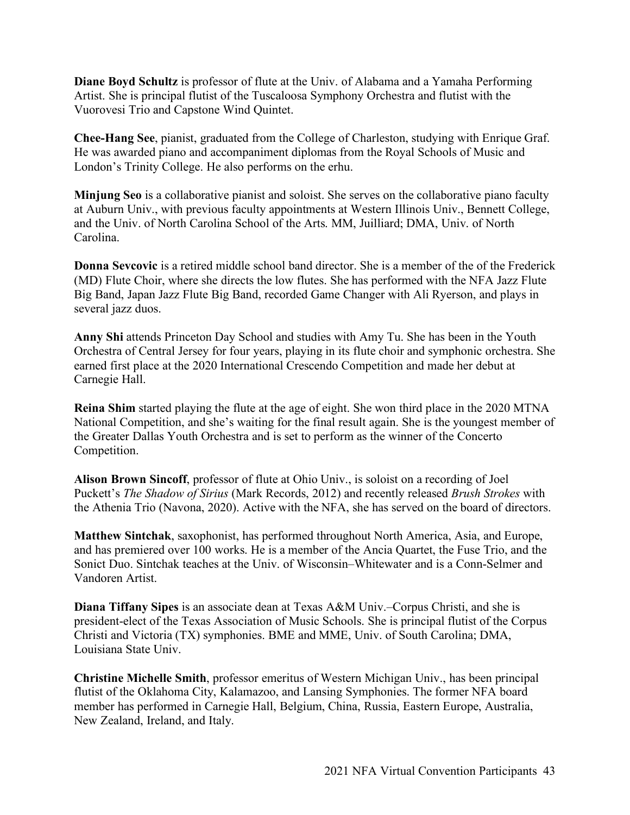**Diane Boyd Schultz** is professor of flute at the Univ. of Alabama and a Yamaha Performing Artist. She is principal flutist of the Tuscaloosa Symphony Orchestra and flutist with the Vuorovesi Trio and Capstone Wind Quintet.

**Chee-Hang See**, pianist, graduated from the College of Charleston, studying with Enrique Graf. He was awarded piano and accompaniment diplomas from the Royal Schools of Music and London's Trinity College. He also performs on the erhu.

**Minjung Seo** is a collaborative pianist and soloist. She serves on the collaborative piano faculty at Auburn Univ., with previous faculty appointments at Western Illinois Univ., Bennett College, and the Univ. of North Carolina School of the Arts. MM, Juilliard; DMA, Univ. of North Carolina.

**Donna Sevcovic** is a retired middle school band director. She is a member of the of the Frederick (MD) Flute Choir, where she directs the low flutes. She has performed with the NFA Jazz Flute Big Band, Japan Jazz Flute Big Band, recorded Game Changer with Ali Ryerson, and plays in several jazz duos.

**Anny Shi** attends Princeton Day School and studies with Amy Tu. She has been in the Youth Orchestra of Central Jersey for four years, playing in its flute choir and symphonic orchestra. She earned first place at the 2020 International Crescendo Competition and made her debut at Carnegie Hall.

**Reina Shim** started playing the flute at the age of eight. She won third place in the 2020 MTNA National Competition, and she's waiting for the final result again. She is the youngest member of the Greater Dallas Youth Orchestra and is set to perform as the winner of the Concerto Competition.

**Alison Brown Sincoff**, professor of flute at Ohio Univ., is soloist on a recording of Joel Puckett's *The Shadow of Sirius* (Mark Records, 2012) and recently released *Brush Strokes* with the Athenia Trio (Navona, 2020). Active with the NFA, she has served on the board of directors.

**Matthew Sintchak**, saxophonist, has performed throughout North America, Asia, and Europe, and has premiered over 100 works. He is a member of the Ancia Quartet, the Fuse Trio, and the Sonict Duo. Sintchak teaches at the Univ. of Wisconsin–Whitewater and is a Conn-Selmer and Vandoren Artist.

**Diana Tiffany Sipes** is an associate dean at Texas A&M Univ.–Corpus Christi, and she is president-elect of the Texas Association of Music Schools. She is principal flutist of the Corpus Christi and Victoria (TX) symphonies. BME and MME, Univ. of South Carolina; DMA, Louisiana State Univ.

**Christine Michelle Smith**, professor emeritus of Western Michigan Univ., has been principal flutist of the Oklahoma City, Kalamazoo, and Lansing Symphonies. The former NFA board member has performed in Carnegie Hall, Belgium, China, Russia, Eastern Europe, Australia, New Zealand, Ireland, and Italy.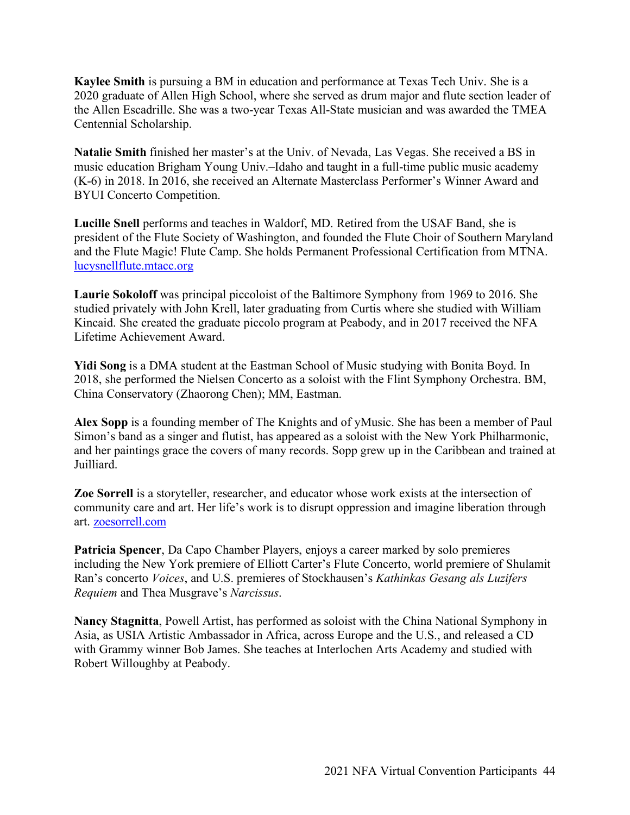**Kaylee Smith** is pursuing a BM in education and performance at Texas Tech Univ. She is a 2020 graduate of Allen High School, where she served as drum major and flute section leader of the Allen Escadrille. She was a two-year Texas All-State musician and was awarded the TMEA Centennial Scholarship.

**Natalie Smith** finished her master's at the Univ. of Nevada, Las Vegas. She received a BS in music education Brigham Young Univ.–Idaho and taught in a full-time public music academy (K-6) in 2018. In 2016, she received an Alternate Masterclass Performer's Winner Award and BYUI Concerto Competition.

**Lucille Snell** performs and teaches in Waldorf, MD. Retired from the USAF Band, she is president of the Flute Society of Washington, and founded the Flute Choir of Southern Maryland and the Flute Magic! Flute Camp. She holds Permanent Professional Certification from MTNA. lucysnellflute.mtacc.org

**Laurie Sokoloff** was principal piccoloist of the Baltimore Symphony from 1969 to 2016. She studied privately with John Krell, later graduating from Curtis where she studied with William Kincaid. She created the graduate piccolo program at Peabody, and in 2017 received the NFA Lifetime Achievement Award.

**Yidi Song** is a DMA student at the Eastman School of Music studying with Bonita Boyd. In 2018, she performed the Nielsen Concerto as a soloist with the Flint Symphony Orchestra. BM, China Conservatory (Zhaorong Chen); MM, Eastman.

**Alex Sopp** is a founding member of The Knights and of yMusic. She has been a member of Paul Simon's band as a singer and flutist, has appeared as a soloist with the New York Philharmonic, and her paintings grace the covers of many records. Sopp grew up in the Caribbean and trained at Juilliard.

**Zoe Sorrell** is a storyteller, researcher, and educator whose work exists at the intersection of community care and art. Her life's work is to disrupt oppression and imagine liberation through art. zoesorrell.com

**Patricia Spencer**, Da Capo Chamber Players, enjoys a career marked by solo premieres including the New York premiere of Elliott Carter's Flute Concerto, world premiere of Shulamit Ran's concerto *Voices*, and U.S. premieres of Stockhausen's *Kathinkas Gesang als Luzifers Requiem* and Thea Musgrave's *Narcissus*.

**Nancy Stagnitta**, Powell Artist, has performed as soloist with the China National Symphony in Asia, as USIA Artistic Ambassador in Africa, across Europe and the U.S., and released a CD with Grammy winner Bob James. She teaches at Interlochen Arts Academy and studied with Robert Willoughby at Peabody.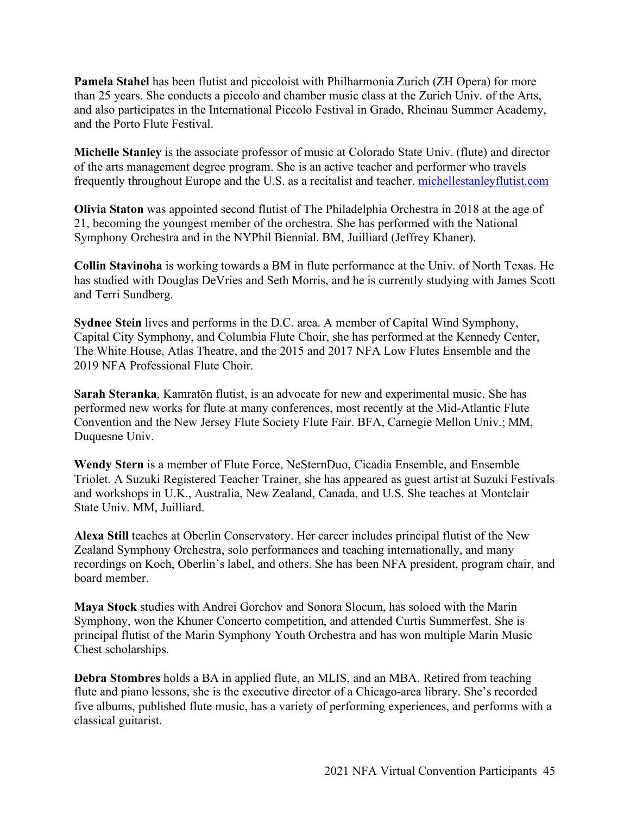**Pamela Stahel** has been flutist and piccoloist with Philharmonia Zurich (ZH Opera) for more than 25 years. She conducts a piccolo and chamber music class at the Zurich Univ. of the Arts, and also participates in the International Piccolo Festival in Grado, Rheinau Summer Academy, and the Porto Flute Festival.

**Michelle Stanley** is the associate professor of music at Colorado State Univ. (flute) and director of the arts management degree program. She is an active teacher and performer who travels frequently throughout Europe and the U.S. as a recitalist and teacher. michellestanleyflutist.com

**Olivia Staton** was appointed second flutist of The Philadelphia Orchestra in 2018 at the age of 21, becoming the youngest member of the orchestra. She has performed with the National Symphony Orchestra and in the NYPhil Biennial. BM, Juilliard (Jeffrey Khaner).

**Collin Stavinoha** is working towards a BM in flute performance at the Univ. of North Texas. He has studied with Douglas DeVries and Seth Morris, and he is currently studying with James Scott and Terri Sundberg.

**Sydnee Stein** lives and performs in the D.C. area. A member of Capital Wind Symphony, Capital City Symphony, and Columbia Flute Choir, she has performed at the Kennedy Center, The White House, Atlas Theatre, and the 2015 and 2017 NFA Low Flutes Ensemble and the 2019 NFA Professional Flute Choir.

**Sarah Steranka**, Kamratōn flutist, is an advocate for new and experimental music. She has performed new works for flute at many conferences, most recently at the Mid-Atlantic Flute Convention and the New Jersey Flute Society Flute Fair. BFA, Carnegie Mellon Univ.; MM, Duquesne Univ.

**Wendy Stern** is a member of Flute Force, NeSternDuo, Cicadia Ensemble, and Ensemble Triolet. A Suzuki Registered Teacher Trainer, she has appeared as guest artist at Suzuki Festivals and workshops in U.K., Australia, New Zealand, Canada, and U.S. She teaches at Montclair State Univ. MM, Juilliard.

**Alexa Still** teaches at Oberlin Conservatory. Her career includes principal flutist of the New Zealand Symphony Orchestra, solo performances and teaching internationally, and many recordings on Koch, Oberlin's label, and others. She has been NFA president, program chair, and board member.

**Maya Stock** studies with Andrei Gorchov and Sonora Slocum, has soloed with the Marin Symphony, won the Khuner Concerto competition, and attended Curtis Summerfest. She is principal flutist of the Marin Symphony Youth Orchestra and has won multiple Marin Music Chest scholarships.

**Debra Stombres** holds a BA in applied flute, an MLIS, and an MBA. Retired from teaching flute and piano lessons, she is the executive director of a Chicago-area library. She's recorded five albums, published flute music, has a variety of performing experiences, and performs with a classical guitarist.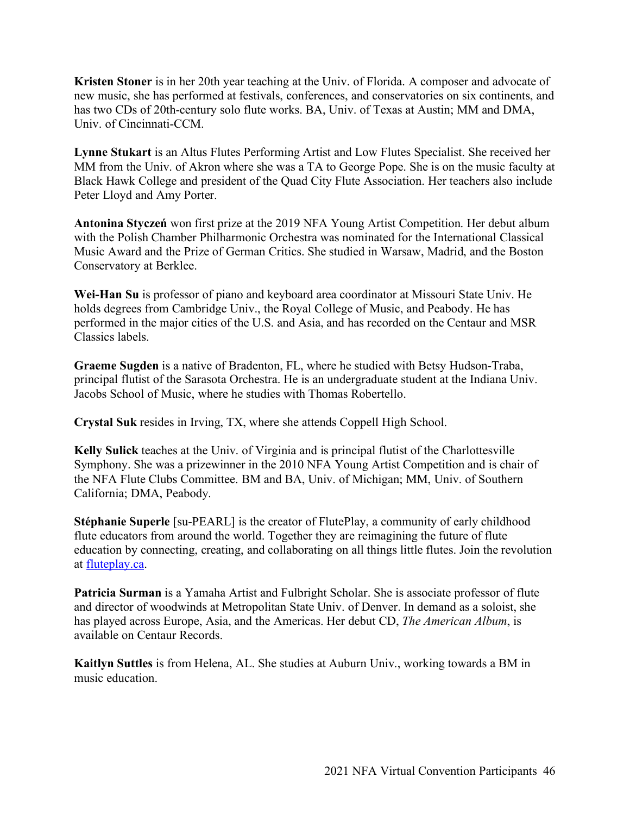**Kristen Stoner** is in her 20th year teaching at the Univ. of Florida. A composer and advocate of new music, she has performed at festivals, conferences, and conservatories on six continents, and has two CDs of 20th-century solo flute works. BA, Univ. of Texas at Austin; MM and DMA, Univ. of Cincinnati-CCM.

**Lynne Stukart** is an Altus Flutes Performing Artist and Low Flutes Specialist. She received her MM from the Univ. of Akron where she was a TA to George Pope. She is on the music faculty at Black Hawk College and president of the Quad City Flute Association. Her teachers also include Peter Lloyd and Amy Porter.

**Antonina Styczeń** won first prize at the 2019 NFA Young Artist Competition. Her debut album with the Polish Chamber Philharmonic Orchestra was nominated for the International Classical Music Award and the Prize of German Critics. She studied in Warsaw, Madrid, and the Boston Conservatory at Berklee.

**Wei-Han Su** is professor of piano and keyboard area coordinator at Missouri State Univ. He holds degrees from Cambridge Univ., the Royal College of Music, and Peabody. He has performed in the major cities of the U.S. and Asia, and has recorded on the Centaur and MSR Classics labels.

**Graeme Sugden** is a native of Bradenton, FL, where he studied with Betsy Hudson-Traba, principal flutist of the Sarasota Orchestra. He is an undergraduate student at the Indiana Univ. Jacobs School of Music, where he studies with Thomas Robertello.

**Crystal Suk** resides in Irving, TX, where she attends Coppell High School.

**Kelly Sulick** teaches at the Univ. of Virginia and is principal flutist of the Charlottesville Symphony. She was a prizewinner in the 2010 NFA Young Artist Competition and is chair of the NFA Flute Clubs Committee. BM and BA, Univ. of Michigan; MM, Univ. of Southern California; DMA, Peabody.

**Stéphanie Superle** [su-PEARL] is the creator of FlutePlay, a community of early childhood flute educators from around the world. Together they are reimagining the future of flute education by connecting, creating, and collaborating on all things little flutes. Join the revolution at fluteplay.ca.

**Patricia Surman** is a Yamaha Artist and Fulbright Scholar. She is associate professor of flute and director of woodwinds at Metropolitan State Univ. of Denver. In demand as a soloist, she has played across Europe, Asia, and the Americas. Her debut CD, *The American Album*, is available on Centaur Records.

**Kaitlyn Suttles** is from Helena, AL. She studies at Auburn Univ., working towards a BM in music education.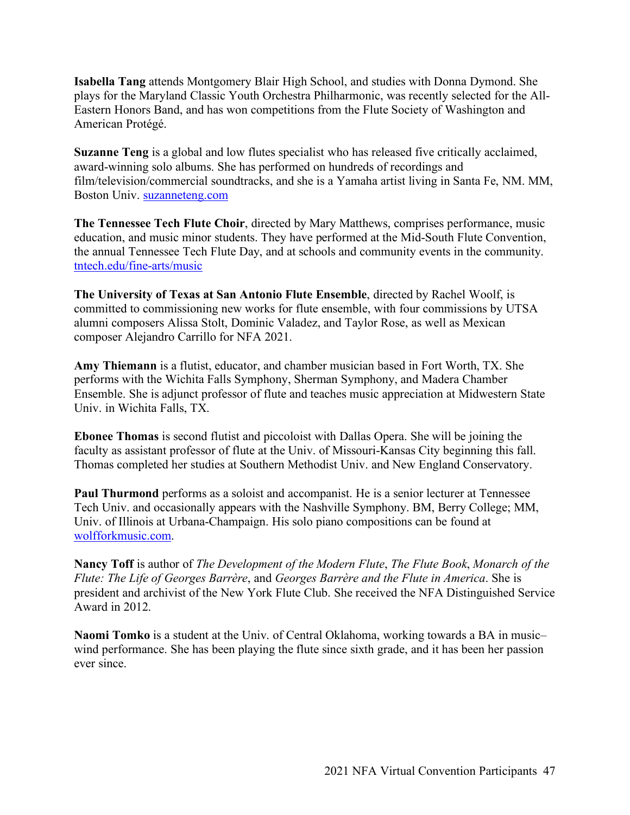**Isabella Tang** attends Montgomery Blair High School, and studies with Donna Dymond. She plays for the Maryland Classic Youth Orchestra Philharmonic, was recently selected for the All-Eastern Honors Band, and has won competitions from the Flute Society of Washington and American Protégé.

**Suzanne Teng** is a global and low flutes specialist who has released five critically acclaimed, award-winning solo albums. She has performed on hundreds of recordings and film/television/commercial soundtracks, and she is a Yamaha artist living in Santa Fe, NM. MM, Boston Univ. suzanneteng.com

**The Tennessee Tech Flute Choir**, directed by Mary Matthews, comprises performance, music education, and music minor students. They have performed at the Mid-South Flute Convention, the annual Tennessee Tech Flute Day, and at schools and community events in the community. tntech.edu/fine-arts/music

**The University of Texas at San Antonio Flute Ensemble**, directed by Rachel Woolf, is committed to commissioning new works for flute ensemble, with four commissions by UTSA alumni composers Alissa Stolt, Dominic Valadez, and Taylor Rose, as well as Mexican composer Alejandro Carrillo for NFA 2021.

**Amy Thiemann** is a flutist, educator, and chamber musician based in Fort Worth, TX. She performs with the Wichita Falls Symphony, Sherman Symphony, and Madera Chamber Ensemble. She is adjunct professor of flute and teaches music appreciation at Midwestern State Univ. in Wichita Falls, TX.

**Ebonee Thomas** is second flutist and piccoloist with Dallas Opera. She will be joining the faculty as assistant professor of flute at the Univ. of Missouri-Kansas City beginning this fall. Thomas completed her studies at Southern Methodist Univ. and New England Conservatory.

**Paul Thurmond** performs as a soloist and accompanist. He is a senior lecturer at Tennessee Tech Univ. and occasionally appears with the Nashville Symphony. BM, Berry College; MM, Univ. of Illinois at Urbana-Champaign. His solo piano compositions can be found at wolfforkmusic.com.

**Nancy Toff** is author of *The Development of the Modern Flute*, *The Flute Book*, *Monarch of the Flute: The Life of Georges Barrère*, and *Georges Barrère and the Flute in America*. She is president and archivist of the New York Flute Club. She received the NFA Distinguished Service Award in 2012.

**Naomi Tomko** is a student at the Univ. of Central Oklahoma, working towards a BA in music– wind performance. She has been playing the flute since sixth grade, and it has been her passion ever since.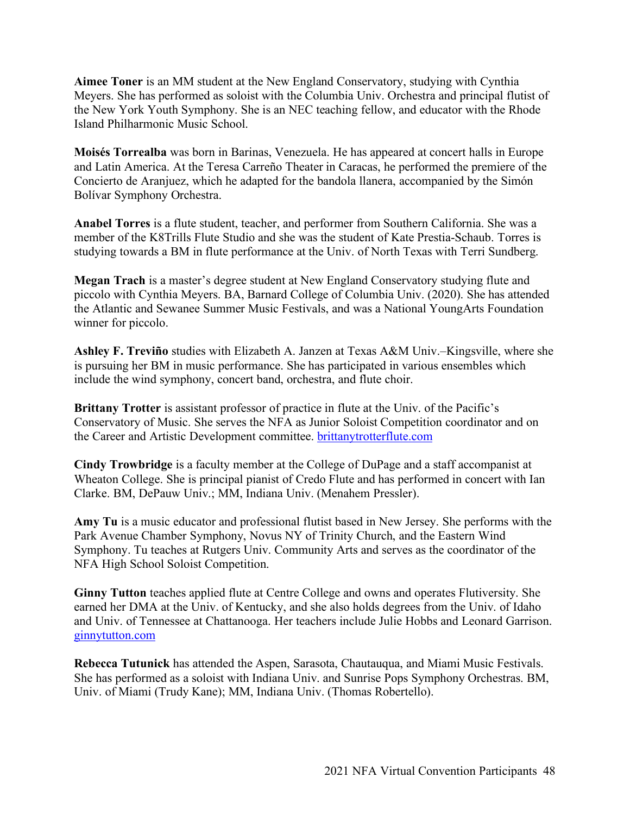**Aimee Toner** is an MM student at the New England Conservatory, studying with Cynthia Meyers. She has performed as soloist with the Columbia Univ. Orchestra and principal flutist of the New York Youth Symphony. She is an NEC teaching fellow, and educator with the Rhode Island Philharmonic Music School.

**Moisés Torrealba** was born in Barinas, Venezuela. He has appeared at concert halls in Europe and Latin America. At the Teresa Carreño Theater in Caracas, he performed the premiere of the Concierto de Aranjuez, which he adapted for the bandola llanera, accompanied by the Simón Bolívar Symphony Orchestra.

**Anabel Torres** is a flute student, teacher, and performer from Southern California. She was a member of the K8Trills Flute Studio and she was the student of Kate Prestia-Schaub. Torres is studying towards a BM in flute performance at the Univ. of North Texas with Terri Sundberg.

**Megan Trach** is a master's degree student at New England Conservatory studying flute and piccolo with Cynthia Meyers. BA, Barnard College of Columbia Univ. (2020). She has attended the Atlantic and Sewanee Summer Music Festivals, and was a National YoungArts Foundation winner for piccolo.

**Ashley F. Treviño** studies with Elizabeth A. Janzen at Texas A&M Univ.–Kingsville, where she is pursuing her BM in music performance. She has participated in various ensembles which include the wind symphony, concert band, orchestra, and flute choir.

**Brittany Trotter** is assistant professor of practice in flute at the Univ. of the Pacific's Conservatory of Music. She serves the NFA as Junior Soloist Competition coordinator and on the Career and Artistic Development committee. **brittanytrotterflute.com** 

**Cindy Trowbridge** is a faculty member at the College of DuPage and a staff accompanist at Wheaton College. She is principal pianist of Credo Flute and has performed in concert with Ian Clarke. BM, DePauw Univ.; MM, Indiana Univ. (Menahem Pressler).

**Amy Tu** is a music educator and professional flutist based in New Jersey. She performs with the Park Avenue Chamber Symphony, Novus NY of Trinity Church, and the Eastern Wind Symphony. Tu teaches at Rutgers Univ. Community Arts and serves as the coordinator of the NFA High School Soloist Competition.

**Ginny Tutton** teaches applied flute at Centre College and owns and operates Flutiversity. She earned her DMA at the Univ. of Kentucky, and she also holds degrees from the Univ. of Idaho and Univ. of Tennessee at Chattanooga. Her teachers include Julie Hobbs and Leonard Garrison. ginnytutton.com

**Rebecca Tutunick** has attended the Aspen, Sarasota, Chautauqua, and Miami Music Festivals. She has performed as a soloist with Indiana Univ. and Sunrise Pops Symphony Orchestras. BM, Univ. of Miami (Trudy Kane); MM, Indiana Univ. (Thomas Robertello).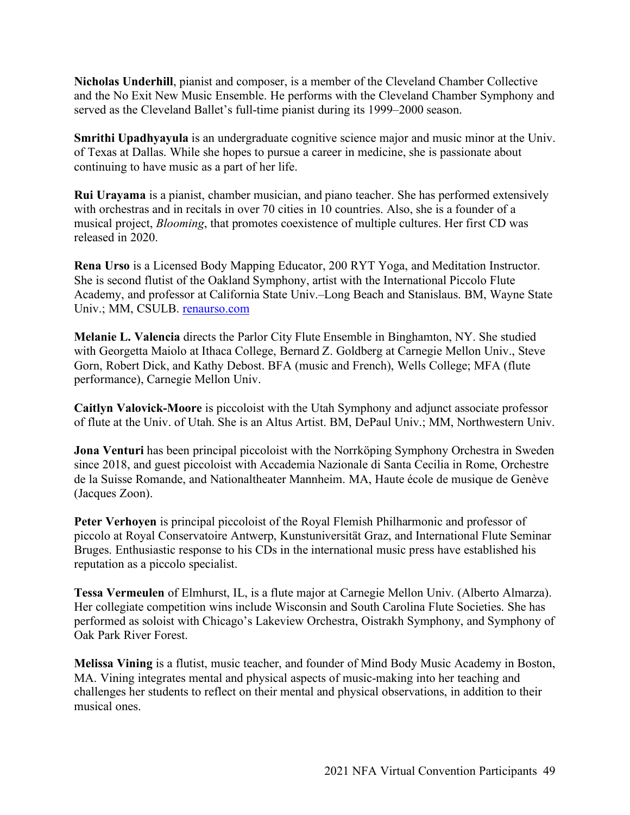**Nicholas Underhill**, pianist and composer, is a member of the Cleveland Chamber Collective and the No Exit New Music Ensemble. He performs with the Cleveland Chamber Symphony and served as the Cleveland Ballet's full-time pianist during its 1999–2000 season.

**Smrithi Upadhyayula** is an undergraduate cognitive science major and music minor at the Univ. of Texas at Dallas. While she hopes to pursue a career in medicine, she is passionate about continuing to have music as a part of her life.

**Rui Urayama** is a pianist, chamber musician, and piano teacher. She has performed extensively with orchestras and in recitals in over 70 cities in 10 countries. Also, she is a founder of a musical project, *Blooming*, that promotes coexistence of multiple cultures. Her first CD was released in 2020.

**Rena Urso** is a Licensed Body Mapping Educator, 200 RYT Yoga, and Meditation Instructor. She is second flutist of the Oakland Symphony, artist with the International Piccolo Flute Academy, and professor at California State Univ.–Long Beach and Stanislaus. BM, Wayne State Univ.; MM, CSULB. renaurso.com

**Melanie L. Valencia** directs the Parlor City Flute Ensemble in Binghamton, NY. She studied with Georgetta Maiolo at Ithaca College, Bernard Z. Goldberg at Carnegie Mellon Univ., Steve Gorn, Robert Dick, and Kathy Debost. BFA (music and French), Wells College; MFA (flute performance), Carnegie Mellon Univ.

**Caitlyn Valovick-Moore** is piccoloist with the Utah Symphony and adjunct associate professor of flute at the Univ. of Utah. She is an Altus Artist. BM, DePaul Univ.; MM, Northwestern Univ.

**Jona Venturi** has been principal piccoloist with the Norrköping Symphony Orchestra in Sweden since 2018, and guest piccoloist with Accademia Nazionale di Santa Cecilia in Rome, Orchestre de la Suisse Romande, and Nationaltheater Mannheim. MA, Haute école de musique de Genève (Jacques Zoon).

**Peter Verhoyen** is principal piccoloist of the Royal Flemish Philharmonic and professor of piccolo at Royal Conservatoire Antwerp, Kunstuniversität Graz, and International Flute Seminar Bruges. Enthusiastic response to his CDs in the international music press have established his reputation as a piccolo specialist.

**Tessa Vermeulen** of Elmhurst, IL, is a flute major at Carnegie Mellon Univ. (Alberto Almarza). Her collegiate competition wins include Wisconsin and South Carolina Flute Societies. She has performed as soloist with Chicago's Lakeview Orchestra, Oistrakh Symphony, and Symphony of Oak Park River Forest.

**Melissa Vining** is a flutist, music teacher, and founder of Mind Body Music Academy in Boston, MA. Vining integrates mental and physical aspects of music-making into her teaching and challenges her students to reflect on their mental and physical observations, in addition to their musical ones.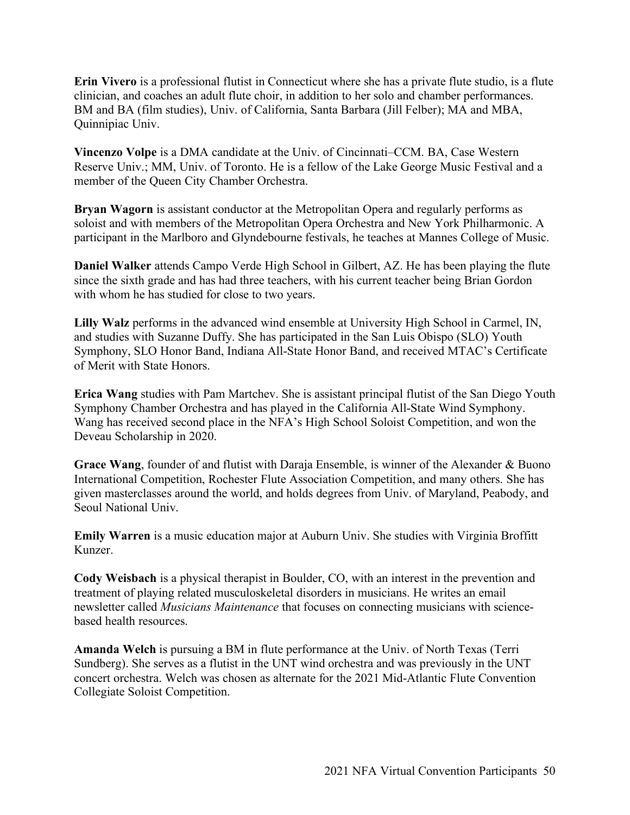**Erin Vivero** is a professional flutist in Connecticut where she has a private flute studio, is a flute clinician, and coaches an adult flute choir, in addition to her solo and chamber performances. BM and BA (film studies), Univ. of California, Santa Barbara (Jill Felber); MA and MBA, Quinnipiac Univ.

**Vincenzo Volpe** is a DMA candidate at the Univ. of Cincinnati–CCM. BA, Case Western Reserve Univ.; MM, Univ. of Toronto. He is a fellow of the Lake George Music Festival and a member of the Queen City Chamber Orchestra.

**Bryan Wagorn** is assistant conductor at the Metropolitan Opera and regularly performs as soloist and with members of the Metropolitan Opera Orchestra and New York Philharmonic. A participant in the Marlboro and Glyndebourne festivals, he teaches at Mannes College of Music.

**Daniel Walker** attends Campo Verde High School in Gilbert, AZ. He has been playing the flute since the sixth grade and has had three teachers, with his current teacher being Brian Gordon with whom he has studied for close to two years.

**Lilly Walz** performs in the advanced wind ensemble at University High School in Carmel, IN, and studies with Suzanne Duffy. She has participated in the San Luis Obispo (SLO) Youth Symphony, SLO Honor Band, Indiana All-State Honor Band, and received MTAC's Certificate of Merit with State Honors.

**Erica Wang** studies with Pam Martchev. She is assistant principal flutist of the San Diego Youth Symphony Chamber Orchestra and has played in the California All-State Wind Symphony. Wang has received second place in the NFA's High School Soloist Competition, and won the Deveau Scholarship in 2020.

Grace Wang, founder of and flutist with Daraja Ensemble, is winner of the Alexander & Buono International Competition, Rochester Flute Association Competition, and many others. She has given masterclasses around the world, and holds degrees from Univ. of Maryland, Peabody, and Seoul National Univ.

**Emily Warren** is a music education major at Auburn Univ. She studies with Virginia Broffitt Kunzer.

**Cody Weisbach** is a physical therapist in Boulder, CO, with an interest in the prevention and treatment of playing related musculoskeletal disorders in musicians. He writes an email newsletter called *Musicians Maintenance* that focuses on connecting musicians with sciencebased health resources.

**Amanda Welch** is pursuing a BM in flute performance at the Univ. of North Texas (Terri Sundberg). She serves as a flutist in the UNT wind orchestra and was previously in the UNT concert orchestra. Welch was chosen as alternate for the 2021 Mid-Atlantic Flute Convention Collegiate Soloist Competition.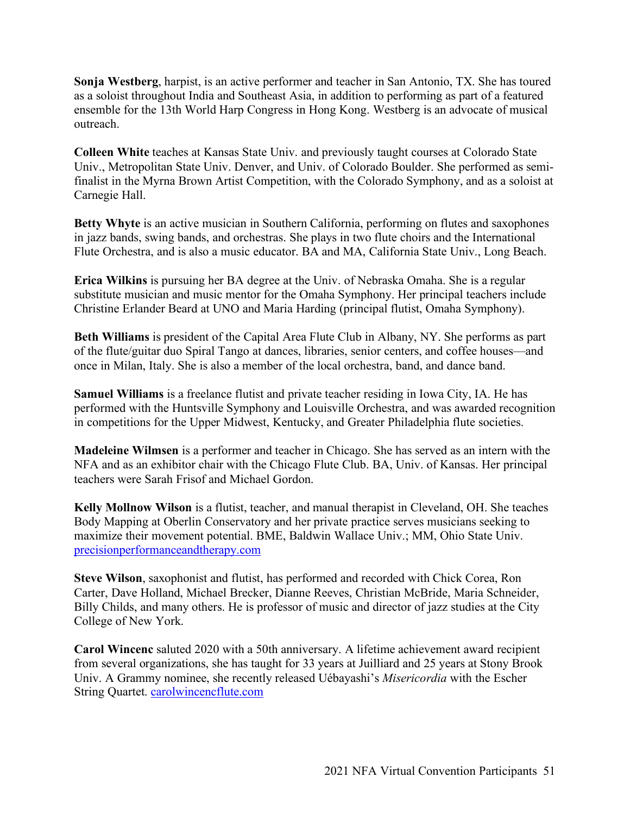**Sonja Westberg**, harpist, is an active performer and teacher in San Antonio, TX. She has toured as a soloist throughout India and Southeast Asia, in addition to performing as part of a featured ensemble for the 13th World Harp Congress in Hong Kong. Westberg is an advocate of musical outreach.

**Colleen White** teaches at Kansas State Univ. and previously taught courses at Colorado State Univ., Metropolitan State Univ. Denver, and Univ. of Colorado Boulder. She performed as semifinalist in the Myrna Brown Artist Competition, with the Colorado Symphony, and as a soloist at Carnegie Hall.

**Betty Whyte** is an active musician in Southern California, performing on flutes and saxophones in jazz bands, swing bands, and orchestras. She plays in two flute choirs and the International Flute Orchestra, and is also a music educator. BA and MA, California State Univ., Long Beach.

**Erica Wilkins** is pursuing her BA degree at the Univ. of Nebraska Omaha. She is a regular substitute musician and music mentor for the Omaha Symphony. Her principal teachers include Christine Erlander Beard at UNO and Maria Harding (principal flutist, Omaha Symphony).

**Beth Williams** is president of the Capital Area Flute Club in Albany, NY. She performs as part of the flute/guitar duo Spiral Tango at dances, libraries, senior centers, and coffee houses—and once in Milan, Italy. She is also a member of the local orchestra, band, and dance band.

**Samuel Williams** is a freelance flutist and private teacher residing in Iowa City, IA. He has performed with the Huntsville Symphony and Louisville Orchestra, and was awarded recognition in competitions for the Upper Midwest, Kentucky, and Greater Philadelphia flute societies.

**Madeleine Wilmsen** is a performer and teacher in Chicago. She has served as an intern with the NFA and as an exhibitor chair with the Chicago Flute Club. BA, Univ. of Kansas. Her principal teachers were Sarah Frisof and Michael Gordon.

**Kelly Mollnow Wilson** is a flutist, teacher, and manual therapist in Cleveland, OH. She teaches Body Mapping at Oberlin Conservatory and her private practice serves musicians seeking to maximize their movement potential. BME, Baldwin Wallace Univ.; MM, Ohio State Univ. precisionperformanceandtherapy.com

**Steve Wilson**, saxophonist and flutist, has performed and recorded with Chick Corea, Ron Carter, Dave Holland, Michael Brecker, Dianne Reeves, Christian McBride, Maria Schneider, Billy Childs, and many others. He is professor of music and director of jazz studies at the City College of New York.

**Carol Wincenc** saluted 2020 with a 50th anniversary. A lifetime achievement award recipient from several organizations, she has taught for 33 years at Juilliard and 25 years at Stony Brook Univ. A Grammy nominee, she recently released Uébayashi's *Misericordia* with the Escher String Quartet. carolwincencflute.com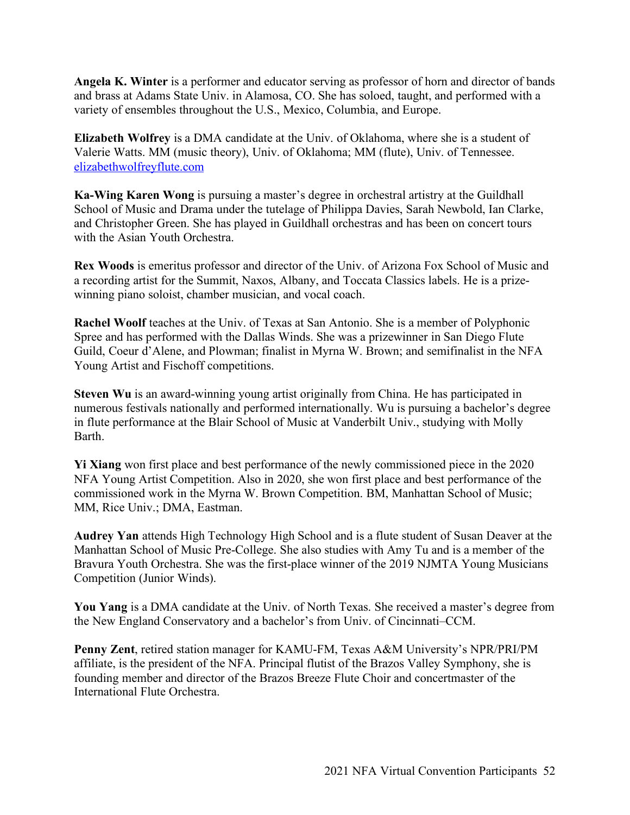**Angela K. Winter** is a performer and educator serving as professor of horn and director of bands and brass at Adams State Univ. in Alamosa, CO. She has soloed, taught, and performed with a variety of ensembles throughout the U.S., Mexico, Columbia, and Europe.

**Elizabeth Wolfrey** is a DMA candidate at the Univ. of Oklahoma, where she is a student of Valerie Watts. MM (music theory), Univ. of Oklahoma; MM (flute), Univ. of Tennessee. elizabethwolfreyflute.com

**Ka-Wing Karen Wong** is pursuing a master's degree in orchestral artistry at the Guildhall School of Music and Drama under the tutelage of Philippa Davies, Sarah Newbold, Ian Clarke, and Christopher Green. She has played in Guildhall orchestras and has been on concert tours with the Asian Youth Orchestra.

**Rex Woods** is emeritus professor and director of the Univ. of Arizona Fox School of Music and a recording artist for the Summit, Naxos, Albany, and Toccata Classics labels. He is a prizewinning piano soloist, chamber musician, and vocal coach.

**Rachel Woolf** teaches at the Univ. of Texas at San Antonio. She is a member of Polyphonic Spree and has performed with the Dallas Winds. She was a prizewinner in San Diego Flute Guild, Coeur d'Alene, and Plowman; finalist in Myrna W. Brown; and semifinalist in the NFA Young Artist and Fischoff competitions.

**Steven Wu** is an award-winning young artist originally from China. He has participated in numerous festivals nationally and performed internationally. Wu is pursuing a bachelor's degree in flute performance at the Blair School of Music at Vanderbilt Univ., studying with Molly Barth.

**Yi Xiang** won first place and best performance of the newly commissioned piece in the 2020 NFA Young Artist Competition. Also in 2020, she won first place and best performance of the commissioned work in the Myrna W. Brown Competition. BM, Manhattan School of Music; MM, Rice Univ.; DMA, Eastman.

**Audrey Yan** attends High Technology High School and is a flute student of Susan Deaver at the Manhattan School of Music Pre-College. She also studies with Amy Tu and is a member of the Bravura Youth Orchestra. She was the first-place winner of the 2019 NJMTA Young Musicians Competition (Junior Winds).

**You Yang** is a DMA candidate at the Univ. of North Texas. She received a master's degree from the New England Conservatory and a bachelor's from Univ. of Cincinnati–CCM.

**Penny Zent**, retired station manager for KAMU-FM, Texas A&M University's NPR/PRI/PM affiliate, is the president of the NFA. Principal flutist of the Brazos Valley Symphony, she is founding member and director of the Brazos Breeze Flute Choir and concertmaster of the International Flute Orchestra.